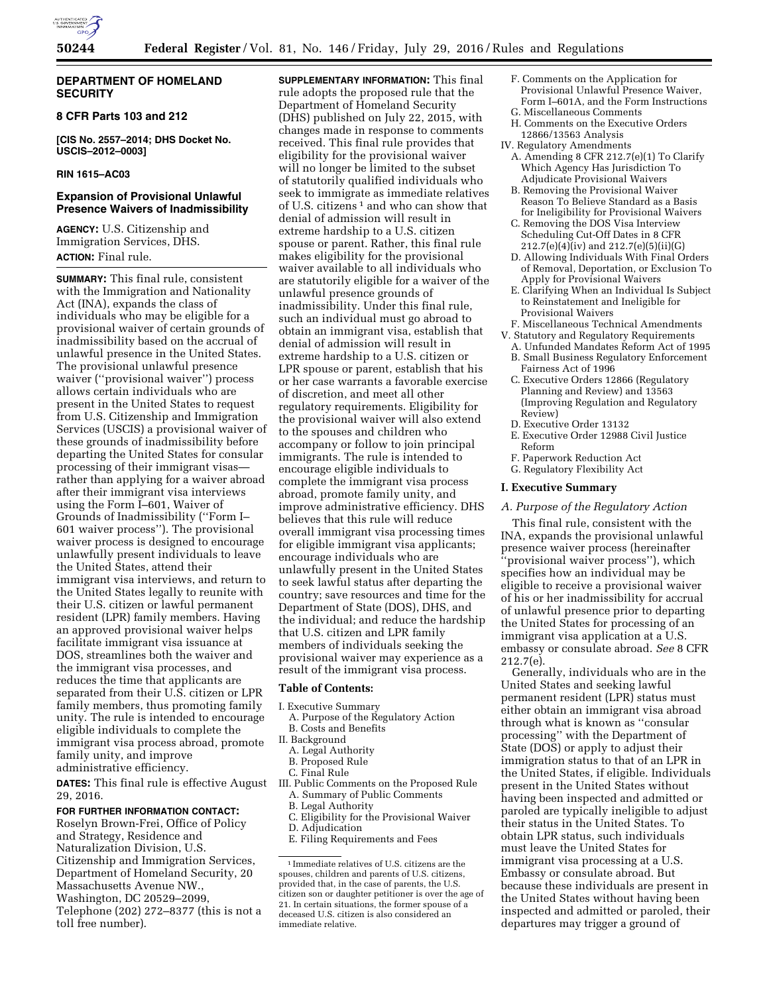

# **DEPARTMENT OF HOMELAND SECURITY**

# **8 CFR Parts 103 and 212**

**[CIS No. 2557–2014; DHS Docket No. USCIS–2012–0003]** 

#### **RIN 1615–AC03**

### **Expansion of Provisional Unlawful Presence Waivers of Inadmissibility**

**AGENCY:** U.S. Citizenship and Immigration Services, DHS. **ACTION:** Final rule.

**SUMMARY:** This final rule, consistent with the Immigration and Nationality Act (INA), expands the class of individuals who may be eligible for a provisional waiver of certain grounds of inadmissibility based on the accrual of unlawful presence in the United States. The provisional unlawful presence waiver (''provisional waiver'') process allows certain individuals who are present in the United States to request from U.S. Citizenship and Immigration Services (USCIS) a provisional waiver of these grounds of inadmissibility before departing the United States for consular processing of their immigrant visas rather than applying for a waiver abroad after their immigrant visa interviews using the Form I–601, Waiver of Grounds of Inadmissibility (''Form I– 601 waiver process''). The provisional waiver process is designed to encourage unlawfully present individuals to leave the United States, attend their immigrant visa interviews, and return to the United States legally to reunite with their U.S. citizen or lawful permanent resident (LPR) family members. Having an approved provisional waiver helps facilitate immigrant visa issuance at DOS, streamlines both the waiver and the immigrant visa processes, and reduces the time that applicants are separated from their U.S. citizen or LPR family members, thus promoting family unity. The rule is intended to encourage eligible individuals to complete the immigrant visa process abroad, promote family unity, and improve administrative efficiency.

**DATES:** This final rule is effective August 29, 2016.

#### **FOR FURTHER INFORMATION CONTACT:**

Roselyn Brown-Frei, Office of Policy and Strategy, Residence and Naturalization Division, U.S. Citizenship and Immigration Services, Department of Homeland Security, 20 Massachusetts Avenue NW., Washington, DC 20529–2099, Telephone (202) 272–8377 (this is not a toll free number).

**SUPPLEMENTARY INFORMATION:** This final rule adopts the proposed rule that the Department of Homeland Security (DHS) published on July 22, 2015, with changes made in response to comments received. This final rule provides that eligibility for the provisional waiver will no longer be limited to the subset of statutorily qualified individuals who seek to immigrate as immediate relatives of U.S. citizens<sup>1</sup> and who can show that denial of admission will result in extreme hardship to a U.S. citizen spouse or parent. Rather, this final rule makes eligibility for the provisional waiver available to all individuals who are statutorily eligible for a waiver of the unlawful presence grounds of inadmissibility. Under this final rule, such an individual must go abroad to obtain an immigrant visa, establish that denial of admission will result in extreme hardship to a U.S. citizen or LPR spouse or parent, establish that his or her case warrants a favorable exercise of discretion, and meet all other regulatory requirements. Eligibility for the provisional waiver will also extend to the spouses and children who accompany or follow to join principal immigrants. The rule is intended to encourage eligible individuals to complete the immigrant visa process abroad, promote family unity, and improve administrative efficiency. DHS believes that this rule will reduce overall immigrant visa processing times for eligible immigrant visa applicants; encourage individuals who are unlawfully present in the United States to seek lawful status after departing the country; save resources and time for the Department of State (DOS), DHS, and the individual; and reduce the hardship that U.S. citizen and LPR family members of individuals seeking the provisional waiver may experience as a result of the immigrant visa process.

#### **Table of Contents:**

- I. Executive Summary
- A. Purpose of the Regulatory Action B. Costs and Benefits
- II. Background
- A. Legal Authority
- B. Proposed Rule
- C. Final Rule
- III. Public Comments on the Proposed Rule A. Summary of Public Comments
	- B. Legal Authority
	- C. Eligibility for the Provisional Waiver
	- D. Adjudication
	- E. Filing Requirements and Fees
- F. Comments on the Application for Provisional Unlawful Presence Waiver, Form I–601A, and the Form Instructions
- G. Miscellaneous Comments
- H. Comments on the Executive Orders 12866/13563 Analysis
- IV. Regulatory Amendments
	- A. Amending 8 CFR 212.7(e)(1) To Clarify Which Agency Has Jurisdiction To Adjudicate Provisional Waivers
	- B. Removing the Provisional Waiver Reason To Believe Standard as a Basis for Ineligibility for Provisional Waivers
	- C. Removing the DOS Visa Interview Scheduling Cut-Off Dates in 8 CFR  $212.7(e)(4)(iv)$  and  $212.7(e)(5)(ii)(G)$
	- D. Allowing Individuals With Final Orders of Removal, Deportation, or Exclusion To Apply for Provisional Waivers
	- E. Clarifying When an Individual Is Subject to Reinstatement and Ineligible for Provisional Waivers
	- F. Miscellaneous Technical Amendments
- V. Statutory and Regulatory Requirements A. Unfunded Mandates Reform Act of 1995
	- B. Small Business Regulatory Enforcement Fairness Act of 1996
	- C. Executive Orders 12866 (Regulatory Planning and Review) and 13563 (Improving Regulation and Regulatory Review)
	- D. Executive Order 13132
	- E. Executive Order 12988 Civil Justice Reform
	- F. Paperwork Reduction Act
	- G. Regulatory Flexibility Act

### **I. Executive Summary**

#### *A. Purpose of the Regulatory Action*

This final rule, consistent with the INA, expands the provisional unlawful presence waiver process (hereinafter ''provisional waiver process''), which specifies how an individual may be eligible to receive a provisional waiver of his or her inadmissibility for accrual of unlawful presence prior to departing the United States for processing of an immigrant visa application at a U.S. embassy or consulate abroad. *See* 8 CFR 212.7(e).

Generally, individuals who are in the United States and seeking lawful permanent resident (LPR) status must either obtain an immigrant visa abroad through what is known as ''consular processing'' with the Department of State (DOS) or apply to adjust their immigration status to that of an LPR in the United States, if eligible. Individuals present in the United States without having been inspected and admitted or paroled are typically ineligible to adjust their status in the United States. To obtain LPR status, such individuals must leave the United States for immigrant visa processing at a U.S. Embassy or consulate abroad. But because these individuals are present in the United States without having been inspected and admitted or paroled, their departures may trigger a ground of

<sup>1</sup> Immediate relatives of U.S. citizens are the spouses, children and parents of U.S. citizens, provided that, in the case of parents, the U.S. citizen son or daughter petitioner is over the age of 21. In certain situations, the former spouse of a deceased U.S. citizen is also considered an immediate relative.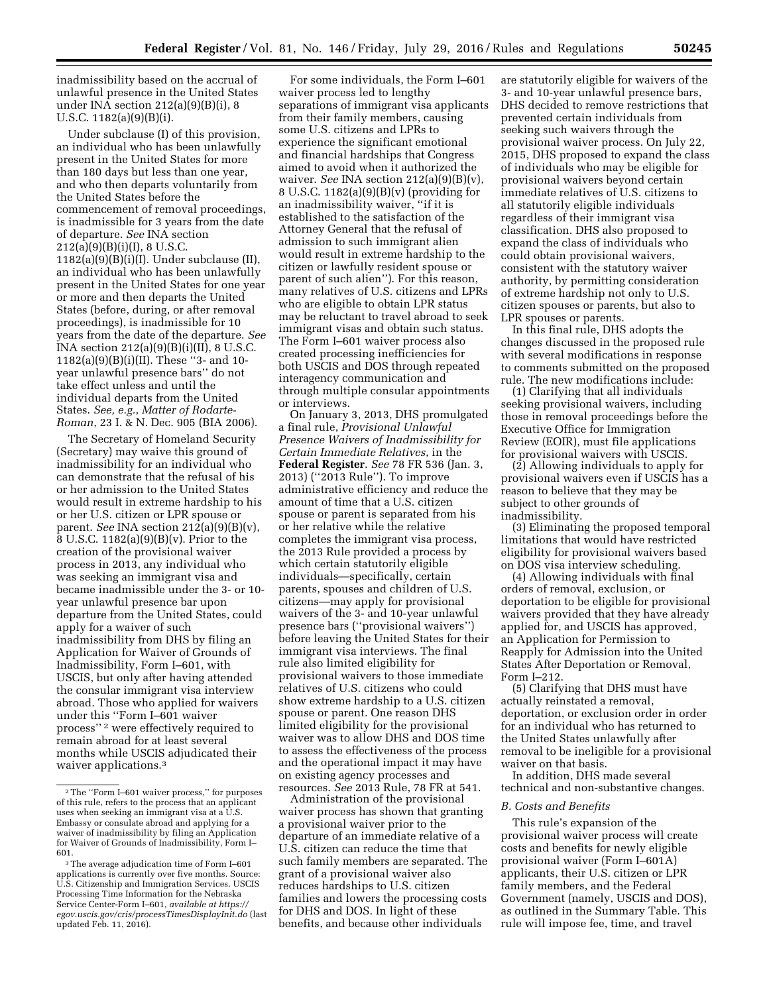inadmissibility based on the accrual of unlawful presence in the United States under INA section  $212(a)(9)(B)(i)$ , 8 U.S.C. 1182(a)(9)(B)(i).

Under subclause (I) of this provision, an individual who has been unlawfully present in the United States for more than 180 days but less than one year, and who then departs voluntarily from the United States before the commencement of removal proceedings, is inadmissible for 3 years from the date of departure. *See* INA section 212(a)(9)(B)(i)(I), 8 U.S.C.  $1182(a)(9)(B)(i)(I)$ . Under subclause (II), an individual who has been unlawfully present in the United States for one year or more and then departs the United States (before, during, or after removal proceedings), is inadmissible for 10 years from the date of the departure. *See*  INA section 212(a)(9)(B)(i)(II), 8 U.S.C. 1182(a)(9)(B)(i)(II). These ''3- and 10 year unlawful presence bars'' do not take effect unless and until the individual departs from the United States. *See, e.g.*, *Matter of Rodarte-Roman*, 23 I. & N. Dec. 905 (BIA 2006).

The Secretary of Homeland Security (Secretary) may waive this ground of inadmissibility for an individual who can demonstrate that the refusal of his or her admission to the United States would result in extreme hardship to his or her U.S. citizen or LPR spouse or parent. *See* INA section 212(a)(9)(B)(v), 8 U.S.C. 1182(a)(9)(B)(v). Prior to the creation of the provisional waiver process in 2013, any individual who was seeking an immigrant visa and became inadmissible under the 3- or 10 year unlawful presence bar upon departure from the United States, could apply for a waiver of such inadmissibility from DHS by filing an Application for Waiver of Grounds of Inadmissibility, Form I–601, with USCIS, but only after having attended the consular immigrant visa interview abroad. Those who applied for waivers under this ''Form I–601 waiver process'' 2 were effectively required to remain abroad for at least several months while USCIS adjudicated their waiver applications.3

For some individuals, the Form I–601 waiver process led to lengthy separations of immigrant visa applicants from their family members, causing some U.S. citizens and LPRs to experience the significant emotional and financial hardships that Congress aimed to avoid when it authorized the waiver. *See* INA section 212(a)(9)(B)(v), 8 U.S.C. 1182(a)(9)(B)(v) (providing for an inadmissibility waiver, ''if it is established to the satisfaction of the Attorney General that the refusal of admission to such immigrant alien would result in extreme hardship to the citizen or lawfully resident spouse or parent of such alien''). For this reason, many relatives of U.S. citizens and LPRs who are eligible to obtain LPR status may be reluctant to travel abroad to seek immigrant visas and obtain such status. The Form I–601 waiver process also created processing inefficiencies for both USCIS and DOS through repeated interagency communication and through multiple consular appointments or interviews.

On January 3, 2013, DHS promulgated a final rule, *Provisional Unlawful Presence Waivers of Inadmissibility for Certain Immediate Relatives*, in the **Federal Register**. *See* 78 FR 536 (Jan. 3, 2013) (''2013 Rule''). To improve administrative efficiency and reduce the amount of time that a U.S. citizen spouse or parent is separated from his or her relative while the relative completes the immigrant visa process, the 2013 Rule provided a process by which certain statutorily eligible individuals—specifically, certain parents, spouses and children of U.S. citizens—may apply for provisional waivers of the 3- and 10-year unlawful presence bars (''provisional waivers'') before leaving the United States for their immigrant visa interviews. The final rule also limited eligibility for provisional waivers to those immediate relatives of U.S. citizens who could show extreme hardship to a U.S. citizen spouse or parent. One reason DHS limited eligibility for the provisional waiver was to allow DHS and DOS time to assess the effectiveness of the process and the operational impact it may have on existing agency processes and resources. *See* 2013 Rule, 78 FR at 541.

Administration of the provisional waiver process has shown that granting a provisional waiver prior to the departure of an immediate relative of a U.S. citizen can reduce the time that such family members are separated. The grant of a provisional waiver also reduces hardships to U.S. citizen families and lowers the processing costs for DHS and DOS. In light of these benefits, and because other individuals

are statutorily eligible for waivers of the 3- and 10-year unlawful presence bars, DHS decided to remove restrictions that prevented certain individuals from seeking such waivers through the provisional waiver process. On July 22, 2015, DHS proposed to expand the class of individuals who may be eligible for provisional waivers beyond certain immediate relatives of U.S. citizens to all statutorily eligible individuals regardless of their immigrant visa classification. DHS also proposed to expand the class of individuals who could obtain provisional waivers, consistent with the statutory waiver authority, by permitting consideration of extreme hardship not only to U.S. citizen spouses or parents, but also to LPR spouses or parents.

In this final rule, DHS adopts the changes discussed in the proposed rule with several modifications in response to comments submitted on the proposed rule. The new modifications include:

(1) Clarifying that all individuals seeking provisional waivers, including those in removal proceedings before the Executive Office for Immigration Review (EOIR), must file applications for provisional waivers with USCIS.

(2) Allowing individuals to apply for provisional waivers even if USCIS has a reason to believe that they may be subject to other grounds of inadmissibility.

(3) Eliminating the proposed temporal limitations that would have restricted eligibility for provisional waivers based on DOS visa interview scheduling.

(4) Allowing individuals with final orders of removal, exclusion, or deportation to be eligible for provisional waivers provided that they have already applied for, and USCIS has approved, an Application for Permission to Reapply for Admission into the United States After Deportation or Removal, Form I–212.

(5) Clarifying that DHS must have actually reinstated a removal, deportation, or exclusion order in order for an individual who has returned to the United States unlawfully after removal to be ineligible for a provisional waiver on that basis.

In addition, DHS made several technical and non-substantive changes.

#### *B. Costs and Benefits*

This rule's expansion of the provisional waiver process will create costs and benefits for newly eligible provisional waiver (Form I–601A) applicants, their U.S. citizen or LPR family members, and the Federal Government (namely, USCIS and DOS), as outlined in the Summary Table. This rule will impose fee, time, and travel

<sup>2</sup>The ''Form I–601 waiver process,'' for purposes of this rule, refers to the process that an applicant uses when seeking an immigrant visa at a U.S. Embassy or consulate abroad and applying for a waiver of inadmissibility by filing an Application for Waiver of Grounds of Inadmissibility, Form I– 601.

<sup>3</sup>The average adjudication time of Form I–601 applications is currently over five months. Source: U.S. Citizenship and Immigration Services. USCIS Processing Time Information for the Nebraska Service Center-Form I–601, *available at [https://](https://egov.uscis.gov/cris/processTimesDisplayInit.do) [egov.uscis.gov/cris/processTimesDisplayInit.do](https://egov.uscis.gov/cris/processTimesDisplayInit.do)* (last updated Feb. 11, 2016).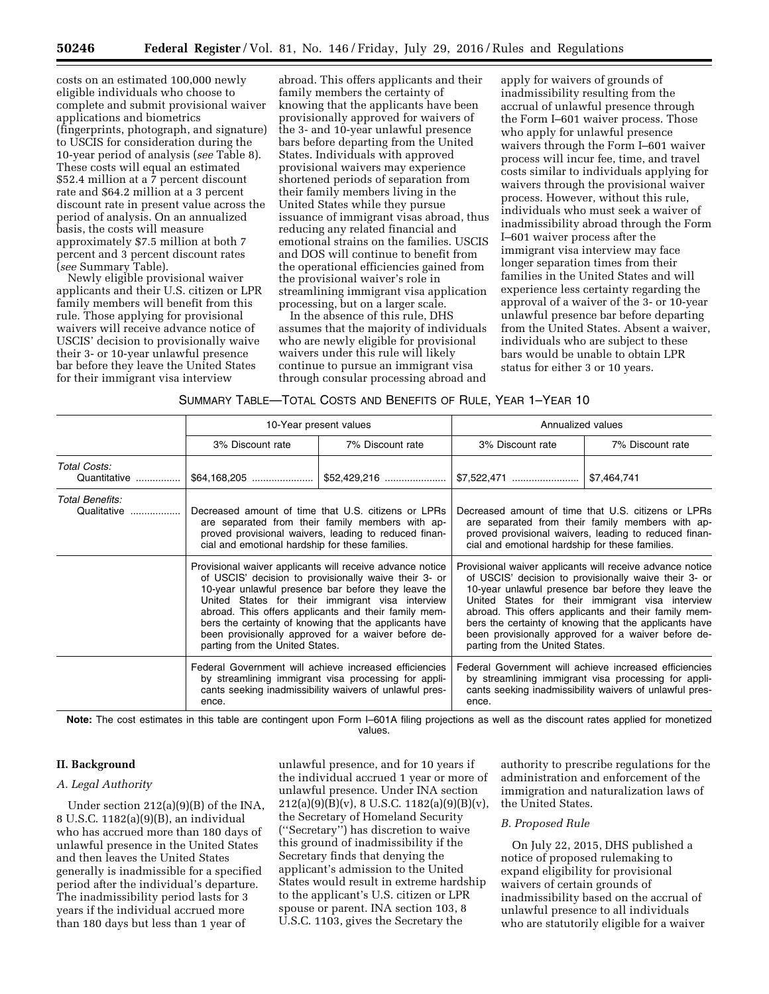costs on an estimated 100,000 newly eligible individuals who choose to complete and submit provisional waiver applications and biometrics (fingerprints, photograph, and signature) to USCIS for consideration during the 10-year period of analysis (*see* Table 8). These costs will equal an estimated \$52.4 million at a 7 percent discount rate and \$64.2 million at a 3 percent discount rate in present value across the period of analysis. On an annualized basis, the costs will measure approximately \$7.5 million at both 7 percent and 3 percent discount rates (*see* Summary Table).

Newly eligible provisional waiver applicants and their U.S. citizen or LPR family members will benefit from this rule. Those applying for provisional waivers will receive advance notice of USCIS' decision to provisionally waive their 3- or 10-year unlawful presence bar before they leave the United States for their immigrant visa interview

abroad. This offers applicants and their family members the certainty of knowing that the applicants have been provisionally approved for waivers of the 3- and 10-year unlawful presence bars before departing from the United States. Individuals with approved provisional waivers may experience shortened periods of separation from their family members living in the United States while they pursue issuance of immigrant visas abroad, thus reducing any related financial and emotional strains on the families. USCIS and DOS will continue to benefit from the operational efficiencies gained from the provisional waiver's role in streamlining immigrant visa application processing, but on a larger scale.

In the absence of this rule, DHS assumes that the majority of individuals who are newly eligible for provisional waivers under this rule will likely continue to pursue an immigrant visa through consular processing abroad and

apply for waivers of grounds of inadmissibility resulting from the accrual of unlawful presence through the Form I–601 waiver process. Those who apply for unlawful presence waivers through the Form I–601 waiver process will incur fee, time, and travel costs similar to individuals applying for waivers through the provisional waiver process. However, without this rule, individuals who must seek a waiver of inadmissibility abroad through the Form I–601 waiver process after the immigrant visa interview may face longer separation times from their families in the United States and will experience less certainty regarding the approval of a waiver of the 3- or 10-year unlawful presence bar before departing from the United States. Absent a waiver, individuals who are subject to these bars would be unable to obtain LPR status for either 3 or 10 years.

#### SUMMARY TABLE—TOTAL COSTS AND BENEFITS OF RULE, YEAR 1–YEAR 10

|                                            | 10-Year present values                                                                                                                                                                                                                                                                                                                                                                                                                    |                                                                                                                                                                           | Annualized values                                                                                                                                                                                                   |                                                                                                                                                                                                                                                                                                                                                                                                        |
|--------------------------------------------|-------------------------------------------------------------------------------------------------------------------------------------------------------------------------------------------------------------------------------------------------------------------------------------------------------------------------------------------------------------------------------------------------------------------------------------------|---------------------------------------------------------------------------------------------------------------------------------------------------------------------------|---------------------------------------------------------------------------------------------------------------------------------------------------------------------------------------------------------------------|--------------------------------------------------------------------------------------------------------------------------------------------------------------------------------------------------------------------------------------------------------------------------------------------------------------------------------------------------------------------------------------------------------|
|                                            | 3% Discount rate                                                                                                                                                                                                                                                                                                                                                                                                                          | 7% Discount rate                                                                                                                                                          | 3% Discount rate                                                                                                                                                                                                    | 7% Discount rate                                                                                                                                                                                                                                                                                                                                                                                       |
| Total Costs:<br>Quantitative               |                                                                                                                                                                                                                                                                                                                                                                                                                                           |                                                                                                                                                                           | \$7,464,741                                                                                                                                                                                                         |                                                                                                                                                                                                                                                                                                                                                                                                        |
| <b>Total Benefits:</b><br>Qualitative<br>. | Decreased amount of time that U.S. citizens or LPRs<br>are separated from their family members with ap-<br>proved provisional waivers, leading to reduced finan-<br>cial and emotional hardship for these families.                                                                                                                                                                                                                       |                                                                                                                                                                           | Decreased amount of time that U.S. citizens or LPRs<br>are separated from their family members with ap-<br>proved provisional waivers, leading to reduced finan-<br>cial and emotional hardship for these families. |                                                                                                                                                                                                                                                                                                                                                                                                        |
|                                            | Provisional waiver applicants will receive advance notice<br>of USCIS' decision to provisionally waive their 3- or<br>10-year unlawful presence bar before they leave the<br>United States for their immigrant visa interview<br>abroad. This offers applicants and their family mem-<br>bers the certainty of knowing that the applicants have<br>been provisionally approved for a waiver before de-<br>parting from the United States. |                                                                                                                                                                           | parting from the United States.                                                                                                                                                                                     | Provisional waiver applicants will receive advance notice<br>of USCIS' decision to provisionally waive their 3- or<br>10-year unlawful presence bar before they leave the<br>United States for their immigrant visa interview<br>abroad. This offers applicants and their family mem-<br>bers the certainty of knowing that the applicants have<br>been provisionally approved for a waiver before de- |
|                                            | ence.                                                                                                                                                                                                                                                                                                                                                                                                                                     | Federal Government will achieve increased efficiencies<br>by streamlining immigrant visa processing for appli-<br>cants seeking inadmissibility waivers of unlawful pres- | Federal Government will achieve increased efficiencies<br>by streamlining immigrant visa processing for appli-<br>cants seeking inadmissibility waivers of unlawful pres-<br>ence.                                  |                                                                                                                                                                                                                                                                                                                                                                                                        |

**Note:** The cost estimates in this table are contingent upon Form I–601A filing projections as well as the discount rates applied for monetized values.

# **II. Background**

# *A. Legal Authority*

Under section 212(a)(9)(B) of the INA, 8 U.S.C. 1182(a)(9)(B), an individual who has accrued more than 180 days of unlawful presence in the United States and then leaves the United States generally is inadmissible for a specified period after the individual's departure. The inadmissibility period lasts for 3 years if the individual accrued more than 180 days but less than 1 year of

unlawful presence, and for 10 years if the individual accrued 1 year or more of unlawful presence. Under INA section  $212(a)(9)(B)(v)$ , 8 U.S.C.  $1182(a)(9)(B)(v)$ , the Secretary of Homeland Security (''Secretary'') has discretion to waive this ground of inadmissibility if the Secretary finds that denying the applicant's admission to the United States would result in extreme hardship to the applicant's U.S. citizen or LPR spouse or parent. INA section 103, 8 U.S.C. 1103, gives the Secretary the

authority to prescribe regulations for the administration and enforcement of the immigration and naturalization laws of the United States.

#### *B. Proposed Rule*

On July 22, 2015, DHS published a notice of proposed rulemaking to expand eligibility for provisional waivers of certain grounds of inadmissibility based on the accrual of unlawful presence to all individuals who are statutorily eligible for a waiver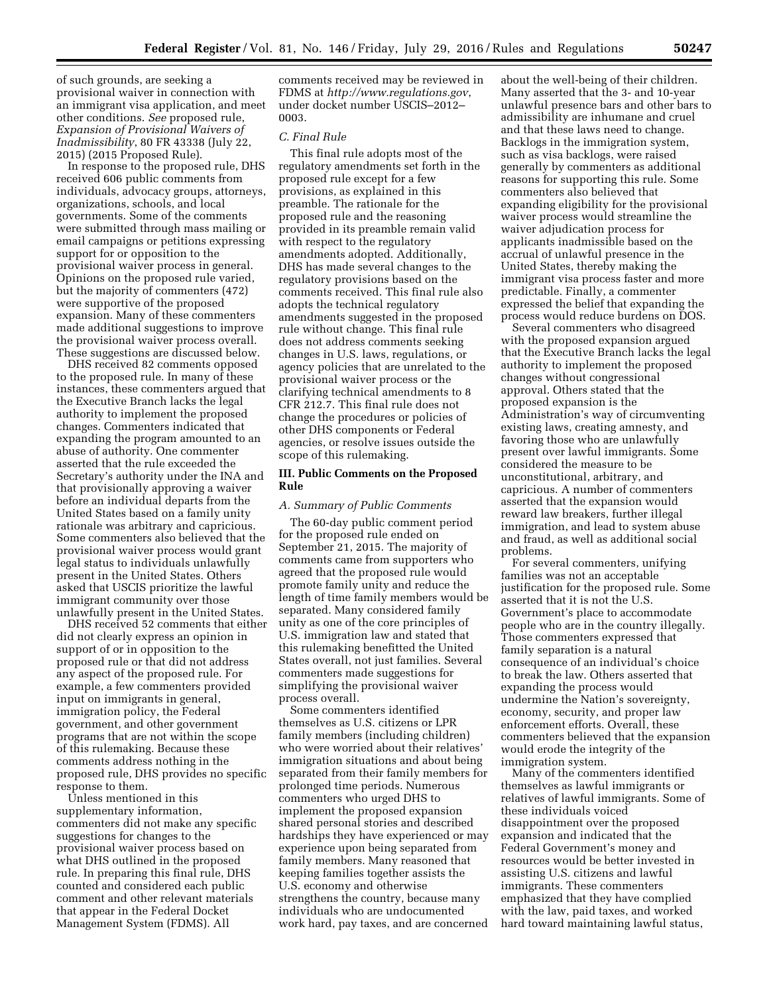of such grounds, are seeking a provisional waiver in connection with an immigrant visa application, and meet other conditions. *See* proposed rule, *Expansion of Provisional Waivers of Inadmissibility*, 80 FR 43338 (July 22, 2015) (2015 Proposed Rule).

In response to the proposed rule, DHS received 606 public comments from individuals, advocacy groups, attorneys, organizations, schools, and local governments. Some of the comments were submitted through mass mailing or email campaigns or petitions expressing support for or opposition to the provisional waiver process in general. Opinions on the proposed rule varied, but the majority of commenters (472) were supportive of the proposed expansion. Many of these commenters made additional suggestions to improve the provisional waiver process overall. These suggestions are discussed below.

DHS received 82 comments opposed to the proposed rule. In many of these instances, these commenters argued that the Executive Branch lacks the legal authority to implement the proposed changes. Commenters indicated that expanding the program amounted to an abuse of authority. One commenter asserted that the rule exceeded the Secretary's authority under the INA and that provisionally approving a waiver before an individual departs from the United States based on a family unity rationale was arbitrary and capricious. Some commenters also believed that the provisional waiver process would grant legal status to individuals unlawfully present in the United States. Others asked that USCIS prioritize the lawful immigrant community over those unlawfully present in the United States.

DHS received 52 comments that either did not clearly express an opinion in support of or in opposition to the proposed rule or that did not address any aspect of the proposed rule. For example, a few commenters provided input on immigrants in general, immigration policy, the Federal government, and other government programs that are not within the scope of this rulemaking. Because these comments address nothing in the proposed rule, DHS provides no specific response to them.

Unless mentioned in this supplementary information, commenters did not make any specific suggestions for changes to the provisional waiver process based on what DHS outlined in the proposed rule. In preparing this final rule, DHS counted and considered each public comment and other relevant materials that appear in the Federal Docket Management System (FDMS). All

comments received may be reviewed in FDMS at *<http://www.regulations.gov>*, under docket number USCIS–2012– 0003.

## *C. Final Rule*

This final rule adopts most of the regulatory amendments set forth in the proposed rule except for a few provisions, as explained in this preamble. The rationale for the proposed rule and the reasoning provided in its preamble remain valid with respect to the regulatory amendments adopted. Additionally, DHS has made several changes to the regulatory provisions based on the comments received. This final rule also adopts the technical regulatory amendments suggested in the proposed rule without change. This final rule does not address comments seeking changes in U.S. laws, regulations, or agency policies that are unrelated to the provisional waiver process or the clarifying technical amendments to 8 CFR 212.7. This final rule does not change the procedures or policies of other DHS components or Federal agencies, or resolve issues outside the scope of this rulemaking.

# **III. Public Comments on the Proposed Rule**

#### *A. Summary of Public Comments*

The 60-day public comment period for the proposed rule ended on September 21, 2015. The majority of comments came from supporters who agreed that the proposed rule would promote family unity and reduce the length of time family members would be separated. Many considered family unity as one of the core principles of U.S. immigration law and stated that this rulemaking benefitted the United States overall, not just families. Several commenters made suggestions for simplifying the provisional waiver process overall.

Some commenters identified themselves as U.S. citizens or LPR family members (including children) who were worried about their relatives' immigration situations and about being separated from their family members for prolonged time periods. Numerous commenters who urged DHS to implement the proposed expansion shared personal stories and described hardships they have experienced or may experience upon being separated from family members. Many reasoned that keeping families together assists the U.S. economy and otherwise strengthens the country, because many individuals who are undocumented work hard, pay taxes, and are concerned about the well-being of their children. Many asserted that the 3- and 10-year unlawful presence bars and other bars to admissibility are inhumane and cruel and that these laws need to change. Backlogs in the immigration system, such as visa backlogs, were raised generally by commenters as additional reasons for supporting this rule. Some commenters also believed that expanding eligibility for the provisional waiver process would streamline the waiver adjudication process for applicants inadmissible based on the accrual of unlawful presence in the United States, thereby making the immigrant visa process faster and more predictable. Finally, a commenter expressed the belief that expanding the process would reduce burdens on DOS.

Several commenters who disagreed with the proposed expansion argued that the Executive Branch lacks the legal authority to implement the proposed changes without congressional approval. Others stated that the proposed expansion is the Administration's way of circumventing existing laws, creating amnesty, and favoring those who are unlawfully present over lawful immigrants. Some considered the measure to be unconstitutional, arbitrary, and capricious. A number of commenters asserted that the expansion would reward law breakers, further illegal immigration, and lead to system abuse and fraud, as well as additional social problems.

For several commenters, unifying families was not an acceptable justification for the proposed rule. Some asserted that it is not the U.S. Government's place to accommodate people who are in the country illegally. Those commenters expressed that family separation is a natural consequence of an individual's choice to break the law. Others asserted that expanding the process would undermine the Nation's sovereignty, economy, security, and proper law enforcement efforts. Overall, these commenters believed that the expansion would erode the integrity of the immigration system.

Many of the commenters identified themselves as lawful immigrants or relatives of lawful immigrants. Some of these individuals voiced disappointment over the proposed expansion and indicated that the Federal Government's money and resources would be better invested in assisting U.S. citizens and lawful immigrants. These commenters emphasized that they have complied with the law, paid taxes, and worked hard toward maintaining lawful status,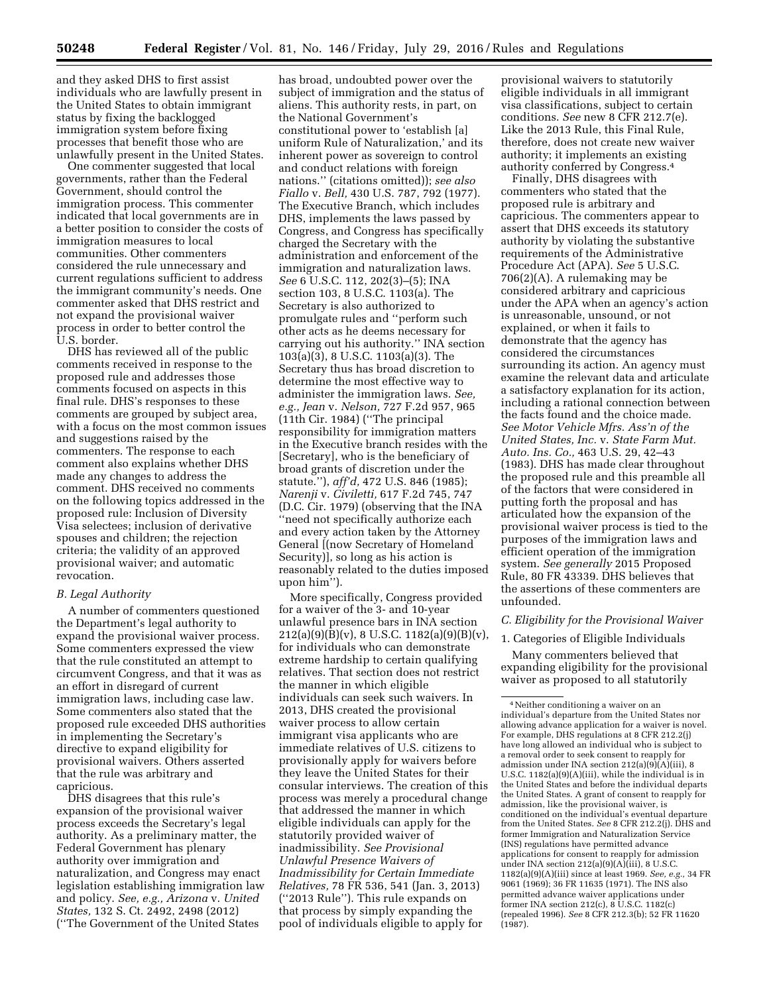and they asked DHS to first assist individuals who are lawfully present in the United States to obtain immigrant status by fixing the backlogged immigration system before fixing processes that benefit those who are unlawfully present in the United States.

One commenter suggested that local governments, rather than the Federal Government, should control the immigration process. This commenter indicated that local governments are in a better position to consider the costs of immigration measures to local communities. Other commenters considered the rule unnecessary and current regulations sufficient to address the immigrant community's needs. One commenter asked that DHS restrict and not expand the provisional waiver process in order to better control the U.S. border.

DHS has reviewed all of the public comments received in response to the proposed rule and addresses those comments focused on aspects in this final rule. DHS's responses to these comments are grouped by subject area, with a focus on the most common issues and suggestions raised by the commenters. The response to each comment also explains whether DHS made any changes to address the comment. DHS received no comments on the following topics addressed in the proposed rule: Inclusion of Diversity Visa selectees; inclusion of derivative spouses and children; the rejection criteria; the validity of an approved provisional waiver; and automatic revocation.

#### *B. Legal Authority*

A number of commenters questioned the Department's legal authority to expand the provisional waiver process. Some commenters expressed the view that the rule constituted an attempt to circumvent Congress, and that it was as an effort in disregard of current immigration laws, including case law. Some commenters also stated that the proposed rule exceeded DHS authorities in implementing the Secretary's directive to expand eligibility for provisional waivers. Others asserted that the rule was arbitrary and capricious.

DHS disagrees that this rule's expansion of the provisional waiver process exceeds the Secretary's legal authority. As a preliminary matter, the Federal Government has plenary authority over immigration and naturalization, and Congress may enact legislation establishing immigration law and policy. *See, e.g., Arizona* v. *United States,* 132 S. Ct. 2492, 2498 (2012) (''The Government of the United States

has broad, undoubted power over the subject of immigration and the status of aliens. This authority rests, in part, on the National Government's constitutional power to 'establish [a] uniform Rule of Naturalization,' and its inherent power as sovereign to control and conduct relations with foreign nations.'' (citations omitted)); *see also Fiallo* v. *Bell,* 430 U.S. 787, 792 (1977). The Executive Branch, which includes DHS, implements the laws passed by Congress, and Congress has specifically charged the Secretary with the administration and enforcement of the immigration and naturalization laws. *See* 6 U.S.C. 112, 202(3)–(5); INA section 103, 8 U.S.C. 1103(a). The Secretary is also authorized to promulgate rules and ''perform such other acts as he deems necessary for carrying out his authority.'' INA section 103(a)(3), 8 U.S.C. 1103(a)(3). The Secretary thus has broad discretion to determine the most effective way to administer the immigration laws. *See, e.g., Jean* v. *Nelson,* 727 F.2d 957, 965 (11th Cir. 1984) (''The principal responsibility for immigration matters in the Executive branch resides with the [Secretary], who is the beneficiary of broad grants of discretion under the statute.''), *aff'd,* 472 U.S. 846 (1985); *Narenji* v. *Civiletti,* 617 F.2d 745, 747 (D.C. Cir. 1979) (observing that the INA ''need not specifically authorize each and every action taken by the Attorney General [(now Secretary of Homeland Security)], so long as his action is reasonably related to the duties imposed upon him'').

More specifically, Congress provided for a waiver of the 3- and 10-year unlawful presence bars in INA section  $212(a)(9)(B)(v)$ , 8 U.S.C.  $1182(a)(9)(B)(v)$ , for individuals who can demonstrate extreme hardship to certain qualifying relatives. That section does not restrict the manner in which eligible individuals can seek such waivers. In 2013, DHS created the provisional waiver process to allow certain immigrant visa applicants who are immediate relatives of U.S. citizens to provisionally apply for waivers before they leave the United States for their consular interviews. The creation of this process was merely a procedural change that addressed the manner in which eligible individuals can apply for the statutorily provided waiver of inadmissibility. *See Provisional Unlawful Presence Waivers of Inadmissibility for Certain Immediate Relatives,* 78 FR 536, 541 (Jan. 3, 2013) (''2013 Rule''). This rule expands on that process by simply expanding the pool of individuals eligible to apply for

provisional waivers to statutorily eligible individuals in all immigrant visa classifications, subject to certain conditions. *See* new 8 CFR 212.7(e). Like the 2013 Rule, this Final Rule, therefore, does not create new waiver authority; it implements an existing authority conferred by Congress.4

Finally, DHS disagrees with commenters who stated that the proposed rule is arbitrary and capricious. The commenters appear to assert that DHS exceeds its statutory authority by violating the substantive requirements of the Administrative Procedure Act (APA). *See* 5 U.S.C. 706(2)(A). A rulemaking may be considered arbitrary and capricious under the APA when an agency's action is unreasonable, unsound, or not explained, or when it fails to demonstrate that the agency has considered the circumstances surrounding its action. An agency must examine the relevant data and articulate a satisfactory explanation for its action, including a rational connection between the facts found and the choice made. *See Motor Vehicle Mfrs. Ass'n of the United States, Inc.* v. *State Farm Mut. Auto. Ins. Co.,* 463 U.S. 29, 42–43 (1983). DHS has made clear throughout the proposed rule and this preamble all of the factors that were considered in putting forth the proposal and has articulated how the expansion of the provisional waiver process is tied to the purposes of the immigration laws and efficient operation of the immigration system. *See generally* 2015 Proposed Rule, 80 FR 43339. DHS believes that the assertions of these commenters are unfounded.

# *C. Eligibility for the Provisional Waiver*

1. Categories of Eligible Individuals

Many commenters believed that expanding eligibility for the provisional waiver as proposed to all statutorily

<sup>4</sup>Neither conditioning a waiver on an individual's departure from the United States nor allowing advance application for a waiver is novel. For example, DHS regulations at 8 CFR 212.2(j) have long allowed an individual who is subject to a removal order to seek consent to reapply for admission under INA section  $212(a)(9)(A)(iii)$ , 8 U.S.C. 1182(a)(9)(A)(iii), while the individual is in the United States and before the individual departs the United States. A grant of consent to reapply for admission, like the provisional waiver, is conditioned on the individual's eventual departure from the United States. *See* 8 CFR 212.2(j). DHS and former Immigration and Naturalization Service (INS) regulations have permitted advance applications for consent to reapply for admission under INA section  $212(a)(9)(A)$ (iii), 8 U.S.C. 1182(a)(9)(A)(iii) since at least 1969. *See, e.g.,* 34 FR 9061 (1969); 36 FR 11635 (1971). The INS also permitted advance waiver applications under former INA section 212(c),  $\overline{8}$  U.S.C. 1182(c) (repealed 1996). *See* 8 CFR 212.3(b); 52 FR 11620  $(1987)$ .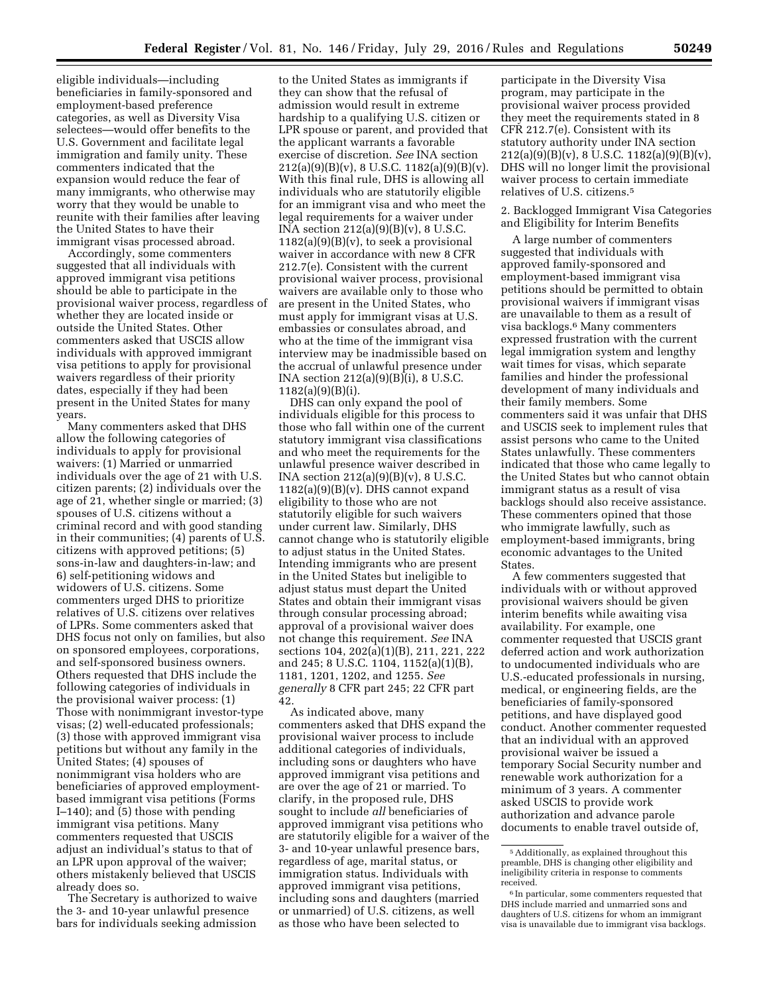eligible individuals—including beneficiaries in family-sponsored and employment-based preference categories, as well as Diversity Visa selectees—would offer benefits to the U.S. Government and facilitate legal immigration and family unity. These commenters indicated that the expansion would reduce the fear of many immigrants, who otherwise may worry that they would be unable to reunite with their families after leaving the United States to have their immigrant visas processed abroad.

Accordingly, some commenters suggested that all individuals with approved immigrant visa petitions should be able to participate in the provisional waiver process, regardless of whether they are located inside or outside the United States. Other commenters asked that USCIS allow individuals with approved immigrant visa petitions to apply for provisional waivers regardless of their priority dates, especially if they had been present in the United States for many years.

Many commenters asked that DHS allow the following categories of individuals to apply for provisional waivers: (1) Married or unmarried individuals over the age of 21 with U.S. citizen parents; (2) individuals over the age of 21, whether single or married; (3) spouses of U.S. citizens without a criminal record and with good standing in their communities; (4) parents of U.S. citizens with approved petitions; (5) sons-in-law and daughters-in-law; and 6) self-petitioning widows and widowers of U.S. citizens. Some commenters urged DHS to prioritize relatives of U.S. citizens over relatives of LPRs. Some commenters asked that DHS focus not only on families, but also on sponsored employees, corporations, and self-sponsored business owners. Others requested that DHS include the following categories of individuals in the provisional waiver process: (1) Those with nonimmigrant investor-type visas; (2) well-educated professionals; (3) those with approved immigrant visa petitions but without any family in the United States; (4) spouses of nonimmigrant visa holders who are beneficiaries of approved employmentbased immigrant visa petitions (Forms I–140); and (5) those with pending immigrant visa petitions. Many commenters requested that USCIS adjust an individual's status to that of an LPR upon approval of the waiver; others mistakenly believed that USCIS already does so.

The Secretary is authorized to waive the 3- and 10-year unlawful presence bars for individuals seeking admission

to the United States as immigrants if they can show that the refusal of admission would result in extreme hardship to a qualifying U.S. citizen or LPR spouse or parent, and provided that the applicant warrants a favorable exercise of discretion. *See* INA section  $212(a)(9)(B)(v)$ , 8 U.S.C. 1182(a)(9)(B)(v). With this final rule, DHS is allowing all individuals who are statutorily eligible for an immigrant visa and who meet the legal requirements for a waiver under INA section  $212(a)(9)(B)(v)$ , 8 U.S.C.  $1182(a)(9)(B)(v)$ , to seek a provisional waiver in accordance with new 8 CFR 212.7(e). Consistent with the current provisional waiver process, provisional waivers are available only to those who are present in the United States, who must apply for immigrant visas at U.S. embassies or consulates abroad, and who at the time of the immigrant visa interview may be inadmissible based on the accrual of unlawful presence under INA section 212(a)(9)(B)(i), 8 U.S.C. 1182(a)(9)(B)(i).

DHS can only expand the pool of individuals eligible for this process to those who fall within one of the current statutory immigrant visa classifications and who meet the requirements for the unlawful presence waiver described in INA section 212(a)(9)(B)(v), 8 U.S.C.  $1182(a)(9)(B)(v)$ . DHS cannot expand eligibility to those who are not statutorily eligible for such waivers under current law. Similarly, DHS cannot change who is statutorily eligible to adjust status in the United States. Intending immigrants who are present in the United States but ineligible to adjust status must depart the United States and obtain their immigrant visas through consular processing abroad; approval of a provisional waiver does not change this requirement. *See* INA sections 104, 202(a)(1)(B), 211, 221, 222 and 245; 8 U.S.C. 1104, 1152(a)(1)(B), 1181, 1201, 1202, and 1255. *See generally* 8 CFR part 245; 22 CFR part 42.

As indicated above, many commenters asked that DHS expand the provisional waiver process to include additional categories of individuals, including sons or daughters who have approved immigrant visa petitions and are over the age of 21 or married. To clarify, in the proposed rule, DHS sought to include *all* beneficiaries of approved immigrant visa petitions who are statutorily eligible for a waiver of the 3- and 10-year unlawful presence bars, regardless of age, marital status, or immigration status. Individuals with approved immigrant visa petitions, including sons and daughters (married or unmarried) of U.S. citizens, as well as those who have been selected to

participate in the Diversity Visa program, may participate in the provisional waiver process provided they meet the requirements stated in 8 CFR 212.7(e). Consistent with its statutory authority under INA section  $212(a)(9)(B)(v)$ , 8 U.S.C.  $1182(a)(9)(B)(v)$ , DHS will no longer limit the provisional waiver process to certain immediate relatives of U.S. citizens.5

2. Backlogged Immigrant Visa Categories and Eligibility for Interim Benefits

A large number of commenters suggested that individuals with approved family-sponsored and employment-based immigrant visa petitions should be permitted to obtain provisional waivers if immigrant visas are unavailable to them as a result of visa backlogs.6 Many commenters expressed frustration with the current legal immigration system and lengthy wait times for visas, which separate families and hinder the professional development of many individuals and their family members. Some commenters said it was unfair that DHS and USCIS seek to implement rules that assist persons who came to the United States unlawfully. These commenters indicated that those who came legally to the United States but who cannot obtain immigrant status as a result of visa backlogs should also receive assistance. These commenters opined that those who immigrate lawfully, such as employment-based immigrants, bring economic advantages to the United States.

A few commenters suggested that individuals with or without approved provisional waivers should be given interim benefits while awaiting visa availability. For example, one commenter requested that USCIS grant deferred action and work authorization to undocumented individuals who are U.S.-educated professionals in nursing, medical, or engineering fields, are the beneficiaries of family-sponsored petitions, and have displayed good conduct. Another commenter requested that an individual with an approved provisional waiver be issued a temporary Social Security number and renewable work authorization for a minimum of 3 years. A commenter asked USCIS to provide work authorization and advance parole documents to enable travel outside of,

<sup>5</sup>Additionally, as explained throughout this preamble, DHS is changing other eligibility and ineligibility criteria in response to comments received.

<sup>6</sup> In particular, some commenters requested that DHS include married and unmarried sons and daughters of U.S. citizens for whom an immigrant visa is unavailable due to immigrant visa backlogs.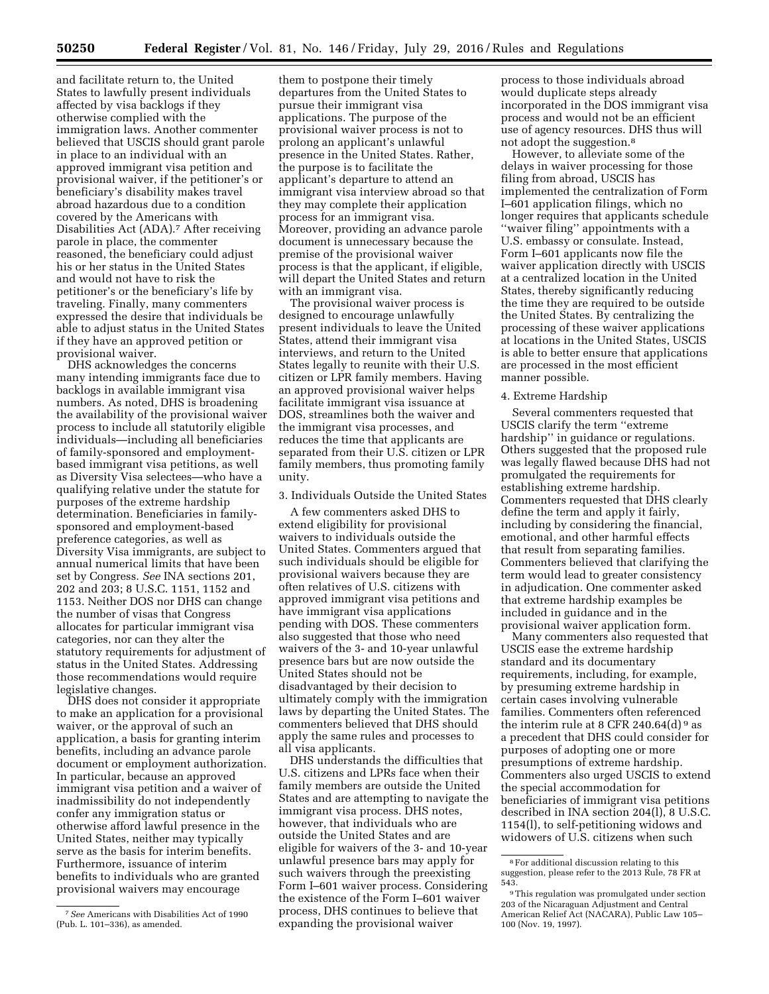and facilitate return to, the United States to lawfully present individuals affected by visa backlogs if they otherwise complied with the immigration laws. Another commenter believed that USCIS should grant parole in place to an individual with an approved immigrant visa petition and provisional waiver, if the petitioner's or beneficiary's disability makes travel abroad hazardous due to a condition covered by the Americans with Disabilities Act (ADA).7 After receiving parole in place, the commenter reasoned, the beneficiary could adjust his or her status in the United States and would not have to risk the petitioner's or the beneficiary's life by traveling. Finally, many commenters expressed the desire that individuals be able to adjust status in the United States if they have an approved petition or provisional waiver.

DHS acknowledges the concerns many intending immigrants face due to backlogs in available immigrant visa numbers. As noted, DHS is broadening the availability of the provisional waiver process to include all statutorily eligible individuals—including all beneficiaries of family-sponsored and employmentbased immigrant visa petitions, as well as Diversity Visa selectees—who have a qualifying relative under the statute for purposes of the extreme hardship determination. Beneficiaries in familysponsored and employment-based preference categories, as well as Diversity Visa immigrants, are subject to annual numerical limits that have been set by Congress. *See* INA sections 201, 202 and 203; 8 U.S.C. 1151, 1152 and 1153. Neither DOS nor DHS can change the number of visas that Congress allocates for particular immigrant visa categories, nor can they alter the statutory requirements for adjustment of status in the United States. Addressing those recommendations would require legislative changes.

DHS does not consider it appropriate to make an application for a provisional waiver, or the approval of such an application, a basis for granting interim benefits, including an advance parole document or employment authorization. In particular, because an approved immigrant visa petition and a waiver of inadmissibility do not independently confer any immigration status or otherwise afford lawful presence in the United States, neither may typically serve as the basis for interim benefits. Furthermore, issuance of interim benefits to individuals who are granted provisional waivers may encourage

them to postpone their timely departures from the United States to pursue their immigrant visa applications. The purpose of the provisional waiver process is not to prolong an applicant's unlawful presence in the United States. Rather, the purpose is to facilitate the applicant's departure to attend an immigrant visa interview abroad so that they may complete their application process for an immigrant visa. Moreover, providing an advance parole document is unnecessary because the premise of the provisional waiver process is that the applicant, if eligible, will depart the United States and return with an immigrant visa.

The provisional waiver process is designed to encourage unlawfully present individuals to leave the United States, attend their immigrant visa interviews, and return to the United States legally to reunite with their U.S. citizen or LPR family members. Having an approved provisional waiver helps facilitate immigrant visa issuance at DOS, streamlines both the waiver and the immigrant visa processes, and reduces the time that applicants are separated from their U.S. citizen or LPR family members, thus promoting family unity.

### 3. Individuals Outside the United States

A few commenters asked DHS to extend eligibility for provisional waivers to individuals outside the United States. Commenters argued that such individuals should be eligible for provisional waivers because they are often relatives of U.S. citizens with approved immigrant visa petitions and have immigrant visa applications pending with DOS. These commenters also suggested that those who need waivers of the 3- and 10-year unlawful presence bars but are now outside the United States should not be disadvantaged by their decision to ultimately comply with the immigration laws by departing the United States. The commenters believed that DHS should apply the same rules and processes to all visa applicants.

DHS understands the difficulties that U.S. citizens and LPRs face when their family members are outside the United States and are attempting to navigate the immigrant visa process. DHS notes, however, that individuals who are outside the United States and are eligible for waivers of the 3- and 10-year unlawful presence bars may apply for such waivers through the preexisting Form I–601 waiver process. Considering the existence of the Form I–601 waiver process, DHS continues to believe that expanding the provisional waiver

process to those individuals abroad would duplicate steps already incorporated in the DOS immigrant visa process and would not be an efficient use of agency resources. DHS thus will not adopt the suggestion.<sup>8</sup>

However, to alleviate some of the delays in waiver processing for those filing from abroad, USCIS has implemented the centralization of Form I–601 application filings, which no longer requires that applicants schedule ''waiver filing'' appointments with a U.S. embassy or consulate. Instead, Form I–601 applicants now file the waiver application directly with USCIS at a centralized location in the United States, thereby significantly reducing the time they are required to be outside the United States. By centralizing the processing of these waiver applications at locations in the United States, USCIS is able to better ensure that applications are processed in the most efficient manner possible.

#### 4. Extreme Hardship

Several commenters requested that USCIS clarify the term ''extreme hardship'' in guidance or regulations. Others suggested that the proposed rule was legally flawed because DHS had not promulgated the requirements for establishing extreme hardship. Commenters requested that DHS clearly define the term and apply it fairly, including by considering the financial, emotional, and other harmful effects that result from separating families. Commenters believed that clarifying the term would lead to greater consistency in adjudication. One commenter asked that extreme hardship examples be included in guidance and in the provisional waiver application form.

Many commenters also requested that USCIS ease the extreme hardship standard and its documentary requirements, including, for example, by presuming extreme hardship in certain cases involving vulnerable families. Commenters often referenced the interim rule at 8 CFR 240.64(d)  $9$  as a precedent that DHS could consider for purposes of adopting one or more presumptions of extreme hardship. Commenters also urged USCIS to extend the special accommodation for beneficiaries of immigrant visa petitions described in INA section 204(l), 8 U.S.C. 1154(l), to self-petitioning widows and widowers of U.S. citizens when such

<sup>7</sup>*See* Americans with Disabilities Act of 1990 (Pub. L. 101–336), as amended.

 $^{\rm 8}$  For additional discussion relating to this suggestion, please refer to the 2013 Rule, 78 FR at 543.

<sup>9</sup>This regulation was promulgated under section 203 of the Nicaraguan Adjustment and Central American Relief Act (NACARA), Public Law 105– 100 (Nov. 19, 1997).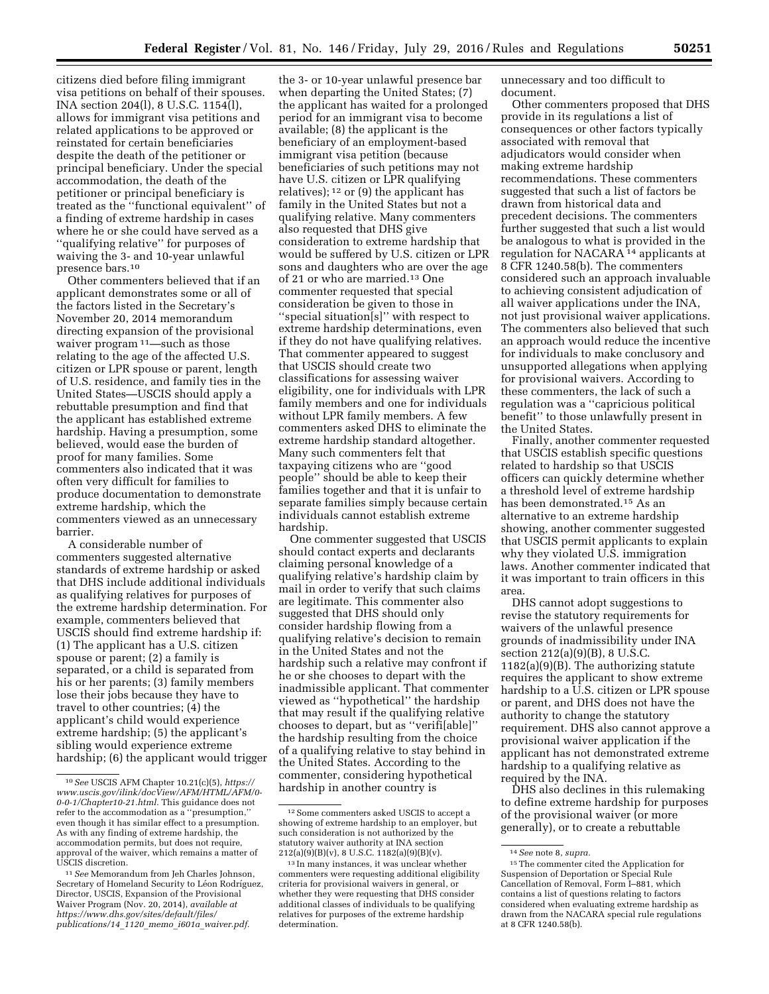citizens died before filing immigrant visa petitions on behalf of their spouses. INA section 204(l), 8 U.S.C. 1154(l), allows for immigrant visa petitions and related applications to be approved or reinstated for certain beneficiaries despite the death of the petitioner or principal beneficiary. Under the special accommodation, the death of the petitioner or principal beneficiary is treated as the ''functional equivalent'' of a finding of extreme hardship in cases where he or she could have served as a ''qualifying relative'' for purposes of waiving the 3- and 10-year unlawful presence bars.10

Other commenters believed that if an applicant demonstrates some or all of the factors listed in the Secretary's November 20, 2014 memorandum directing expansion of the provisional waiver program<sup>11</sup>—such as those relating to the age of the affected U.S. citizen or LPR spouse or parent, length of U.S. residence, and family ties in the United States—USCIS should apply a rebuttable presumption and find that the applicant has established extreme hardship. Having a presumption, some believed, would ease the burden of proof for many families. Some commenters also indicated that it was often very difficult for families to produce documentation to demonstrate extreme hardship, which the commenters viewed as an unnecessary barrier.

A considerable number of commenters suggested alternative standards of extreme hardship or asked that DHS include additional individuals as qualifying relatives for purposes of the extreme hardship determination. For example, commenters believed that USCIS should find extreme hardship if: (1) The applicant has a U.S. citizen spouse or parent; (2) a family is separated, or a child is separated from his or her parents; (3) family members lose their jobs because they have to travel to other countries; (4) the applicant's child would experience extreme hardship; (5) the applicant's sibling would experience extreme hardship; (6) the applicant would trigger

the 3- or 10-year unlawful presence bar when departing the United States; (7) the applicant has waited for a prolonged period for an immigrant visa to become available; (8) the applicant is the beneficiary of an employment-based immigrant visa petition (because beneficiaries of such petitions may not have U.S. citizen or LPR qualifying relatives);  $12$  or (9) the applicant has family in the United States but not a qualifying relative. Many commenters also requested that DHS give consideration to extreme hardship that would be suffered by U.S. citizen or LPR sons and daughters who are over the age of 21 or who are married.13 One commenter requested that special consideration be given to those in ''special situation[s]'' with respect to extreme hardship determinations, even if they do not have qualifying relatives. That commenter appeared to suggest that USCIS should create two classifications for assessing waiver eligibility, one for individuals with LPR family members and one for individuals without LPR family members. A few commenters asked DHS to eliminate the extreme hardship standard altogether. Many such commenters felt that taxpaying citizens who are ''good people'' should be able to keep their families together and that it is unfair to separate families simply because certain individuals cannot establish extreme hardship.

One commenter suggested that USCIS should contact experts and declarants claiming personal knowledge of a qualifying relative's hardship claim by mail in order to verify that such claims are legitimate. This commenter also suggested that DHS should only consider hardship flowing from a qualifying relative's decision to remain in the United States and not the hardship such a relative may confront if he or she chooses to depart with the inadmissible applicant. That commenter viewed as ''hypothetical'' the hardship that may result if the qualifying relative chooses to depart, but as ''verifi[able]'' the hardship resulting from the choice of a qualifying relative to stay behind in the United States. According to the commenter, considering hypothetical hardship in another country is

unnecessary and too difficult to document.

Other commenters proposed that DHS provide in its regulations a list of consequences or other factors typically associated with removal that adjudicators would consider when making extreme hardship recommendations. These commenters suggested that such a list of factors be drawn from historical data and precedent decisions. The commenters further suggested that such a list would be analogous to what is provided in the regulation for NACARA 14 applicants at 8 CFR 1240.58(b). The commenters considered such an approach invaluable to achieving consistent adjudication of all waiver applications under the INA, not just provisional waiver applications. The commenters also believed that such an approach would reduce the incentive for individuals to make conclusory and unsupported allegations when applying for provisional waivers. According to these commenters, the lack of such a regulation was a ''capricious political benefit'' to those unlawfully present in the United States.

Finally, another commenter requested that USCIS establish specific questions related to hardship so that USCIS officers can quickly determine whether a threshold level of extreme hardship has been demonstrated.15 As an alternative to an extreme hardship showing, another commenter suggested that USCIS permit applicants to explain why they violated U.S. immigration laws. Another commenter indicated that it was important to train officers in this area.

DHS cannot adopt suggestions to revise the statutory requirements for waivers of the unlawful presence grounds of inadmissibility under INA section 212(a)(9)(B), 8 U.S.C. 1182(a)(9)(B). The authorizing statute requires the applicant to show extreme hardship to a U.S. citizen or LPR spouse or parent, and DHS does not have the authority to change the statutory requirement. DHS also cannot approve a provisional waiver application if the applicant has not demonstrated extreme hardship to a qualifying relative as required by the INA.

DHS also declines in this rulemaking to define extreme hardship for purposes of the provisional waiver (or more generally), or to create a rebuttable

<sup>10</sup>*See* USCIS AFM Chapter 10.21(c)(5), *[https://](https://www.uscis.gov/ilink/docView/AFM/HTML/AFM/0-0-0-1/Chapter10-21.html) [www.uscis.gov/ilink/docView/AFM/HTML/AFM/0-](https://www.uscis.gov/ilink/docView/AFM/HTML/AFM/0-0-0-1/Chapter10-21.html)  [0-0-1/Chapter10-21.html.](https://www.uscis.gov/ilink/docView/AFM/HTML/AFM/0-0-0-1/Chapter10-21.html)* This guidance does not refer to the accommodation as a ''presumption,'' even though it has similar effect to a presumption. As with any finding of extreme hardship, the accommodation permits, but does not require, approval of the waiver, which remains a matter of USCIS discretion.

<sup>11</sup>*See* Memorandum from Jeh Charles Johnson, Secretary of Homeland Security to Léon Rodríguez, Director, USCIS, Expansion of the Provisional Waiver Program (Nov. 20, 2014), *available at [https://www.dhs.gov/sites/default/files/](https://www.dhs.gov/sites/default/files/publications/14_1120_memo_i601a_waiver.pdf) [publications/14](https://www.dhs.gov/sites/default/files/publications/14_1120_memo_i601a_waiver.pdf)*\_*1120*\_*memo*\_*i601a*\_*waiver.pdf.* 

<sup>12</sup>Some commenters asked USCIS to accept a showing of extreme hardship to an employer, but such consideration is not authorized by the statutory waiver authority at INA section  $212(a)(9)(B)(v)$ , 8 U.S.C.  $1182(a)(9)(B)(v)$ .

<sup>13</sup> In many instances, it was unclear whether commenters were requesting additional eligibility criteria for provisional waivers in general, or whether they were requesting that DHS consider additional classes of individuals to be qualifying relatives for purposes of the extreme hardship determination.

<sup>14</sup>*See* note 8, *supra.* 

<sup>15</sup>The commenter cited the Application for Suspension of Deportation or Special Rule Cancellation of Removal, Form I–881, which contains a list of questions relating to factors considered when evaluating extreme hardship as drawn from the NACARA special rule regulations at 8 CFR 1240.58(b).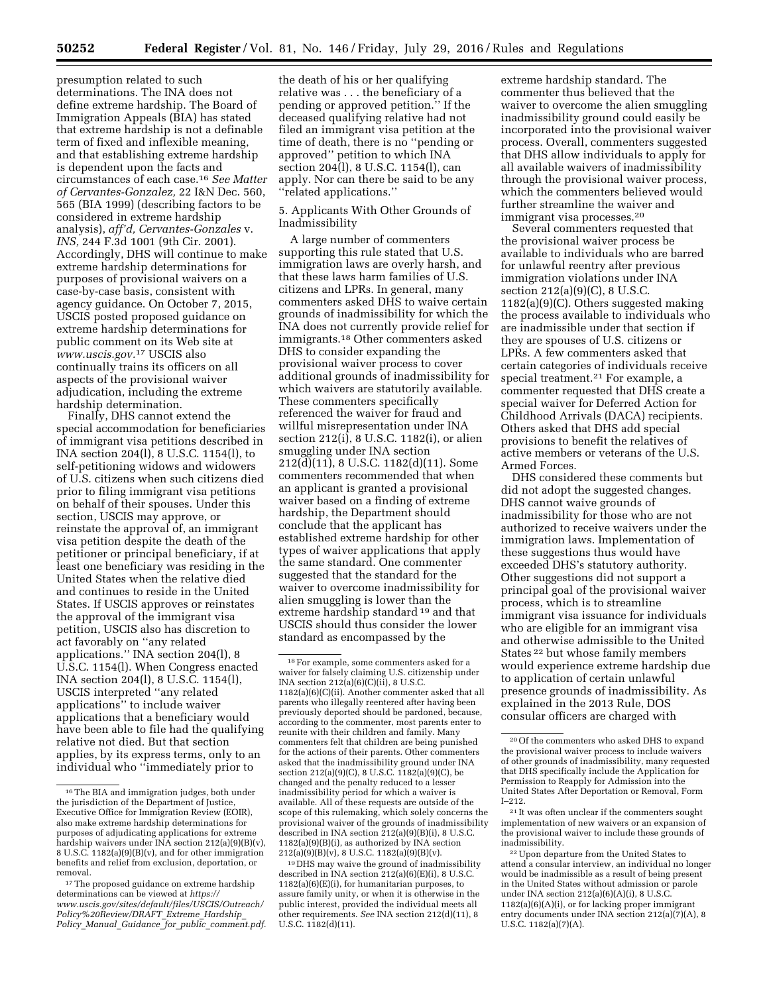presumption related to such determinations. The INA does not define extreme hardship. The Board of Immigration Appeals (BIA) has stated that extreme hardship is not a definable term of fixed and inflexible meaning, and that establishing extreme hardship is dependent upon the facts and circumstances of each case.16 *See Matter of Cervantes-Gonzalez,* 22 I&N Dec. 560, 565 (BIA 1999) (describing factors to be considered in extreme hardship analysis), *aff'd, Cervantes-Gonzales* v. *INS,* 244 F.3d 1001 (9th Cir. 2001). Accordingly, DHS will continue to make extreme hardship determinations for purposes of provisional waivers on a case-by-case basis, consistent with agency guidance. On October 7, 2015, USCIS posted proposed guidance on extreme hardship determinations for public comment on its Web site at *[www.uscis.gov.](http://www.uscis.gov)*17 USCIS also continually trains its officers on all aspects of the provisional waiver adjudication, including the extreme hardship determination.

Finally, DHS cannot extend the special accommodation for beneficiaries of immigrant visa petitions described in INA section 204(l), 8 U.S.C. 1154(l), to self-petitioning widows and widowers of U.S. citizens when such citizens died prior to filing immigrant visa petitions on behalf of their spouses. Under this section, USCIS may approve, or reinstate the approval of, an immigrant visa petition despite the death of the petitioner or principal beneficiary, if at least one beneficiary was residing in the United States when the relative died and continues to reside in the United States. If USCIS approves or reinstates the approval of the immigrant visa petition, USCIS also has discretion to act favorably on ''any related applications.'' INA section 204(l), 8 U.S.C. 1154(l). When Congress enacted INA section 204(l), 8 U.S.C. 1154(l), USCIS interpreted ''any related applications'' to include waiver applications that a beneficiary would have been able to file had the qualifying relative not died. But that section applies, by its express terms, only to an individual who ''immediately prior to

the death of his or her qualifying relative was . . . the beneficiary of a pending or approved petition.'' If the deceased qualifying relative had not filed an immigrant visa petition at the time of death, there is no ''pending or approved'' petition to which INA section 204(l), 8 U.S.C. 1154(l), can apply. Nor can there be said to be any ''related applications.''

5. Applicants With Other Grounds of Inadmissibility

A large number of commenters supporting this rule stated that U.S. immigration laws are overly harsh, and that these laws harm families of U.S. citizens and LPRs. In general, many commenters asked DHS to waive certain grounds of inadmissibility for which the INA does not currently provide relief for immigrants.18 Other commenters asked DHS to consider expanding the provisional waiver process to cover additional grounds of inadmissibility for which waivers are statutorily available. These commenters specifically referenced the waiver for fraud and willful misrepresentation under INA section 212(i), 8 U.S.C. 1182(i), or alien smuggling under INA section 212(d)(11), 8 U.S.C. 1182(d)(11). Some commenters recommended that when an applicant is granted a provisional waiver based on a finding of extreme hardship, the Department should conclude that the applicant has established extreme hardship for other types of waiver applications that apply the same standard. One commenter suggested that the standard for the waiver to overcome inadmissibility for alien smuggling is lower than the extreme hardship standard 19 and that USCIS should thus consider the lower standard as encompassed by the

19 DHS may waive the ground of inadmissibility described in INA section 212(a)(6)(E)(i), 8 U.S.C. 1182(a)(6)(E)(i), for humanitarian purposes, to assure family unity, or when it is otherwise in the public interest, provided the individual meets all other requirements. *See* INA section 212(d)(11), 8 U.S.C. 1182(d)(11).

extreme hardship standard. The commenter thus believed that the waiver to overcome the alien smuggling inadmissibility ground could easily be incorporated into the provisional waiver process. Overall, commenters suggested that DHS allow individuals to apply for all available waivers of inadmissibility through the provisional waiver process, which the commenters believed would further streamline the waiver and immigrant visa processes.20

Several commenters requested that the provisional waiver process be available to individuals who are barred for unlawful reentry after previous immigration violations under INA section 212(a)(9)(C), 8 U.S.C. 1182(a)(9)(C). Others suggested making the process available to individuals who are inadmissible under that section if they are spouses of U.S. citizens or LPRs. A few commenters asked that certain categories of individuals receive special treatment.21 For example, a commenter requested that DHS create a special waiver for Deferred Action for Childhood Arrivals (DACA) recipients. Others asked that DHS add special provisions to benefit the relatives of active members or veterans of the U.S. Armed Forces.

DHS considered these comments but did not adopt the suggested changes. DHS cannot waive grounds of inadmissibility for those who are not authorized to receive waivers under the immigration laws. Implementation of these suggestions thus would have exceeded DHS's statutory authority. Other suggestions did not support a principal goal of the provisional waiver process, which is to streamline immigrant visa issuance for individuals who are eligible for an immigrant visa and otherwise admissible to the United States 22 but whose family members would experience extreme hardship due to application of certain unlawful presence grounds of inadmissibility. As explained in the 2013 Rule, DOS consular officers are charged with

<sup>16</sup>The BIA and immigration judges, both under the jurisdiction of the Department of Justice, Executive Office for Immigration Review (EOIR), also make extreme hardship determinations for purposes of adjudicating applications for extreme hardship waivers under INA section 212(a)(9)(B)(v), 8 U.S.C. 1182(a)(9)(B)(v), and for other immigration benefits and relief from exclusion, deportation, or removal.

<sup>&</sup>lt;sup>17</sup>The proposed guidance on extreme hardship determinations can be viewed at *[https://](https://www.uscis.gov/sites/default/files/USCIS/Outreach/Policy%20Review/DRAFT_Extreme_Hardship_Policy_Manual_Guidance_for_public_comment.pdf) [www.uscis.gov/sites/default/files/USCIS/Outreach/](https://www.uscis.gov/sites/default/files/USCIS/Outreach/Policy%20Review/DRAFT_Extreme_Hardship_Policy_Manual_Guidance_for_public_comment.pdf) [Policy%20Review/DRAFT](https://www.uscis.gov/sites/default/files/USCIS/Outreach/Policy%20Review/DRAFT_Extreme_Hardship_Policy_Manual_Guidance_for_public_comment.pdf)*\_*Extreme*\_*Hardship*\_ *Policy*\_*Manual*\_*Guidance*\_*for*\_*public*\_*[comment.pdf.](https://www.uscis.gov/sites/default/files/USCIS/Outreach/Policy%20Review/DRAFT_Extreme_Hardship_Policy_Manual_Guidance_for_public_comment.pdf)* 

<sup>18</sup>For example, some commenters asked for a waiver for falsely claiming U.S. citizenship under INA section  $212(a)(6)(C)(ii)$ , 8 U.S.C. 1182(a)(6)(C)(ii). Another commenter asked that all parents who illegally reentered after having been previously deported should be pardoned, because, according to the commenter, most parents enter to reunite with their children and family. Many commenters felt that children are being punished for the actions of their parents. Other commenters asked that the inadmissibility ground under INA section  $212(a)(9)(C)$ , 8 U.S.C.  $1182(a)(9)(C)$ , be changed and the penalty reduced to a lesser inadmissibility period for which a waiver is available. All of these requests are outside of the scope of this rulemaking, which solely concerns the provisional waiver of the grounds of inadmissibility described in INA section 212(a)(9)(B)(i), 8 U.S.C. 1182(a)(9)(B)(i), as authorized by INA section  $212(a)(9)(B)(v)$ , 8 U.S.C.  $1182(a)(9)(B)(v)$ .

<sup>20</sup>Of the commenters who asked DHS to expand the provisional waiver process to include waivers of other grounds of inadmissibility, many requested that DHS specifically include the Application for Permission to Reapply for Admission into the United States After Deportation or Removal, Form I–212.

<sup>21</sup> It was often unclear if the commenters sought implementation of new waivers or an expansion of the provisional waiver to include these grounds of inadmissibility.

<sup>22</sup>Upon departure from the United States to attend a consular interview, an individual no longer would be inadmissible as a result of being present in the United States without admission or parole under INA section 212(a)(6)(A)(i), 8 U.S.C. 1182(a)(6)(A)(i), or for lacking proper immigrant entry documents under INA section 212(a)(7)(A), 8 U.S.C. 1182(a)(7)(A).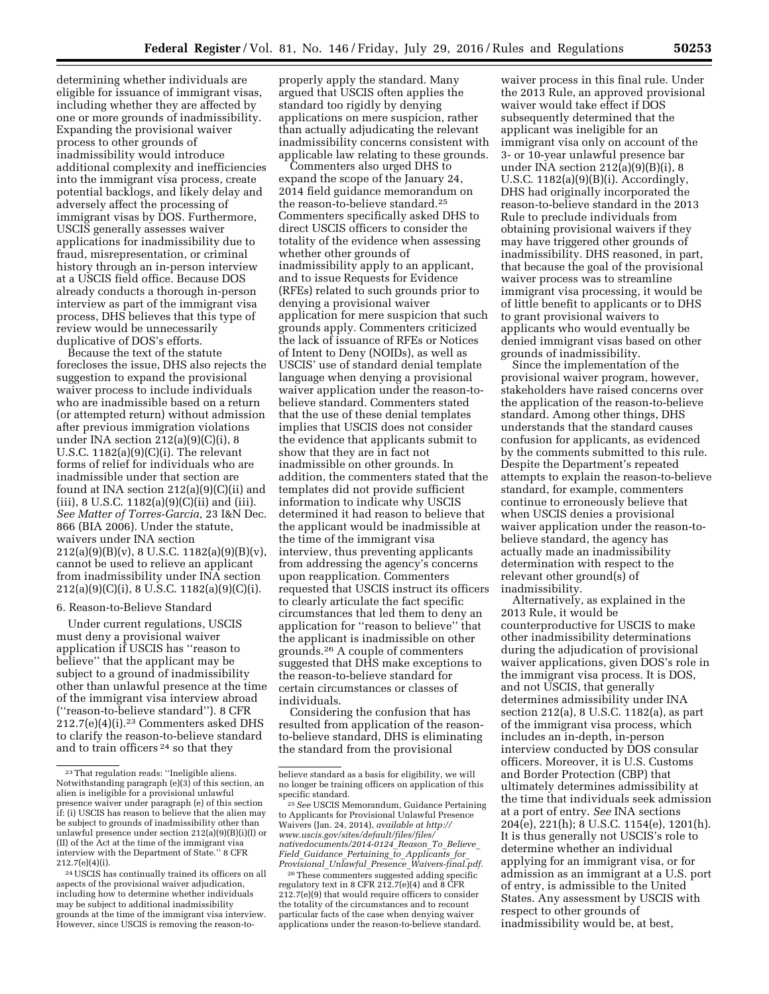determining whether individuals are eligible for issuance of immigrant visas, including whether they are affected by one or more grounds of inadmissibility. Expanding the provisional waiver process to other grounds of inadmissibility would introduce additional complexity and inefficiencies into the immigrant visa process, create potential backlogs, and likely delay and adversely affect the processing of immigrant visas by DOS. Furthermore, USCIS generally assesses waiver applications for inadmissibility due to fraud, misrepresentation, or criminal history through an in-person interview

at a USCIS field office. Because DOS already conducts a thorough in-person interview as part of the immigrant visa process, DHS believes that this type of review would be unnecessarily duplicative of DOS's efforts.

Because the text of the statute forecloses the issue, DHS also rejects the suggestion to expand the provisional waiver process to include individuals who are inadmissible based on a return (or attempted return) without admission after previous immigration violations under INA section  $212(a)(9)(C)(i)$ , 8 U.S.C. 1182(a)(9)(C)(i). The relevant forms of relief for individuals who are inadmissible under that section are found at INA section 212(a)(9)(C)(ii) and  $(iii)$ , 8 U.S.C. 1182 $(a)(9)(C)(ii)$  and  $(iii)$ . *See Matter of Torres-Garcia,* 23 I&N Dec. 866 (BIA 2006). Under the statute, waivers under INA section  $212(a)(9)(B)(v)$ , 8 U.S.C.  $1182(a)(9)(B)(v)$ , cannot be used to relieve an applicant from inadmissibility under INA section 212(a)(9)(C)(i), 8 U.S.C. 1182(a)(9)(C)(i).

#### 6. Reason-to-Believe Standard

Under current regulations, USCIS must deny a provisional waiver application if USCIS has ''reason to believe'' that the applicant may be subject to a ground of inadmissibility other than unlawful presence at the time of the immigrant visa interview abroad (''reason-to-believe standard''). 8 CFR 212.7(e)(4)(i).23 Commenters asked DHS to clarify the reason-to-believe standard and to train officers 24 so that they

properly apply the standard. Many argued that USCIS often applies the standard too rigidly by denying applications on mere suspicion, rather than actually adjudicating the relevant inadmissibility concerns consistent with applicable law relating to these grounds.

Commenters also urged DHS to expand the scope of the January 24, 2014 field guidance memorandum on the reason-to-believe standard.25 Commenters specifically asked DHS to direct USCIS officers to consider the totality of the evidence when assessing whether other grounds of inadmissibility apply to an applicant, and to issue Requests for Evidence (RFEs) related to such grounds prior to denying a provisional waiver application for mere suspicion that such grounds apply. Commenters criticized the lack of issuance of RFEs or Notices of Intent to Deny (NOIDs), as well as USCIS' use of standard denial template language when denying a provisional waiver application under the reason-tobelieve standard. Commenters stated that the use of these denial templates implies that USCIS does not consider the evidence that applicants submit to show that they are in fact not inadmissible on other grounds. In addition, the commenters stated that the templates did not provide sufficient information to indicate why USCIS determined it had reason to believe that the applicant would be inadmissible at the time of the immigrant visa interview, thus preventing applicants from addressing the agency's concerns upon reapplication. Commenters requested that USCIS instruct its officers to clearly articulate the fact specific circumstances that led them to deny an application for ''reason to believe'' that the applicant is inadmissible on other grounds.26 A couple of commenters suggested that DHS make exceptions to the reason-to-believe standard for certain circumstances or classes of individuals.

Considering the confusion that has resulted from application of the reasonto-believe standard, DHS is eliminating the standard from the provisional

26These commenters suggested adding specific regulatory text in 8 CFR 212.7(e)(4) and 8 CFR 212.7(e)(9) that would require officers to consider the totality of the circumstances and to recount particular facts of the case when denying waiver applications under the reason-to-believe standard.

waiver process in this final rule. Under the 2013 Rule, an approved provisional waiver would take effect if DOS subsequently determined that the applicant was ineligible for an immigrant visa only on account of the 3- or 10-year unlawful presence bar under INA section 212(a)(9)(B)(i), 8 U.S.C. 1182(a)(9)(B)(i). Accordingly, DHS had originally incorporated the reason-to-believe standard in the 2013 Rule to preclude individuals from obtaining provisional waivers if they may have triggered other grounds of inadmissibility. DHS reasoned, in part, that because the goal of the provisional waiver process was to streamline immigrant visa processing, it would be of little benefit to applicants or to DHS to grant provisional waivers to applicants who would eventually be denied immigrant visas based on other grounds of inadmissibility.

Since the implementation of the provisional waiver program, however, stakeholders have raised concerns over the application of the reason-to-believe standard. Among other things, DHS understands that the standard causes confusion for applicants, as evidenced by the comments submitted to this rule. Despite the Department's repeated attempts to explain the reason-to-believe standard, for example, commenters continue to erroneously believe that when USCIS denies a provisional waiver application under the reason-tobelieve standard, the agency has actually made an inadmissibility determination with respect to the relevant other ground(s) of inadmissibility.

Alternatively, as explained in the 2013 Rule, it would be counterproductive for USCIS to make other inadmissibility determinations during the adjudication of provisional waiver applications, given DOS's role in the immigrant visa process. It is DOS, and not USCIS, that generally determines admissibility under INA section 212(a), 8 U.S.C. 1182(a), as part of the immigrant visa process, which includes an in-depth, in-person interview conducted by DOS consular officers. Moreover, it is U.S. Customs and Border Protection (CBP) that ultimately determines admissibility at the time that individuals seek admission at a port of entry. *See* INA sections 204(e), 221(h); 8 U.S.C. 1154(e), 1201(h). It is thus generally not USCIS's role to determine whether an individual applying for an immigrant visa, or for admission as an immigrant at a U.S. port of entry, is admissible to the United States. Any assessment by USCIS with respect to other grounds of inadmissibility would be, at best,

<sup>23</sup>That regulation reads: ''Ineligible aliens. Notwithstanding paragraph (e)(3) of this section, an alien is ineligible for a provisional unlawful presence waiver under paragraph (e) of this section if: (i) USCIS has reason to believe that the alien may be subject to grounds of inadmissibility other than unlawful presence under section 212(a)(9)(B)(i)(I) or (II) of the Act at the time of the immigrant visa interview with the Department of State.'' 8 CFR  $212.7(e)(4)(i)$ .

<sup>24</sup>USCIS has continually trained its officers on all aspects of the provisional waiver adjudication, including how to determine whether individuals may be subject to additional inadmissibility grounds at the time of the immigrant visa interview. However, since USCIS is removing the reason-to-

believe standard as a basis for eligibility, we will no longer be training officers on application of this specific standard. 25*See* USCIS Memorandum, Guidance Pertaining

to Applicants for Provisional Unlawful Presence Waivers (Jan. 24, 2014), *available at [http://](http://www.uscis.gov/sites/default/files/files/nativedocuments/2014-0124_Reason_To_Believe_Field_Guidance_Pertaining_to_Applicants_for_Provisional_Unlawful_Presence_Waivers-final.pdf) [www.uscis.gov/sites/default/files/files/](http://www.uscis.gov/sites/default/files/files/nativedocuments/2014-0124_Reason_To_Believe_Field_Guidance_Pertaining_to_Applicants_for_Provisional_Unlawful_Presence_Waivers-final.pdf) [nativedocuments/2014-0124](http://www.uscis.gov/sites/default/files/files/nativedocuments/2014-0124_Reason_To_Believe_Field_Guidance_Pertaining_to_Applicants_for_Provisional_Unlawful_Presence_Waivers-final.pdf)*\_*Reason*\_*To*\_*Believe*\_ *Field*\_*Guidance*\_*Pertaining*\_*to*\_*[Applicants](http://www.uscis.gov/sites/default/files/files/nativedocuments/2014-0124_Reason_To_Believe_Field_Guidance_Pertaining_to_Applicants_for_Provisional_Unlawful_Presence_Waivers-final.pdf)*\_*for*\_ *Provisional*\_*Unlawful*\_*Presence*\_*[Waivers-final.pdf.](http://www.uscis.gov/sites/default/files/files/nativedocuments/2014-0124_Reason_To_Believe_Field_Guidance_Pertaining_to_Applicants_for_Provisional_Unlawful_Presence_Waivers-final.pdf)*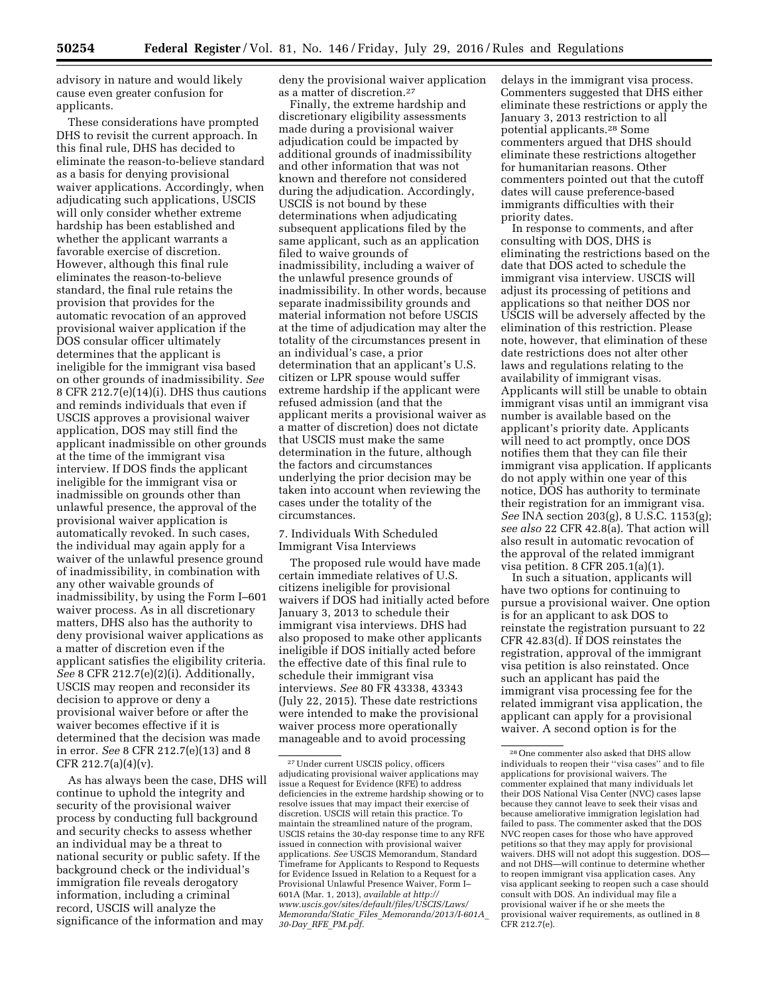advisory in nature and would likely cause even greater confusion for applicants.

These considerations have prompted DHS to revisit the current approach. In this final rule, DHS has decided to eliminate the reason-to-believe standard as a basis for denying provisional waiver applications. Accordingly, when adjudicating such applications, USCIS will only consider whether extreme hardship has been established and whether the applicant warrants a favorable exercise of discretion. However, although this final rule eliminates the reason-to-believe standard, the final rule retains the provision that provides for the automatic revocation of an approved provisional waiver application if the DOS consular officer ultimately determines that the applicant is ineligible for the immigrant visa based on other grounds of inadmissibility. *See*  8 CFR 212.7(e)(14)(i). DHS thus cautions and reminds individuals that even if USCIS approves a provisional waiver application, DOS may still find the applicant inadmissible on other grounds at the time of the immigrant visa interview. If DOS finds the applicant ineligible for the immigrant visa or inadmissible on grounds other than unlawful presence, the approval of the provisional waiver application is automatically revoked. In such cases, the individual may again apply for a waiver of the unlawful presence ground of inadmissibility, in combination with any other waivable grounds of inadmissibility, by using the Form I–601 waiver process. As in all discretionary matters, DHS also has the authority to deny provisional waiver applications as a matter of discretion even if the applicant satisfies the eligibility criteria. *See* 8 CFR 212.7(e)(2)(i). Additionally, USCIS may reopen and reconsider its decision to approve or deny a provisional waiver before or after the waiver becomes effective if it is determined that the decision was made in error. *See* 8 CFR 212.7(e)(13) and 8 CFR 212.7(a)(4)(v).

As has always been the case, DHS will continue to uphold the integrity and security of the provisional waiver process by conducting full background and security checks to assess whether an individual may be a threat to national security or public safety. If the background check or the individual's immigration file reveals derogatory information, including a criminal record, USCIS will analyze the significance of the information and may

deny the provisional waiver application as a matter of discretion.27

Finally, the extreme hardship and discretionary eligibility assessments made during a provisional waiver adjudication could be impacted by additional grounds of inadmissibility and other information that was not known and therefore not considered during the adjudication. Accordingly, USCIS is not bound by these determinations when adjudicating subsequent applications filed by the same applicant, such as an application filed to waive grounds of inadmissibility, including a waiver of the unlawful presence grounds of inadmissibility. In other words, because separate inadmissibility grounds and material information not before USCIS at the time of adjudication may alter the totality of the circumstances present in an individual's case, a prior determination that an applicant's U.S. citizen or LPR spouse would suffer extreme hardship if the applicant were refused admission (and that the applicant merits a provisional waiver as a matter of discretion) does not dictate that USCIS must make the same determination in the future, although the factors and circumstances underlying the prior decision may be taken into account when reviewing the cases under the totality of the circumstances.

7. Individuals With Scheduled Immigrant Visa Interviews

The proposed rule would have made certain immediate relatives of U.S. citizens ineligible for provisional waivers if DOS had initially acted before January 3, 2013 to schedule their immigrant visa interviews. DHS had also proposed to make other applicants ineligible if DOS initially acted before the effective date of this final rule to schedule their immigrant visa interviews. *See* 80 FR 43338, 43343 (July 22, 2015). These date restrictions were intended to make the provisional waiver process more operationally manageable and to avoid processing

delays in the immigrant visa process. Commenters suggested that DHS either eliminate these restrictions or apply the January 3, 2013 restriction to all potential applicants.28 Some commenters argued that DHS should eliminate these restrictions altogether for humanitarian reasons. Other commenters pointed out that the cutoff dates will cause preference-based immigrants difficulties with their priority dates.

In response to comments, and after consulting with DOS, DHS is eliminating the restrictions based on the date that DOS acted to schedule the immigrant visa interview. USCIS will adjust its processing of petitions and applications so that neither DOS nor USCIS will be adversely affected by the elimination of this restriction. Please note, however, that elimination of these date restrictions does not alter other laws and regulations relating to the availability of immigrant visas. Applicants will still be unable to obtain immigrant visas until an immigrant visa number is available based on the applicant's priority date. Applicants will need to act promptly, once DOS notifies them that they can file their immigrant visa application. If applicants do not apply within one year of this notice, DOS has authority to terminate their registration for an immigrant visa. *See* INA section 203(g), 8 U.S.C. 1153(g); *see also* 22 CFR 42.8(a). That action will also result in automatic revocation of the approval of the related immigrant visa petition. 8 CFR 205.1(a)(1).

In such a situation, applicants will have two options for continuing to pursue a provisional waiver. One option is for an applicant to ask DOS to reinstate the registration pursuant to 22 CFR 42.83(d). If DOS reinstates the registration, approval of the immigrant visa petition is also reinstated. Once such an applicant has paid the immigrant visa processing fee for the related immigrant visa application, the applicant can apply for a provisional waiver. A second option is for the

<sup>27</sup>Under current USCIS policy, officers adjudicating provisional waiver applications may issue a Request for Evidence (RFE) to address deficiencies in the extreme hardship showing or to resolve issues that may impact their exercise of discretion. USCIS will retain this practice. To maintain the streamlined nature of the program, USCIS retains the 30-day response time to any RFE issued in connection with provisional waiver applications. *See* USCIS Memorandum, Standard Timeframe for Applicants to Respond to Requests for Evidence Issued in Relation to a Request for a Provisional Unlawful Presence Waiver, Form I– 601A (Mar. 1, 2013), *available at [http://](http://www.uscis.gov/sites/default/files/USCIS/Laws/Memoranda/Static_Files_Memoranda/2013/I-601A_30-Day_RFE_PM.pdf) [www.uscis.gov/sites/default/files/USCIS/Laws/](http://www.uscis.gov/sites/default/files/USCIS/Laws/Memoranda/Static_Files_Memoranda/2013/I-601A_30-Day_RFE_PM.pdf) Memoranda/Static*\_*Files*\_*[Memoranda/2013/I-601A](http://www.uscis.gov/sites/default/files/USCIS/Laws/Memoranda/Static_Files_Memoranda/2013/I-601A_30-Day_RFE_PM.pdf)*\_ *30-Day*\_*RFE*\_*[PM.pdf.](http://www.uscis.gov/sites/default/files/USCIS/Laws/Memoranda/Static_Files_Memoranda/2013/I-601A_30-Day_RFE_PM.pdf)* 

<sup>28</sup>One commenter also asked that DHS allow individuals to reopen their ''visa cases'' and to file applications for provisional waivers. The commenter explained that many individuals let their DOS National Visa Center (NVC) cases lapse because they cannot leave to seek their visas and because ameliorative immigration legislation had failed to pass. The commenter asked that the DOS NVC reopen cases for those who have approved petitions so that they may apply for provisional waivers. DHS will not adopt this suggestion. DOS and not DHS—will continue to determine whether to reopen immigrant visa application cases. Any visa applicant seeking to reopen such a case should consult with DOS. An individual may file a provisional waiver if he or she meets the provisional waiver requirements, as outlined in 8 CFR 212.7(e).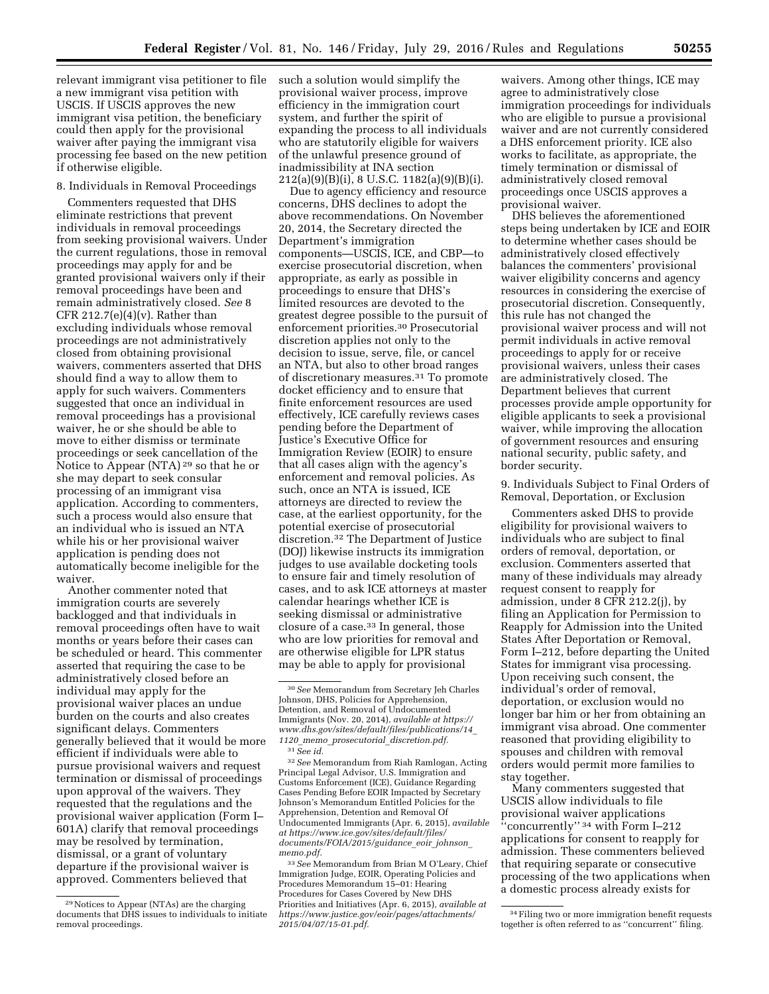relevant immigrant visa petitioner to file a new immigrant visa petition with USCIS. If USCIS approves the new immigrant visa petition, the beneficiary could then apply for the provisional waiver after paying the immigrant visa processing fee based on the new petition if otherwise eligible.

# 8. Individuals in Removal Proceedings

Commenters requested that DHS eliminate restrictions that prevent individuals in removal proceedings from seeking provisional waivers. Under the current regulations, those in removal proceedings may apply for and be granted provisional waivers only if their removal proceedings have been and remain administratively closed. *See* 8 CFR 212.7(e) $(4)(v)$ . Rather than excluding individuals whose removal proceedings are not administratively closed from obtaining provisional waivers, commenters asserted that DHS should find a way to allow them to apply for such waivers. Commenters suggested that once an individual in removal proceedings has a provisional waiver, he or she should be able to move to either dismiss or terminate proceedings or seek cancellation of the Notice to Appear (NTA) 29 so that he or she may depart to seek consular processing of an immigrant visa application. According to commenters, such a process would also ensure that an individual who is issued an NTA while his or her provisional waiver application is pending does not automatically become ineligible for the waiver.

Another commenter noted that immigration courts are severely backlogged and that individuals in removal proceedings often have to wait months or years before their cases can be scheduled or heard. This commenter asserted that requiring the case to be administratively closed before an individual may apply for the provisional waiver places an undue burden on the courts and also creates significant delays. Commenters generally believed that it would be more efficient if individuals were able to pursue provisional waivers and request termination or dismissal of proceedings upon approval of the waivers. They requested that the regulations and the provisional waiver application (Form I– 601A) clarify that removal proceedings may be resolved by termination, dismissal, or a grant of voluntary departure if the provisional waiver is approved. Commenters believed that

such a solution would simplify the provisional waiver process, improve efficiency in the immigration court system, and further the spirit of expanding the process to all individuals who are statutorily eligible for waivers of the unlawful presence ground of inadmissibility at INA section 212(a)(9)(B)(i), 8 U.S.C. 1182(a)(9)(B)(i).

Due to agency efficiency and resource concerns, DHS declines to adopt the above recommendations. On November 20, 2014, the Secretary directed the Department's immigration components—USCIS, ICE, and CBP—to exercise prosecutorial discretion, when appropriate, as early as possible in proceedings to ensure that DHS's limited resources are devoted to the greatest degree possible to the pursuit of enforcement priorities.30 Prosecutorial discretion applies not only to the decision to issue, serve, file, or cancel an NTA, but also to other broad ranges of discretionary measures.31 To promote docket efficiency and to ensure that finite enforcement resources are used effectively, ICE carefully reviews cases pending before the Department of Justice's Executive Office for Immigration Review (EOIR) to ensure that all cases align with the agency's enforcement and removal policies. As such, once an NTA is issued, ICE attorneys are directed to review the case, at the earliest opportunity, for the potential exercise of prosecutorial discretion.32 The Department of Justice (DOJ) likewise instructs its immigration judges to use available docketing tools to ensure fair and timely resolution of cases, and to ask ICE attorneys at master calendar hearings whether ICE is seeking dismissal or administrative closure of a case.33 In general, those who are low priorities for removal and are otherwise eligible for LPR status may be able to apply for provisional

32*See* Memorandum from Riah Ramlogan, Acting Principal Legal Advisor, U.S. Immigration and Customs Enforcement (ICE), Guidance Regarding Cases Pending Before EOIR Impacted by Secretary Johnson's Memorandum Entitled Policies for the Apprehension, Detention and Removal Of Undocumented Immigrants (Apr. 6, 2015), *available at [https://www.ice.gov/sites/default/files/](https://www.ice.gov/sites/default/files/documents/FOIA/2015/guidance_eoir_johnson_memo.pdf) [documents/FOIA/2015/guidance](https://www.ice.gov/sites/default/files/documents/FOIA/2015/guidance_eoir_johnson_memo.pdf)*\_*eoir*\_*johnson*\_ *[memo.pdf.](https://www.ice.gov/sites/default/files/documents/FOIA/2015/guidance_eoir_johnson_memo.pdf)* 

33*See* Memorandum from Brian M O'Leary, Chief Immigration Judge, EOIR, Operating Policies and Procedures Memorandum 15–01: Hearing Procedures for Cases Covered by New DHS Priorities and Initiatives (Apr. 6, 2015), *available at [https://www.justice.gov/eoir/pages/attachments/](https://www.justice.gov/eoir/pages/attachments/2015/04/07/15-01.pdf) [2015/04/07/15-01.pdf.](https://www.justice.gov/eoir/pages/attachments/2015/04/07/15-01.pdf)* 

waivers. Among other things, ICE may agree to administratively close immigration proceedings for individuals who are eligible to pursue a provisional waiver and are not currently considered a DHS enforcement priority. ICE also works to facilitate, as appropriate, the timely termination or dismissal of administratively closed removal proceedings once USCIS approves a provisional waiver.

DHS believes the aforementioned steps being undertaken by ICE and EOIR to determine whether cases should be administratively closed effectively balances the commenters' provisional waiver eligibility concerns and agency resources in considering the exercise of prosecutorial discretion. Consequently, this rule has not changed the provisional waiver process and will not permit individuals in active removal proceedings to apply for or receive provisional waivers, unless their cases are administratively closed. The Department believes that current processes provide ample opportunity for eligible applicants to seek a provisional waiver, while improving the allocation of government resources and ensuring national security, public safety, and border security.

9. Individuals Subject to Final Orders of Removal, Deportation, or Exclusion

Commenters asked DHS to provide eligibility for provisional waivers to individuals who are subject to final orders of removal, deportation, or exclusion. Commenters asserted that many of these individuals may already request consent to reapply for admission, under 8 CFR 212.2(j), by filing an Application for Permission to Reapply for Admission into the United States After Deportation or Removal, Form I–212, before departing the United States for immigrant visa processing. Upon receiving such consent, the individual's order of removal, deportation, or exclusion would no longer bar him or her from obtaining an immigrant visa abroad. One commenter reasoned that providing eligibility to spouses and children with removal orders would permit more families to stay together.

Many commenters suggested that USCIS allow individuals to file provisional waiver applications ''concurrently'' 34 with Form I–212 applications for consent to reapply for admission. These commenters believed that requiring separate or consecutive processing of the two applications when a domestic process already exists for

<sup>29</sup>Notices to Appear (NTAs) are the charging documents that DHS issues to individuals to initiate removal proceedings.

<sup>30</sup>*See* Memorandum from Secretary Jeh Charles Johnson, DHS, Policies for Apprehension, Detention, and Removal of Undocumented Immigrants (Nov. 20, 2014), *available at [https://](https://www.dhs.gov/sites/default/files/publications/14_1120_memo_prosecutorial_discretion.pdf) [www.dhs.gov/sites/default/files/publications/14](https://www.dhs.gov/sites/default/files/publications/14_1120_memo_prosecutorial_discretion.pdf)*\_ *1120*\_*memo*\_*prosecutorial*\_*[discretion.pdf.](https://www.dhs.gov/sites/default/files/publications/14_1120_memo_prosecutorial_discretion.pdf)*  31*See id.* 

<sup>34</sup>Filing two or more immigration benefit requests together is often referred to as ''concurrent'' filing.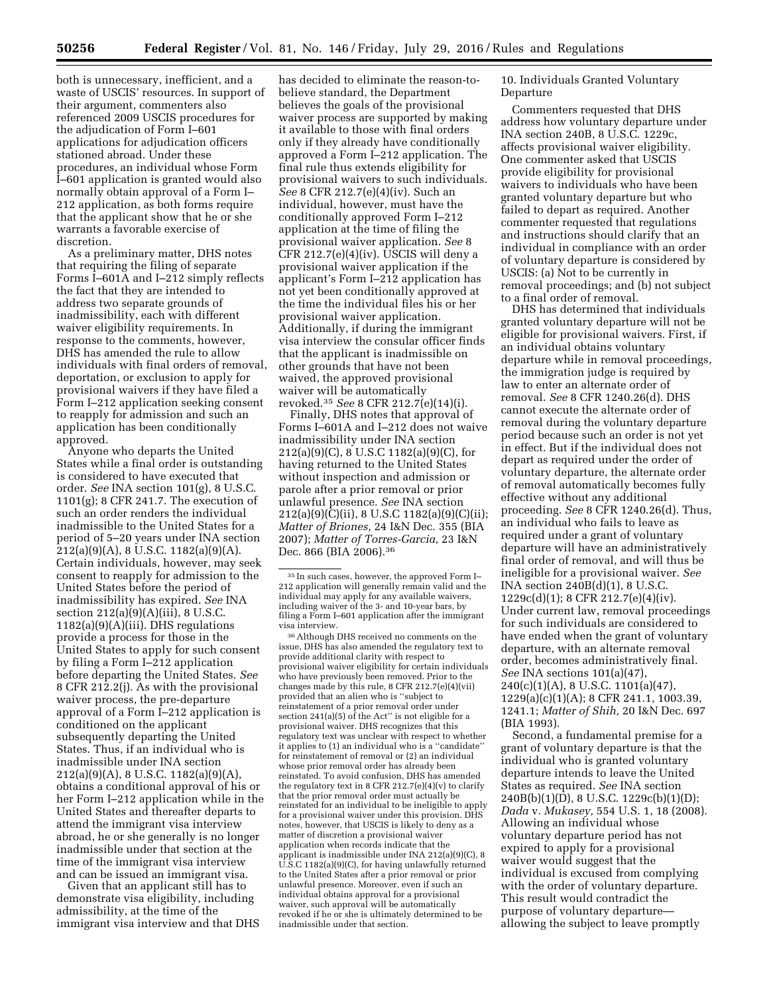both is unnecessary, inefficient, and a waste of USCIS' resources. In support of their argument, commenters also referenced 2009 USCIS procedures for the adjudication of Form I–601 applications for adjudication officers stationed abroad. Under these procedures, an individual whose Form I–601 application is granted would also normally obtain approval of a Form I– 212 application, as both forms require that the applicant show that he or she warrants a favorable exercise of discretion.

As a preliminary matter, DHS notes that requiring the filing of separate Forms I–601A and I–212 simply reflects the fact that they are intended to address two separate grounds of inadmissibility, each with different waiver eligibility requirements. In response to the comments, however, DHS has amended the rule to allow individuals with final orders of removal, deportation, or exclusion to apply for provisional waivers if they have filed a Form I–212 application seeking consent to reapply for admission and such an application has been conditionally approved.

Anyone who departs the United States while a final order is outstanding is considered to have executed that order. *See* INA section 101(g), 8 U.S.C. 1101(g); 8 CFR 241.7. The execution of such an order renders the individual inadmissible to the United States for a period of 5–20 years under INA section  $212(a)(9)(A)$ , 8 U.S.C. 1182(a)(9)(A). Certain individuals, however, may seek consent to reapply for admission to the United States before the period of inadmissibility has expired. *See* INA section  $212(a)(9)(A)(iii)$ , 8 U.S.C. 1182(a)(9)(A)(iii). DHS regulations provide a process for those in the United States to apply for such consent by filing a Form I–212 application before departing the United States. *See*  8 CFR 212.2(j). As with the provisional waiver process, the pre-departure approval of a Form I–212 application is conditioned on the applicant subsequently departing the United States. Thus, if an individual who is inadmissible under INA section 212(a)(9)(A), 8 U.S.C. 1182(a)(9)(A), obtains a conditional approval of his or her Form I–212 application while in the United States and thereafter departs to attend the immigrant visa interview abroad, he or she generally is no longer inadmissible under that section at the time of the immigrant visa interview and can be issued an immigrant visa.

Given that an applicant still has to demonstrate visa eligibility, including admissibility, at the time of the immigrant visa interview and that DHS

has decided to eliminate the reason-tobelieve standard, the Department believes the goals of the provisional waiver process are supported by making it available to those with final orders only if they already have conditionally approved a Form I–212 application. The final rule thus extends eligibility for provisional waivers to such individuals. *See* 8 CFR 212.7(e)(4)(iv). Such an individual, however, must have the conditionally approved Form I–212 application at the time of filing the provisional waiver application. *See* 8  $CFR 212.7(e)(4)(iv)$ . USCIS will deny a provisional waiver application if the applicant's Form I–212 application has not yet been conditionally approved at the time the individual files his or her provisional waiver application. Additionally, if during the immigrant visa interview the consular officer finds that the applicant is inadmissible on other grounds that have not been waived, the approved provisional waiver will be automatically revoked.35 *See* 8 CFR 212.7(e)(14)(i).

Finally, DHS notes that approval of Forms I–601A and I–212 does not waive inadmissibility under INA section 212(a)(9)(C), 8 U.S.C 1182(a)(9)(C), for having returned to the United States without inspection and admission or parole after a prior removal or prior unlawful presence. *See* INA section 212(a)(9)(C)(ii), 8 U.S.C 1182(a)(9)(C)(ii); *Matter of Briones,* 24 I&N Dec. 355 (BIA 2007); *Matter of Torres-Garcia,* 23 I&N Dec. 866 (BIA 2006).36

36Although DHS received no comments on the issue, DHS has also amended the regulatory text to provide additional clarity with respect to provisional waiver eligibility for certain individuals who have previously been removed. Prior to the changes made by this rule, 8 CFR 212.7(e)(4)(vii) provided that an alien who is ''subject to reinstatement of a prior removal order under section  $241(a)(5)$  of the Act" is not eligible for a provisional waiver. DHS recognizes that this regulatory text was unclear with respect to whether it applies to (1) an individual who is a ''candidate'' for reinstatement of removal or (2) an individual whose prior removal order has already been reinstated. To avoid confusion, DHS has amended the regulatory text in 8 CFR 212.7(e)(4)(v) to clarify that the prior removal order must actually be reinstated for an individual to be ineligible to apply for a provisional waiver under this provision. DHS notes, however, that USCIS is likely to deny as a matter of discretion a provisional waiver application when records indicate that the applicant is inadmissible under INA 212(a)(9)(C), 8 U.S.C 1182(a)(9)(C), for having unlawfully returned to the United States after a prior removal or prior unlawful presence. Moreover, even if such an individual obtains approval for a provisional waiver, such approval will be automatically revoked if he or she is ultimately determined to be inadmissible under that section.

10. Individuals Granted Voluntary Departure

Commenters requested that DHS address how voluntary departure under INA section 240B, 8 U.S.C. 1229c, affects provisional waiver eligibility. One commenter asked that USCIS provide eligibility for provisional waivers to individuals who have been granted voluntary departure but who failed to depart as required. Another commenter requested that regulations and instructions should clarify that an individual in compliance with an order of voluntary departure is considered by USCIS: (a) Not to be currently in removal proceedings; and (b) not subject to a final order of removal.

DHS has determined that individuals granted voluntary departure will not be eligible for provisional waivers. First, if an individual obtains voluntary departure while in removal proceedings, the immigration judge is required by law to enter an alternate order of removal. *See* 8 CFR 1240.26(d). DHS cannot execute the alternate order of removal during the voluntary departure period because such an order is not yet in effect. But if the individual does not depart as required under the order of voluntary departure, the alternate order of removal automatically becomes fully effective without any additional proceeding. *See* 8 CFR 1240.26(d). Thus, an individual who fails to leave as required under a grant of voluntary departure will have an administratively final order of removal, and will thus be ineligible for a provisional waiver. *See*  INA section 240B(d)(1), 8 U.S.C. 1229c(d)(1); 8 CFR 212.7(e)(4)(iv). Under current law, removal proceedings for such individuals are considered to have ended when the grant of voluntary departure, with an alternate removal order, becomes administratively final. *See* INA sections 101(a)(47), 240(c)(1)(A), 8 U.S.C. 1101(a)(47), 1229(a)(c)(1)(A); 8 CFR 241.1, 1003.39, 1241.1; *Matter of Shih,* 20 I&N Dec. 697 (BIA 1993).

Second, a fundamental premise for a grant of voluntary departure is that the individual who is granted voluntary departure intends to leave the United States as required. *See* INA section 240B(b)(1)(D), 8 U.S.C. 1229c(b)(1)(D); *Dada* v. *Mukasey,* 554 U.S. 1, 18 (2008). Allowing an individual whose voluntary departure period has not expired to apply for a provisional waiver would suggest that the individual is excused from complying with the order of voluntary departure. This result would contradict the purpose of voluntary departure allowing the subject to leave promptly

<sup>35</sup> In such cases, however, the approved Form I– 212 application will generally remain valid and the individual may apply for any available waivers, including waiver of the 3- and 10-year bars, by filing a Form I–601 application after the immigrant visa interview.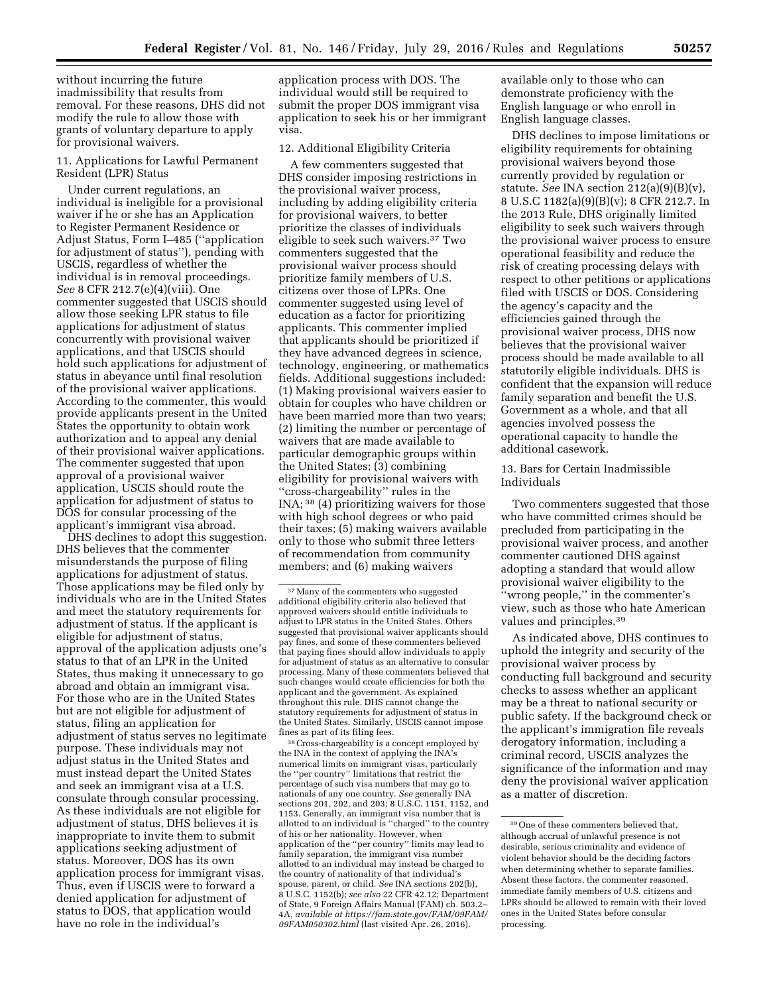without incurring the future inadmissibility that results from removal. For these reasons, DHS did not modify the rule to allow those with grants of voluntary departure to apply for provisional waivers.

11. Applications for Lawful Permanent Resident (LPR) Status

Under current regulations, an individual is ineligible for a provisional waiver if he or she has an Application to Register Permanent Residence or Adjust Status, Form I–485 (''application for adjustment of status''), pending with USCIS, regardless of whether the individual is in removal proceedings. *See* 8 CFR 212.7(e)(4)(viii). One commenter suggested that USCIS should allow those seeking LPR status to file applications for adjustment of status concurrently with provisional waiver applications, and that USCIS should hold such applications for adjustment of status in abeyance until final resolution of the provisional waiver applications. According to the commenter, this would provide applicants present in the United States the opportunity to obtain work authorization and to appeal any denial of their provisional waiver applications. The commenter suggested that upon approval of a provisional waiver application, USCIS should route the application for adjustment of status to DOS for consular processing of the applicant's immigrant visa abroad.

DHS declines to adopt this suggestion. DHS believes that the commenter misunderstands the purpose of filing applications for adjustment of status. Those applications may be filed only by individuals who are in the United States and meet the statutory requirements for adjustment of status. If the applicant is eligible for adjustment of status, approval of the application adjusts one's status to that of an LPR in the United States, thus making it unnecessary to go abroad and obtain an immigrant visa. For those who are in the United States but are not eligible for adjustment of status, filing an application for adjustment of status serves no legitimate purpose. These individuals may not adjust status in the United States and must instead depart the United States and seek an immigrant visa at a U.S. consulate through consular processing. As these individuals are not eligible for adjustment of status, DHS believes it is inappropriate to invite them to submit applications seeking adjustment of status. Moreover, DOS has its own application process for immigrant visas. Thus, even if USCIS were to forward a denied application for adjustment of status to DOS, that application would have no role in the individual's

application process with DOS. The individual would still be required to submit the proper DOS immigrant visa application to seek his or her immigrant visa.

#### 12. Additional Eligibility Criteria

A few commenters suggested that DHS consider imposing restrictions in the provisional waiver process, including by adding eligibility criteria for provisional waivers, to better prioritize the classes of individuals eligible to seek such waivers.37 Two commenters suggested that the provisional waiver process should prioritize family members of U.S. citizens over those of LPRs. One commenter suggested using level of education as a factor for prioritizing applicants. This commenter implied that applicants should be prioritized if they have advanced degrees in science, technology, engineering, or mathematics fields. Additional suggestions included: (1) Making provisional waivers easier to obtain for couples who have children or have been married more than two years; (2) limiting the number or percentage of waivers that are made available to particular demographic groups within the United States; (3) combining eligibility for provisional waivers with ''cross-chargeability'' rules in the INA; 38 (4) prioritizing waivers for those with high school degrees or who paid their taxes; (5) making waivers available only to those who submit three letters of recommendation from community members; and (6) making waivers

38Cross-chargeability is a concept employed by the INA in the context of applying the INA's numerical limits on immigrant visas, particularly the ''per country'' limitations that restrict the percentage of such visa numbers that may go to nationals of any one country. *See* generally INA sections 201, 202, and 203; 8 U.S.C. 1151, 1152, and 1153. Generally, an immigrant visa number that is allotted to an individual is ''charged'' to the country of his or her nationality. However, when application of the ''per country'' limits may lead to family separation, the immigrant visa number allotted to an individual may instead be charged to the country of nationality of that individual's spouse, parent, or child. *See* INA sections 202(b), 8 U.S.C. 1152(b); *see also* 22 CFR 42.12; Department of State, 9 Foreign Affairs Manual (FAM) ch. 503.2– 4A, *available at [https://fam.state.gov/FAM/09FAM/](https://fam.state.gov/FAM/09FAM/09FAM050302.html) [09FAM050302.html](https://fam.state.gov/FAM/09FAM/09FAM050302.html)* (last visited Apr. 26, 2016).

available only to those who can demonstrate proficiency with the English language or who enroll in English language classes.

DHS declines to impose limitations or eligibility requirements for obtaining provisional waivers beyond those currently provided by regulation or statute. *See* INA section 212(a)(9)(B)(v), 8 U.S.C 1182(a)(9)(B)(v); 8 CFR 212.7. In the 2013 Rule, DHS originally limited eligibility to seek such waivers through the provisional waiver process to ensure operational feasibility and reduce the risk of creating processing delays with respect to other petitions or applications filed with USCIS or DOS. Considering the agency's capacity and the efficiencies gained through the provisional waiver process, DHS now believes that the provisional waiver process should be made available to all statutorily eligible individuals. DHS is confident that the expansion will reduce family separation and benefit the U.S. Government as a whole, and that all agencies involved possess the operational capacity to handle the additional casework.

# 13. Bars for Certain Inadmissible Individuals

Two commenters suggested that those who have committed crimes should be precluded from participating in the provisional waiver process, and another commenter cautioned DHS against adopting a standard that would allow provisional waiver eligibility to the ''wrong people,'' in the commenter's view, such as those who hate American values and principles.39

As indicated above, DHS continues to uphold the integrity and security of the provisional waiver process by conducting full background and security checks to assess whether an applicant may be a threat to national security or public safety. If the background check or the applicant's immigration file reveals derogatory information, including a criminal record, USCIS analyzes the significance of the information and may deny the provisional waiver application as a matter of discretion.

 $^{\rm 37}\rm\, Many$  of the commenters who suggested additional eligibility criteria also believed that approved waivers should entitle individuals to adjust to LPR status in the United States. Others suggested that provisional waiver applicants should pay fines, and some of these commenters believed that paying fines should allow individuals to apply for adjustment of status as an alternative to consular processing. Many of these commenters believed that such changes would create efficiencies for both the applicant and the government. As explained throughout this rule, DHS cannot change the statutory requirements for adjustment of status in the United States. Similarly, USCIS cannot impose fines as part of its filing fees.

<sup>39</sup>One of these commenters believed that, although accrual of unlawful presence is not desirable, serious criminality and evidence of violent behavior should be the deciding factors when determining whether to separate families. Absent these factors, the commenter reasoned, immediate family members of U.S. citizens and LPRs should be allowed to remain with their loved ones in the United States before consular processing.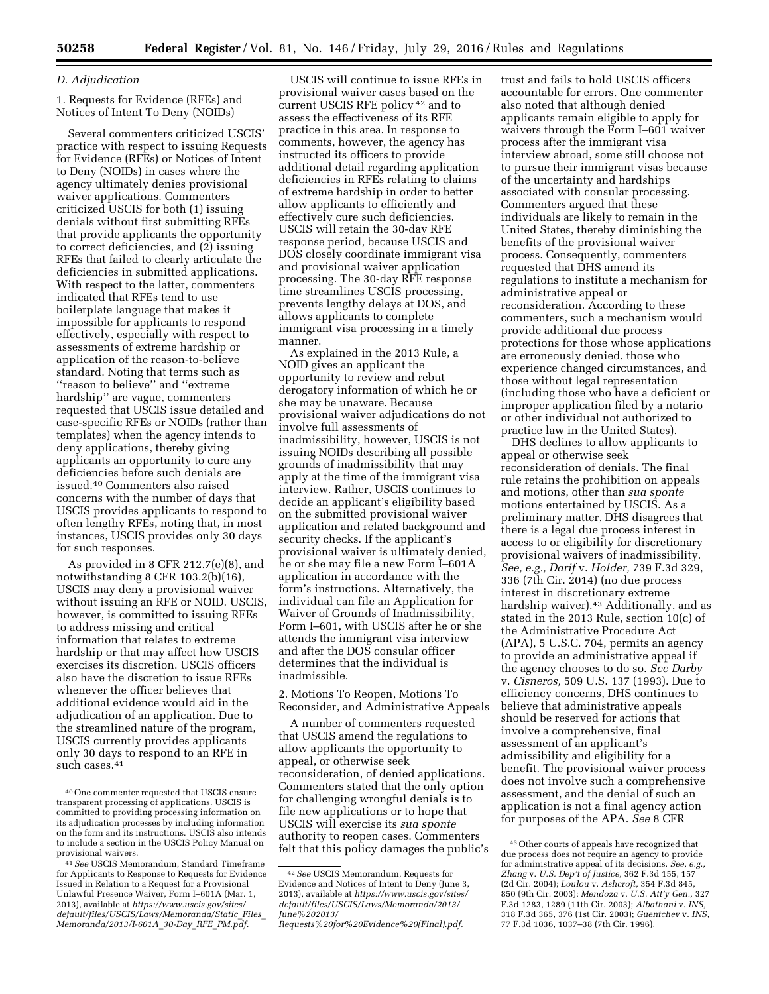#### *D. Adjudication*

# 1. Requests for Evidence (RFEs) and Notices of Intent To Deny (NOIDs)

Several commenters criticized USCIS' practice with respect to issuing Requests for Evidence (RFEs) or Notices of Intent to Deny (NOIDs) in cases where the agency ultimately denies provisional waiver applications. Commenters criticized USCIS for both (1) issuing denials without first submitting RFEs that provide applicants the opportunity to correct deficiencies, and (2) issuing RFEs that failed to clearly articulate the deficiencies in submitted applications. With respect to the latter, commenters indicated that RFEs tend to use boilerplate language that makes it impossible for applicants to respond effectively, especially with respect to assessments of extreme hardship or application of the reason-to-believe standard. Noting that terms such as "reason to believe" and "extreme hardship'' are vague, commenters requested that USCIS issue detailed and case-specific RFEs or NOIDs (rather than templates) when the agency intends to deny applications, thereby giving applicants an opportunity to cure any deficiencies before such denials are issued.40 Commenters also raised concerns with the number of days that USCIS provides applicants to respond to often lengthy RFEs, noting that, in most instances, USCIS provides only 30 days for such responses.

As provided in 8 CFR 212.7(e)(8), and notwithstanding 8 CFR 103.2(b)(16), USCIS may deny a provisional waiver without issuing an RFE or NOID. USCIS, however, is committed to issuing RFEs to address missing and critical information that relates to extreme hardship or that may affect how USCIS exercises its discretion. USCIS officers also have the discretion to issue RFEs whenever the officer believes that additional evidence would aid in the adjudication of an application. Due to the streamlined nature of the program, USCIS currently provides applicants only 30 days to respond to an RFE in such cases.<sup>41</sup>

USCIS will continue to issue RFEs in provisional waiver cases based on the current USCIS RFE policy 42 and to assess the effectiveness of its RFE practice in this area. In response to comments, however, the agency has instructed its officers to provide additional detail regarding application deficiencies in RFEs relating to claims of extreme hardship in order to better allow applicants to efficiently and effectively cure such deficiencies. USCIS will retain the 30-day RFE response period, because USCIS and DOS closely coordinate immigrant visa and provisional waiver application processing. The 30-day RFE response time streamlines USCIS processing, prevents lengthy delays at DOS, and allows applicants to complete immigrant visa processing in a timely manner.

As explained in the 2013 Rule, a NOID gives an applicant the opportunity to review and rebut derogatory information of which he or she may be unaware. Because provisional waiver adjudications do not involve full assessments of inadmissibility, however, USCIS is not issuing NOIDs describing all possible grounds of inadmissibility that may apply at the time of the immigrant visa interview. Rather, USCIS continues to decide an applicant's eligibility based on the submitted provisional waiver application and related background and security checks. If the applicant's provisional waiver is ultimately denied, he or she may file a new Form I–601A application in accordance with the form's instructions. Alternatively, the individual can file an Application for Waiver of Grounds of Inadmissibility, Form I–601, with USCIS after he or she attends the immigrant visa interview and after the DOS consular officer determines that the individual is inadmissible.

2. Motions To Reopen, Motions To Reconsider, and Administrative Appeals

A number of commenters requested that USCIS amend the regulations to allow applicants the opportunity to appeal, or otherwise seek reconsideration, of denied applications. Commenters stated that the only option for challenging wrongful denials is to file new applications or to hope that USCIS will exercise its *sua sponte*  authority to reopen cases. Commenters felt that this policy damages the public's

trust and fails to hold USCIS officers accountable for errors. One commenter also noted that although denied applicants remain eligible to apply for waivers through the Form I–601 waiver process after the immigrant visa interview abroad, some still choose not to pursue their immigrant visas because of the uncertainty and hardships associated with consular processing. Commenters argued that these individuals are likely to remain in the United States, thereby diminishing the benefits of the provisional waiver process. Consequently, commenters requested that DHS amend its regulations to institute a mechanism for administrative appeal or reconsideration. According to these commenters, such a mechanism would provide additional due process protections for those whose applications are erroneously denied, those who experience changed circumstances, and those without legal representation (including those who have a deficient or improper application filed by a notario or other individual not authorized to practice law in the United States).

DHS declines to allow applicants to appeal or otherwise seek reconsideration of denials. The final rule retains the prohibition on appeals and motions, other than *sua sponte*  motions entertained by USCIS. As a preliminary matter, DHS disagrees that there is a legal due process interest in access to or eligibility for discretionary provisional waivers of inadmissibility. *See, e.g., Darif* v. *Holder,* 739 F.3d 329, 336 (7th Cir. 2014) (no due process interest in discretionary extreme hardship waiver).<sup>43</sup> Additionally, and as stated in the 2013 Rule, section 10(c) of the Administrative Procedure Act (APA), 5 U.S.C. 704, permits an agency to provide an administrative appeal if the agency chooses to do so. *See Darby*  v. *Cisneros,* 509 U.S. 137 (1993). Due to efficiency concerns, DHS continues to believe that administrative appeals should be reserved for actions that involve a comprehensive, final assessment of an applicant's admissibility and eligibility for a benefit. The provisional waiver process does not involve such a comprehensive assessment, and the denial of such an application is not a final agency action for purposes of the APA. *See* 8 CFR

<sup>40</sup>One commenter requested that USCIS ensure transparent processing of applications. USCIS is committed to providing processing information on its adjudication processes by including information on the form and its instructions. USCIS also intends to include a section in the USCIS Policy Manual on provisional waivers.

<sup>41</sup>*See* USCIS Memorandum, Standard Timeframe for Applicants to Response to Requests for Evidence Issued in Relation to a Request for a Provisional Unlawful Presence Waiver, Form I–601A (Mar. 1, 2013), available at *[https://www.uscis.gov/sites/](https://www.uscis.gov/sites/default/files/USCIS/Laws/Memoranda/Static_Files_Memoranda/2013/I-601A_30-Day_RFE_PM.pdf) [default/files/USCIS/Laws/Memoranda/Static](https://www.uscis.gov/sites/default/files/USCIS/Laws/Memoranda/Static_Files_Memoranda/2013/I-601A_30-Day_RFE_PM.pdf)*\_*Files*\_ *[Memoranda/2013/I-601A](https://www.uscis.gov/sites/default/files/USCIS/Laws/Memoranda/Static_Files_Memoranda/2013/I-601A_30-Day_RFE_PM.pdf)*\_*30-Day*\_*RFE*\_*PM.pdf.* 

<sup>42</sup>*See* USCIS Memorandum, Requests for Evidence and Notices of Intent to Deny (June 3, 2013), available at *[https://www.uscis.gov/sites/](https://www.uscis.gov/sites/default/files/USCIS/Laws/Memoranda/2013/June%202013/Requests%20for%20Evidence%20(Final).pdf) [default/files/USCIS/Laws/Memoranda/2013/](https://www.uscis.gov/sites/default/files/USCIS/Laws/Memoranda/2013/June%202013/Requests%20for%20Evidence%20(Final).pdf) [June%202013/](https://www.uscis.gov/sites/default/files/USCIS/Laws/Memoranda/2013/June%202013/Requests%20for%20Evidence%20(Final).pdf)*

*[Requests%20for%20Evidence%20\(Final\).pdf.](https://www.uscis.gov/sites/default/files/USCIS/Laws/Memoranda/2013/June%202013/Requests%20for%20Evidence%20(Final).pdf)* 

<sup>43</sup>Other courts of appeals have recognized that due process does not require an agency to provide for administrative appeal of its decisions. *See, e.g., Zhang* v. *U.S. Dep't of Justice,* 362 F.3d 155, 157 (2d Cir. 2004); *Loulou* v. *Ashcroft,* 354 F.3d 845, 850 (9th Cir. 2003); *Mendoza* v. *U.S. Att'y Gen.,* 327 F.3d 1283, 1289 (11th Cir. 2003); *Albathani* v. *INS,*  318 F.3d 365, 376 (1st Cir. 2003); *Guentchev* v. *INS,*  77 F.3d 1036, 1037–38 (7th Cir. 1996).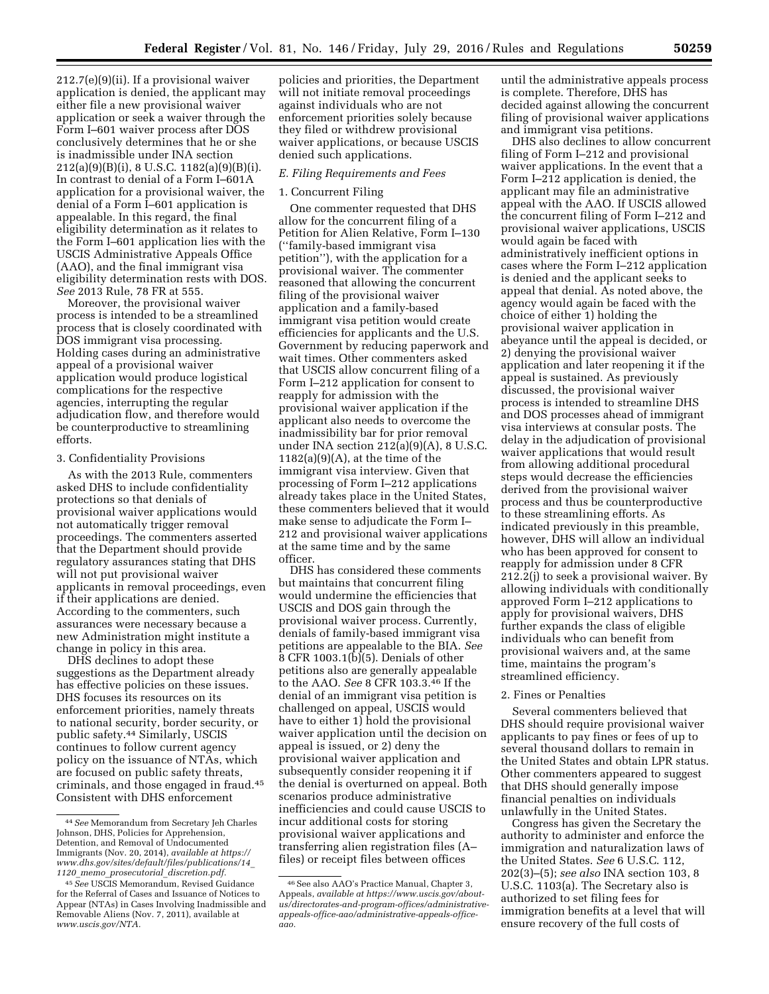212.7(e)(9)(ii). If a provisional waiver application is denied, the applicant may either file a new provisional waiver application or seek a waiver through the Form I–601 waiver process after DOS conclusively determines that he or she is inadmissible under INA section 212(a)(9)(B)(i), 8 U.S.C. 1182(a)(9)(B)(i). In contrast to denial of a Form I–601A application for a provisional waiver, the denial of a Form I–601 application is appealable. In this regard, the final eligibility determination as it relates to the Form I–601 application lies with the USCIS Administrative Appeals Office (AAO), and the final immigrant visa eligibility determination rests with DOS. *See* 2013 Rule, 78 FR at 555.

Moreover, the provisional waiver process is intended to be a streamlined process that is closely coordinated with DOS immigrant visa processing. Holding cases during an administrative appeal of a provisional waiver application would produce logistical complications for the respective agencies, interrupting the regular adjudication flow, and therefore would be counterproductive to streamlining efforts.

#### 3. Confidentiality Provisions

As with the 2013 Rule, commenters asked DHS to include confidentiality protections so that denials of provisional waiver applications would not automatically trigger removal proceedings. The commenters asserted that the Department should provide regulatory assurances stating that DHS will not put provisional waiver applicants in removal proceedings, even if their applications are denied. According to the commenters, such assurances were necessary because a new Administration might institute a change in policy in this area.

DHS declines to adopt these suggestions as the Department already has effective policies on these issues. DHS focuses its resources on its enforcement priorities, namely threats to national security, border security, or public safety.44 Similarly, USCIS continues to follow current agency policy on the issuance of NTAs, which are focused on public safety threats, criminals, and those engaged in fraud.45 Consistent with DHS enforcement

policies and priorities, the Department will not initiate removal proceedings against individuals who are not enforcement priorities solely because they filed or withdrew provisional waiver applications, or because USCIS denied such applications.

# *E. Filing Requirements and Fees*

## 1. Concurrent Filing

One commenter requested that DHS allow for the concurrent filing of a Petition for Alien Relative, Form I–130 (''family-based immigrant visa petition''), with the application for a provisional waiver. The commenter reasoned that allowing the concurrent filing of the provisional waiver application and a family-based immigrant visa petition would create efficiencies for applicants and the U.S. Government by reducing paperwork and wait times. Other commenters asked that USCIS allow concurrent filing of a Form I–212 application for consent to reapply for admission with the provisional waiver application if the applicant also needs to overcome the inadmissibility bar for prior removal under INA section  $212(a)(9)(A)$ , 8 U.S.C.  $1182(a)(9)(A)$ , at the time of the immigrant visa interview. Given that processing of Form I–212 applications already takes place in the United States, these commenters believed that it would make sense to adjudicate the Form I– 212 and provisional waiver applications at the same time and by the same officer.

DHS has considered these comments but maintains that concurrent filing would undermine the efficiencies that USCIS and DOS gain through the provisional waiver process. Currently, denials of family-based immigrant visa petitions are appealable to the BIA. *See*  8 CFR 1003.1(b)(5). Denials of other petitions also are generally appealable to the AAO. *See* 8 CFR 103.3.46 If the denial of an immigrant visa petition is challenged on appeal, USCIS would have to either 1) hold the provisional waiver application until the decision on appeal is issued, or 2) deny the provisional waiver application and subsequently consider reopening it if the denial is overturned on appeal. Both scenarios produce administrative inefficiencies and could cause USCIS to incur additional costs for storing provisional waiver applications and transferring alien registration files (A– files) or receipt files between offices

until the administrative appeals process is complete. Therefore, DHS has decided against allowing the concurrent filing of provisional waiver applications and immigrant visa petitions.

DHS also declines to allow concurrent filing of Form I–212 and provisional waiver applications. In the event that a Form I–212 application is denied, the applicant may file an administrative appeal with the AAO. If USCIS allowed the concurrent filing of Form I–212 and provisional waiver applications, USCIS would again be faced with administratively inefficient options in cases where the Form I–212 application is denied and the applicant seeks to appeal that denial. As noted above, the agency would again be faced with the choice of either 1) holding the provisional waiver application in abeyance until the appeal is decided, or 2) denying the provisional waiver application and later reopening it if the appeal is sustained. As previously discussed, the provisional waiver process is intended to streamline DHS and DOS processes ahead of immigrant visa interviews at consular posts. The delay in the adjudication of provisional waiver applications that would result from allowing additional procedural steps would decrease the efficiencies derived from the provisional waiver process and thus be counterproductive to these streamlining efforts. As indicated previously in this preamble, however, DHS will allow an individual who has been approved for consent to reapply for admission under 8 CFR 212.2(j) to seek a provisional waiver. By allowing individuals with conditionally approved Form I–212 applications to apply for provisional waivers, DHS further expands the class of eligible individuals who can benefit from provisional waivers and, at the same time, maintains the program's streamlined efficiency.

# 2. Fines or Penalties

Several commenters believed that DHS should require provisional waiver applicants to pay fines or fees of up to several thousand dollars to remain in the United States and obtain LPR status. Other commenters appeared to suggest that DHS should generally impose financial penalties on individuals unlawfully in the United States.

Congress has given the Secretary the authority to administer and enforce the immigration and naturalization laws of the United States. *See* 6 U.S.C. 112, 202(3)–(5); *see also* INA section 103, 8 U.S.C. 1103(a). The Secretary also is authorized to set filing fees for immigration benefits at a level that will ensure recovery of the full costs of

<sup>44</sup>*See* Memorandum from Secretary Jeh Charles Johnson, DHS, Policies for Apprehension, Detention, and Removal of Undocumented Immigrants (Nov. 20, 2014), *available at [https://](https://www.dhs.gov/sites/default/files/publications/14_1120_memo_prosecutorial_discretion.pdf) [www.dhs.gov/sites/default/files/publications/14](https://www.dhs.gov/sites/default/files/publications/14_1120_memo_prosecutorial_discretion.pdf)*\_ *1120*\_*memo*\_*prosecutorial*\_*[discretion.pdf.](https://www.dhs.gov/sites/default/files/publications/14_1120_memo_prosecutorial_discretion.pdf)* 

<sup>45</sup>*See* USCIS Memorandum, Revised Guidance for the Referral of Cases and Issuance of Notices to Appear (NTAs) in Cases Involving Inadmissible and Removable Aliens (Nov. 7, 2011), available at *[www.uscis.gov/NTA.](http://www.uscis.gov/NTA)* 

<sup>46</sup>See also AAO's Practice Manual, Chapter 3, Appeals, *available at [https://www.uscis.gov/about](https://www.uscis.gov/about-us/directorates-and-program-offices/administrative-appeals-office-aao/administrative-appeals-office-aao)[us/directorates-and-program-offices/administrative](https://www.uscis.gov/about-us/directorates-and-program-offices/administrative-appeals-office-aao/administrative-appeals-office-aao)[appeals-office-aao/administrative-appeals-office](https://www.uscis.gov/about-us/directorates-and-program-offices/administrative-appeals-office-aao/administrative-appeals-office-aao)[aao.](https://www.uscis.gov/about-us/directorates-and-program-offices/administrative-appeals-office-aao/administrative-appeals-office-aao)*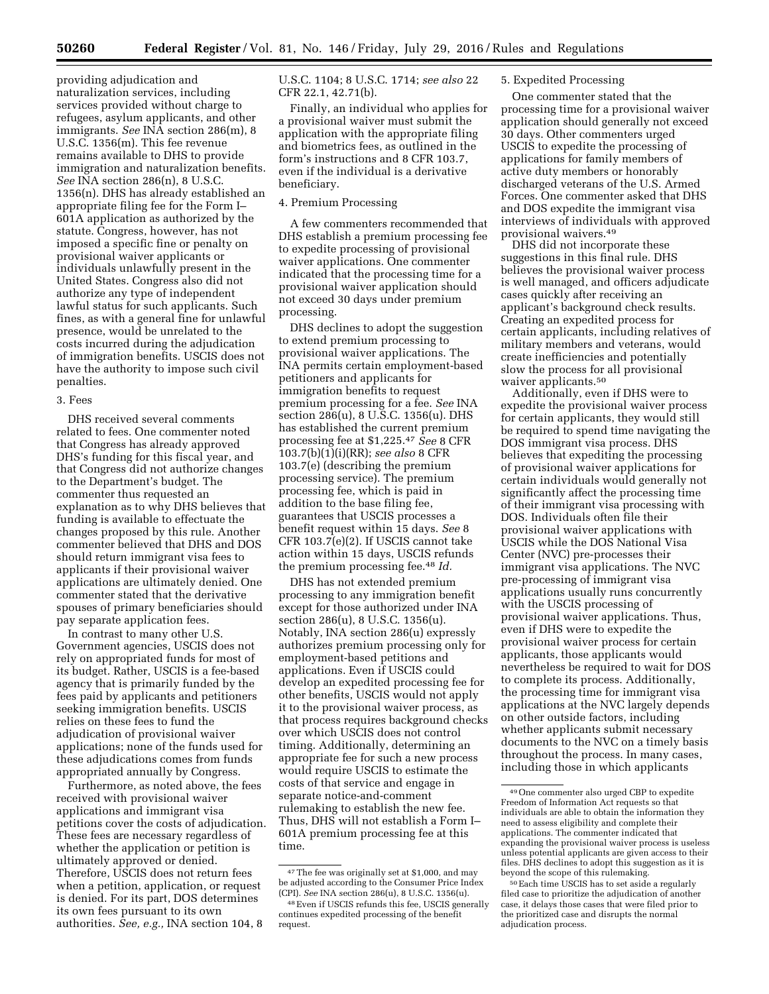providing adjudication and naturalization services, including services provided without charge to refugees, asylum applicants, and other immigrants. *See* INA section 286(m), 8 U.S.C. 1356(m). This fee revenue remains available to DHS to provide immigration and naturalization benefits. *See* INA section 286(n), 8 U.S.C. 1356(n). DHS has already established an appropriate filing fee for the Form I– 601A application as authorized by the statute. Congress, however, has not imposed a specific fine or penalty on provisional waiver applicants or individuals unlawfully present in the United States. Congress also did not authorize any type of independent lawful status for such applicants. Such fines, as with a general fine for unlawful presence, would be unrelated to the costs incurred during the adjudication of immigration benefits. USCIS does not have the authority to impose such civil penalties.

#### 3. Fees

DHS received several comments related to fees. One commenter noted that Congress has already approved DHS's funding for this fiscal year, and that Congress did not authorize changes to the Department's budget. The commenter thus requested an explanation as to why DHS believes that funding is available to effectuate the changes proposed by this rule. Another commenter believed that DHS and DOS should return immigrant visa fees to applicants if their provisional waiver applications are ultimately denied. One commenter stated that the derivative spouses of primary beneficiaries should pay separate application fees.

In contrast to many other U.S. Government agencies, USCIS does not rely on appropriated funds for most of its budget. Rather, USCIS is a fee-based agency that is primarily funded by the fees paid by applicants and petitioners seeking immigration benefits. USCIS relies on these fees to fund the adjudication of provisional waiver applications; none of the funds used for these adjudications comes from funds appropriated annually by Congress.

Furthermore, as noted above, the fees received with provisional waiver applications and immigrant visa petitions cover the costs of adjudication. These fees are necessary regardless of whether the application or petition is ultimately approved or denied. Therefore, USCIS does not return fees when a petition, application, or request is denied. For its part, DOS determines its own fees pursuant to its own authorities. *See, e.g.,* INA section 104, 8

U.S.C. 1104; 8 U.S.C. 1714; *see also* 22 CFR 22.1, 42.71(b).

Finally, an individual who applies for a provisional waiver must submit the application with the appropriate filing and biometrics fees, as outlined in the form's instructions and 8 CFR 103.7, even if the individual is a derivative beneficiary.

## 4. Premium Processing

A few commenters recommended that DHS establish a premium processing fee to expedite processing of provisional waiver applications. One commenter indicated that the processing time for a provisional waiver application should not exceed 30 days under premium processing.

DHS declines to adopt the suggestion to extend premium processing to provisional waiver applications. The INA permits certain employment-based petitioners and applicants for immigration benefits to request premium processing for a fee. *See* INA section 286(u), 8 U.S.C. 1356(u). DHS has established the current premium processing fee at \$1,225.47 *See* 8 CFR 103.7(b)(1)(i)(RR); *see also* 8 CFR 103.7(e) (describing the premium processing service). The premium processing fee, which is paid in addition to the base filing fee, guarantees that USCIS processes a benefit request within 15 days. *See* 8 CFR 103.7(e)(2). If USCIS cannot take action within 15 days, USCIS refunds the premium processing fee.48 *Id.* 

DHS has not extended premium processing to any immigration benefit except for those authorized under INA section 286(u), 8 U.S.C. 1356(u). Notably, INA section 286(u) expressly authorizes premium processing only for employment-based petitions and applications. Even if USCIS could develop an expedited processing fee for other benefits, USCIS would not apply it to the provisional waiver process, as that process requires background checks over which USCIS does not control timing. Additionally, determining an appropriate fee for such a new process would require USCIS to estimate the costs of that service and engage in separate notice-and-comment rulemaking to establish the new fee. Thus, DHS will not establish a Form I– 601A premium processing fee at this time.

# 5. Expedited Processing

One commenter stated that the processing time for a provisional waiver application should generally not exceed 30 days. Other commenters urged USCIS to expedite the processing of applications for family members of active duty members or honorably discharged veterans of the U.S. Armed Forces. One commenter asked that DHS and DOS expedite the immigrant visa interviews of individuals with approved provisional waivers.49

DHS did not incorporate these suggestions in this final rule. DHS believes the provisional waiver process is well managed, and officers adjudicate cases quickly after receiving an applicant's background check results. Creating an expedited process for certain applicants, including relatives of military members and veterans, would create inefficiencies and potentially slow the process for all provisional waiver applicants.50

Additionally, even if DHS were to expedite the provisional waiver process for certain applicants, they would still be required to spend time navigating the DOS immigrant visa process. DHS believes that expediting the processing of provisional waiver applications for certain individuals would generally not significantly affect the processing time of their immigrant visa processing with DOS. Individuals often file their provisional waiver applications with USCIS while the DOS National Visa Center (NVC) pre-processes their immigrant visa applications. The NVC pre-processing of immigrant visa applications usually runs concurrently with the USCIS processing of provisional waiver applications. Thus, even if DHS were to expedite the provisional waiver process for certain applicants, those applicants would nevertheless be required to wait for DOS to complete its process. Additionally, the processing time for immigrant visa applications at the NVC largely depends on other outside factors, including whether applicants submit necessary documents to the NVC on a timely basis throughout the process. In many cases, including those in which applicants

<sup>47</sup>The fee was originally set at \$1,000, and may be adjusted according to the Consumer Price Index (CPI). *See* INA section 286(u), 8 U.S.C. 1356(u).

<sup>48</sup>Even if USCIS refunds this fee, USCIS generally continues expedited processing of the benefit request.

<sup>49</sup>One commenter also urged CBP to expedite Freedom of Information Act requests so that individuals are able to obtain the information they need to assess eligibility and complete their applications. The commenter indicated that expanding the provisional waiver process is useless unless potential applicants are given access to their files. DHS declines to adopt this suggestion as it is beyond the scope of this rulemaking.

<sup>50</sup>Each time USCIS has to set aside a regularly filed case to prioritize the adjudication of another case, it delays those cases that were filed prior to the prioritized case and disrupts the normal adjudication process.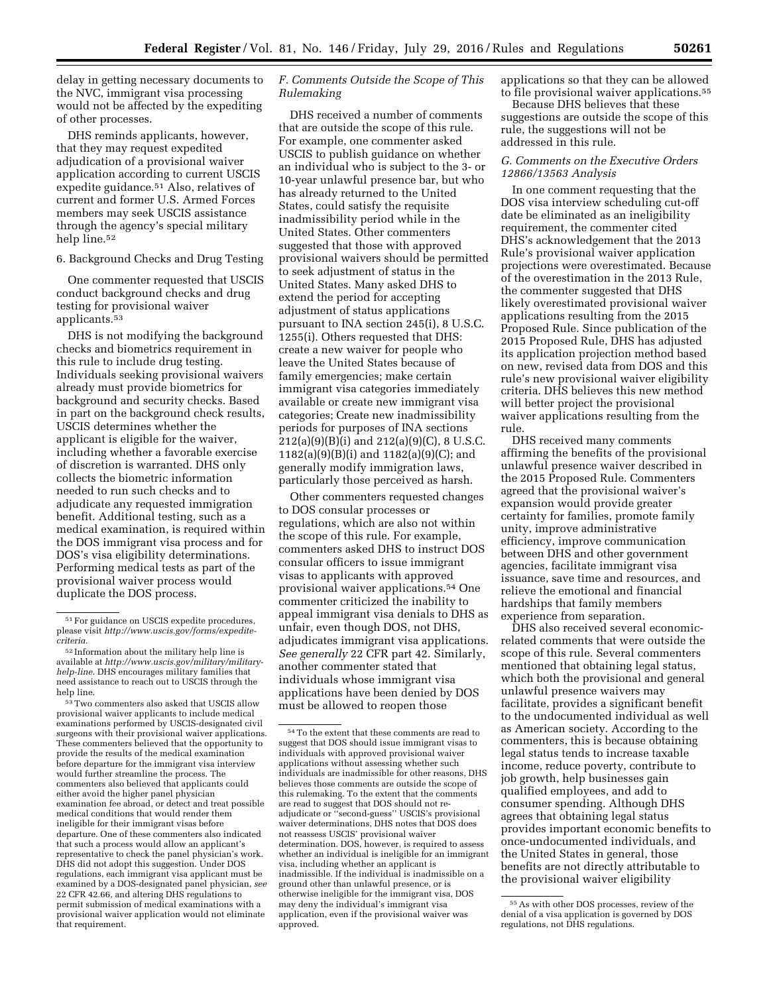delay in getting necessary documents to the NVC, immigrant visa processing would not be affected by the expediting of other processes.

DHS reminds applicants, however, that they may request expedited adjudication of a provisional waiver application according to current USCIS expedite guidance.51 Also, relatives of current and former U.S. Armed Forces members may seek USCIS assistance through the agency's special military help line.52

#### 6. Background Checks and Drug Testing

One commenter requested that USCIS conduct background checks and drug testing for provisional waiver applicants.53

DHS is not modifying the background checks and biometrics requirement in this rule to include drug testing. Individuals seeking provisional waivers already must provide biometrics for background and security checks. Based in part on the background check results, USCIS determines whether the applicant is eligible for the waiver, including whether a favorable exercise of discretion is warranted. DHS only collects the biometric information needed to run such checks and to adjudicate any requested immigration benefit. Additional testing, such as a medical examination, is required within the DOS immigrant visa process and for DOS's visa eligibility determinations. Performing medical tests as part of the provisional waiver process would duplicate the DOS process.

53Two commenters also asked that USCIS allow provisional waiver applicants to include medical examinations performed by USCIS-designated civil surgeons with their provisional waiver applications. These commenters believed that the opportunity to provide the results of the medical examination before departure for the immigrant visa interview would further streamline the process. The commenters also believed that applicants could either avoid the higher panel physician examination fee abroad, or detect and treat possible medical conditions that would render them ineligible for their immigrant visas before departure. One of these commenters also indicated that such a process would allow an applicant's representative to check the panel physician's work. DHS did not adopt this suggestion. Under DOS regulations, each immigrant visa applicant must be examined by a DOS-designated panel physician, *see*  22 CFR 42.66, and altering DHS regulations to permit submission of medical examinations with a provisional waiver application would not eliminate that requirement.

# *F. Comments Outside the Scope of This Rulemaking*

DHS received a number of comments that are outside the scope of this rule. For example, one commenter asked USCIS to publish guidance on whether an individual who is subject to the 3- or 10-year unlawful presence bar, but who has already returned to the United States, could satisfy the requisite inadmissibility period while in the United States. Other commenters suggested that those with approved provisional waivers should be permitted to seek adjustment of status in the United States. Many asked DHS to extend the period for accepting adjustment of status applications pursuant to INA section 245(i), 8 U.S.C. 1255(i). Others requested that DHS: create a new waiver for people who leave the United States because of family emergencies; make certain immigrant visa categories immediately available or create new immigrant visa categories; Create new inadmissibility periods for purposes of INA sections 212(a)(9)(B)(i) and 212(a)(9)(C), 8 U.S.C. 1182(a)(9)(B)(i) and 1182(a)(9)(C); and generally modify immigration laws, particularly those perceived as harsh.

Other commenters requested changes to DOS consular processes or regulations, which are also not within the scope of this rule. For example, commenters asked DHS to instruct DOS consular officers to issue immigrant visas to applicants with approved provisional waiver applications.54 One commenter criticized the inability to appeal immigrant visa denials to DHS as unfair, even though DOS, not DHS, adjudicates immigrant visa applications. *See generally* 22 CFR part 42. Similarly, another commenter stated that individuals whose immigrant visa applications have been denied by DOS must be allowed to reopen those

applications so that they can be allowed to file provisional waiver applications.55

Because DHS believes that these suggestions are outside the scope of this rule, the suggestions will not be addressed in this rule.

### *G. Comments on the Executive Orders 12866/13563 Analysis*

In one comment requesting that the DOS visa interview scheduling cut-off date be eliminated as an ineligibility requirement, the commenter cited DHS's acknowledgement that the 2013 Rule's provisional waiver application projections were overestimated. Because of the overestimation in the 2013 Rule, the commenter suggested that DHS likely overestimated provisional waiver applications resulting from the 2015 Proposed Rule. Since publication of the 2015 Proposed Rule, DHS has adjusted its application projection method based on new, revised data from DOS and this rule's new provisional waiver eligibility criteria. DHS believes this new method will better project the provisional waiver applications resulting from the rule.

DHS received many comments affirming the benefits of the provisional unlawful presence waiver described in the 2015 Proposed Rule. Commenters agreed that the provisional waiver's expansion would provide greater certainty for families, promote family unity, improve administrative efficiency, improve communication between DHS and other government agencies, facilitate immigrant visa issuance, save time and resources, and relieve the emotional and financial hardships that family members experience from separation.

DHS also received several economicrelated comments that were outside the scope of this rule. Several commenters mentioned that obtaining legal status, which both the provisional and general unlawful presence waivers may facilitate, provides a significant benefit to the undocumented individual as well as American society. According to the commenters, this is because obtaining legal status tends to increase taxable income, reduce poverty, contribute to job growth, help businesses gain qualified employees, and add to consumer spending. Although DHS agrees that obtaining legal status provides important economic benefits to once-undocumented individuals, and the United States in general, those benefits are not directly attributable to the provisional waiver eligibility

 $^{51}\mathrm{For}$  guidance on USCIS expedite procedures, please visit *[http://www.uscis.gov/forms/expedite](http://www.uscis.gov/forms/expedite-criteria)[criteria.](http://www.uscis.gov/forms/expedite-criteria)* 

<sup>52</sup> Information about the military help line is available at *[http://www.uscis.gov/military/military](http://www.uscis.gov/military/military-help-line)[help-line.](http://www.uscis.gov/military/military-help-line)* DHS encourages military families that need assistance to reach out to USCIS through the help line.

<sup>54</sup>To the extent that these comments are read to suggest that DOS should issue immigrant visas to individuals with approved provisional waiver applications without assessing whether such individuals are inadmissible for other reasons, DHS believes those comments are outside the scope of this rulemaking. To the extent that the comments are read to suggest that DOS should not readjudicate or ''second-guess'' USCIS's provisional waiver determinations, DHS notes that DOS does not reassess USCIS' provisional waiver determination. DOS, however, is required to assess whether an individual is ineligible for an immigrant visa, including whether an applicant is inadmissible. If the individual is inadmissible on a ground other than unlawful presence, or is otherwise ineligible for the immigrant visa, DOS may deny the individual's immigrant visa application, even if the provisional waiver was approved.

<sup>55</sup>As with other DOS processes, review of the denial of a visa application is governed by DOS regulations, not DHS regulations.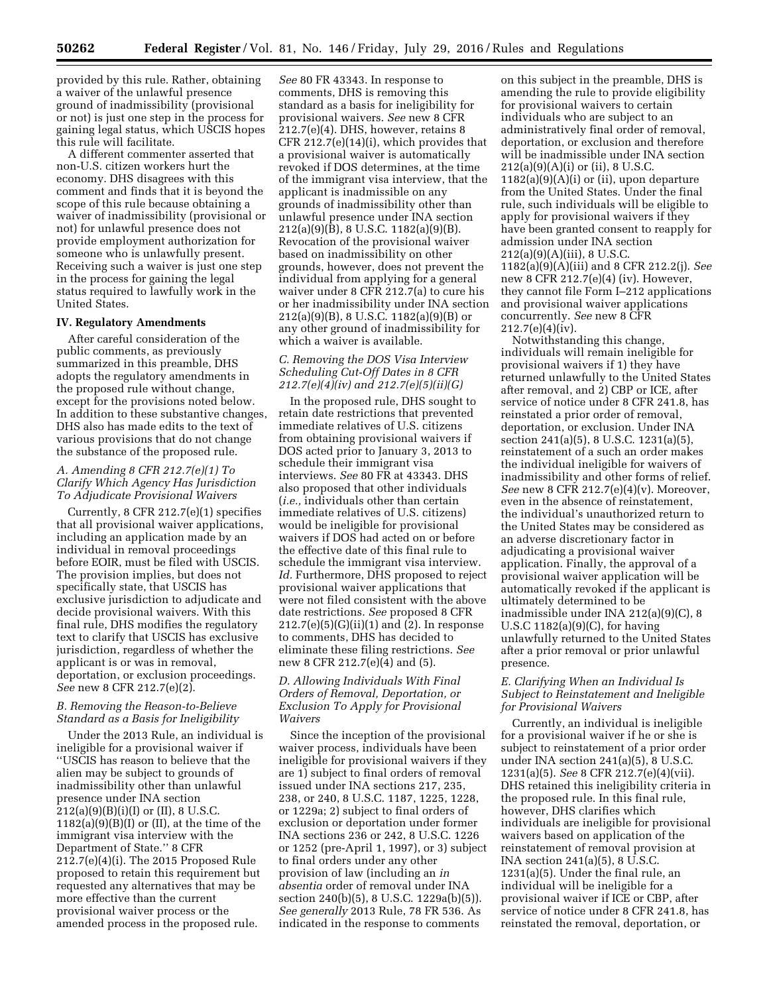provided by this rule. Rather, obtaining a waiver of the unlawful presence ground of inadmissibility (provisional or not) is just one step in the process for gaining legal status, which USCIS hopes this rule will facilitate.

A different commenter asserted that non-U.S. citizen workers hurt the economy. DHS disagrees with this comment and finds that it is beyond the scope of this rule because obtaining a waiver of inadmissibility (provisional or not) for unlawful presence does not provide employment authorization for someone who is unlawfully present. Receiving such a waiver is just one step in the process for gaining the legal status required to lawfully work in the United States.

# **IV. Regulatory Amendments**

After careful consideration of the public comments, as previously summarized in this preamble, DHS adopts the regulatory amendments in the proposed rule without change, except for the provisions noted below. In addition to these substantive changes, DHS also has made edits to the text of various provisions that do not change the substance of the proposed rule.

# *A. Amending 8 CFR 212.7(e)(1) To Clarify Which Agency Has Jurisdiction To Adjudicate Provisional Waivers*

Currently, 8 CFR 212.7(e)(1) specifies that all provisional waiver applications, including an application made by an individual in removal proceedings before EOIR, must be filed with USCIS. The provision implies, but does not specifically state, that USCIS has exclusive jurisdiction to adjudicate and decide provisional waivers. With this final rule, DHS modifies the regulatory text to clarify that USCIS has exclusive jurisdiction, regardless of whether the applicant is or was in removal, deportation, or exclusion proceedings. *See* new 8 CFR 212.7(e)(2).

# *B. Removing the Reason-to-Believe Standard as a Basis for Ineligibility*

Under the 2013 Rule, an individual is ineligible for a provisional waiver if ''USCIS has reason to believe that the alien may be subject to grounds of inadmissibility other than unlawful presence under INA section  $212(a)(9)(B)(i)(I)$  or (II), 8 U.S.C.  $1182(a)(9)(B)(I)$  or (II), at the time of the immigrant visa interview with the Department of State.'' 8 CFR 212.7(e)(4)(i). The 2015 Proposed Rule proposed to retain this requirement but requested any alternatives that may be more effective than the current provisional waiver process or the amended process in the proposed rule.

*See* 80 FR 43343. In response to comments, DHS is removing this standard as a basis for ineligibility for provisional waivers. *See* new 8 CFR  $212.7(e)(4)$ . DHS, however, retains 8 CFR 212.7(e)(14)(i), which provides that a provisional waiver is automatically revoked if DOS determines, at the time of the immigrant visa interview, that the applicant is inadmissible on any grounds of inadmissibility other than unlawful presence under INA section 212(a)(9)(B), 8 U.S.C. 1182(a)(9)(B). Revocation of the provisional waiver based on inadmissibility on other grounds, however, does not prevent the individual from applying for a general waiver under 8 CFR 212.7(a) to cure his or her inadmissibility under INA section 212(a)(9)(B), 8 U.S.C. 1182(a)(9)(B) or any other ground of inadmissibility for which a waiver is available.

# *C. Removing the DOS Visa Interview Scheduling Cut-Off Dates in 8 CFR 212.7(e)(4)(iv) and 212.7(e)(5)(ii)(G)*

In the proposed rule, DHS sought to retain date restrictions that prevented immediate relatives of U.S. citizens from obtaining provisional waivers if DOS acted prior to January 3, 2013 to schedule their immigrant visa interviews. *See* 80 FR at 43343. DHS also proposed that other individuals (*i.e.,* individuals other than certain immediate relatives of U.S. citizens) would be ineligible for provisional waivers if DOS had acted on or before the effective date of this final rule to schedule the immigrant visa interview. *Id.* Furthermore, DHS proposed to reject provisional waiver applications that were not filed consistent with the above date restrictions. *See* proposed 8 CFR  $212.7(e)(5)(G)(ii)(1)$  and  $(2)$ . In response to comments, DHS has decided to eliminate these filing restrictions. *See*  new 8 CFR 212.7(e)(4) and (5).

# *D. Allowing Individuals With Final Orders of Removal, Deportation, or Exclusion To Apply for Provisional Waivers*

Since the inception of the provisional waiver process, individuals have been ineligible for provisional waivers if they are 1) subject to final orders of removal issued under INA sections 217, 235, 238, or 240, 8 U.S.C. 1187, 1225, 1228, or 1229a; 2) subject to final orders of exclusion or deportation under former INA sections 236 or 242, 8 U.S.C. 1226 or 1252 (pre-April 1, 1997), or 3) subject to final orders under any other provision of law (including an *in absentia* order of removal under INA section 240(b)(5), 8 U.S.C. 1229a(b)(5)). *See generally* 2013 Rule, 78 FR 536. As indicated in the response to comments

on this subject in the preamble, DHS is amending the rule to provide eligibility for provisional waivers to certain individuals who are subject to an administratively final order of removal, deportation, or exclusion and therefore will be inadmissible under INA section 212(a)(9)(A)(i) or (ii), 8 U.S.C.  $1182(a)(9)(A)(i)$  or (ii), upon departure from the United States. Under the final rule, such individuals will be eligible to apply for provisional waivers if they have been granted consent to reapply for admission under INA section 212(a)(9)(A)(iii), 8 U.S.C. 1182(a)(9)(A)(iii) and 8 CFR 212.2(j). *See*  new 8 CFR 212.7(e)(4) (iv). However, they cannot file Form I–212 applications and provisional waiver applications concurrently. *See* new 8 CFR 212.7(e)(4)(iv).

Notwithstanding this change, individuals will remain ineligible for provisional waivers if 1) they have returned unlawfully to the United States after removal, and 2) CBP or ICE, after service of notice under 8 CFR 241.8, has reinstated a prior order of removal, deportation, or exclusion. Under INA section 241(a)(5), 8 U.S.C. 1231(a)(5), reinstatement of a such an order makes the individual ineligible for waivers of inadmissibility and other forms of relief. *See* new 8 CFR 212.7(e)(4)(v). Moreover, even in the absence of reinstatement, the individual's unauthorized return to the United States may be considered as an adverse discretionary factor in adjudicating a provisional waiver application. Finally, the approval of a provisional waiver application will be automatically revoked if the applicant is ultimately determined to be inadmissible under INA 212(a)(9)(C), 8 U.S.C 1182(a)(9)(C), for having unlawfully returned to the United States after a prior removal or prior unlawful presence.

# *E. Clarifying When an Individual Is Subject to Reinstatement and Ineligible for Provisional Waivers*

Currently, an individual is ineligible for a provisional waiver if he or she is subject to reinstatement of a prior order under INA section 241(a)(5), 8 U.S.C. 1231(a)(5). *See* 8 CFR 212.7(e)(4)(vii). DHS retained this ineligibility criteria in the proposed rule. In this final rule, however, DHS clarifies which individuals are ineligible for provisional waivers based on application of the reinstatement of removal provision at INA section 241(a)(5), 8 U.S.C. 1231(a)(5). Under the final rule, an individual will be ineligible for a provisional waiver if ICE or CBP, after service of notice under 8 CFR 241.8, has reinstated the removal, deportation, or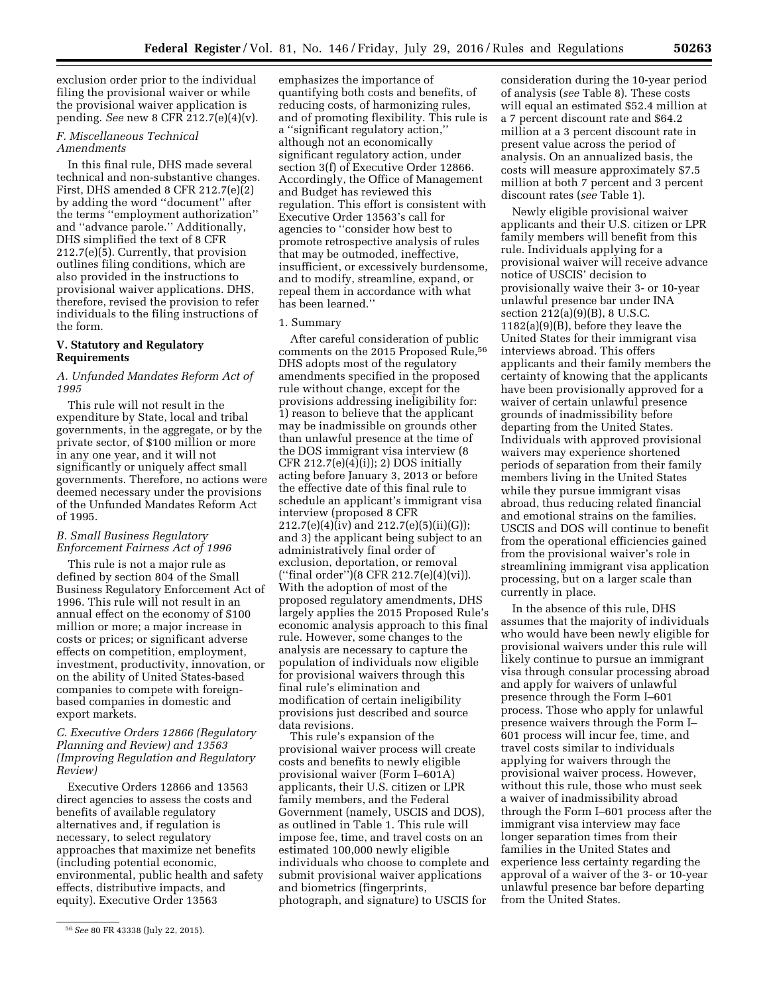exclusion order prior to the individual filing the provisional waiver or while the provisional waiver application is pending. *See* new 8 CFR 212.7(e)(4)(v).

# *F. Miscellaneous Technical Amendments*

In this final rule, DHS made several technical and non-substantive changes. First, DHS amended 8 CFR 212.7(e)(2) by adding the word ''document'' after the terms ''employment authorization'' and ''advance parole.'' Additionally, DHS simplified the text of 8 CFR 212.7(e)(5). Currently, that provision outlines filing conditions, which are also provided in the instructions to provisional waiver applications. DHS, therefore, revised the provision to refer individuals to the filing instructions of the form.

#### **V. Statutory and Regulatory Requirements**

#### *A. Unfunded Mandates Reform Act of 1995*

This rule will not result in the expenditure by State, local and tribal governments, in the aggregate, or by the private sector, of \$100 million or more in any one year, and it will not significantly or uniquely affect small governments. Therefore, no actions were deemed necessary under the provisions of the Unfunded Mandates Reform Act of 1995.

### *B. Small Business Regulatory Enforcement Fairness Act of 1996*

This rule is not a major rule as defined by section 804 of the Small Business Regulatory Enforcement Act of 1996. This rule will not result in an annual effect on the economy of \$100 million or more; a major increase in costs or prices; or significant adverse effects on competition, employment, investment, productivity, innovation, or on the ability of United States-based companies to compete with foreignbased companies in domestic and export markets.

## *C. Executive Orders 12866 (Regulatory Planning and Review) and 13563 (Improving Regulation and Regulatory Review)*

Executive Orders 12866 and 13563 direct agencies to assess the costs and benefits of available regulatory alternatives and, if regulation is necessary, to select regulatory approaches that maximize net benefits (including potential economic, environmental, public health and safety effects, distributive impacts, and equity). Executive Order 13563

emphasizes the importance of quantifying both costs and benefits, of reducing costs, of harmonizing rules, and of promoting flexibility. This rule is a ''significant regulatory action,'' although not an economically significant regulatory action, under section 3(f) of Executive Order 12866. Accordingly, the Office of Management and Budget has reviewed this regulation. This effort is consistent with Executive Order 13563's call for agencies to ''consider how best to promote retrospective analysis of rules that may be outmoded, ineffective, insufficient, or excessively burdensome, and to modify, streamline, expand, or repeal them in accordance with what has been learned.''

#### 1. Summary

After careful consideration of public comments on the 2015 Proposed Rule,<sup>56</sup> DHS adopts most of the regulatory amendments specified in the proposed rule without change, except for the provisions addressing ineligibility for: 1) reason to believe that the applicant may be inadmissible on grounds other than unlawful presence at the time of the DOS immigrant visa interview (8 CFR  $212.7(e)(4)(i)$ ; 2) DOS initially acting before January 3, 2013 or before the effective date of this final rule to schedule an applicant's immigrant visa interview (proposed 8 CFR 212.7(e)(4)(iv) and 212.7(e)(5)(ii)(G)); and 3) the applicant being subject to an administratively final order of exclusion, deportation, or removal (''final order'')(8 CFR 212.7(e)(4)(vi)). With the adoption of most of the proposed regulatory amendments, DHS largely applies the 2015 Proposed Rule's economic analysis approach to this final rule. However, some changes to the analysis are necessary to capture the population of individuals now eligible for provisional waivers through this final rule's elimination and modification of certain ineligibility provisions just described and source data revisions.

This rule's expansion of the provisional waiver process will create costs and benefits to newly eligible provisional waiver (Form I–601A) applicants, their U.S. citizen or LPR family members, and the Federal Government (namely, USCIS and DOS), as outlined in Table 1. This rule will impose fee, time, and travel costs on an estimated 100,000 newly eligible individuals who choose to complete and submit provisional waiver applications and biometrics (fingerprints, photograph, and signature) to USCIS for

consideration during the 10-year period of analysis (*see* Table 8). These costs will equal an estimated \$52.4 million at a 7 percent discount rate and \$64.2 million at a 3 percent discount rate in present value across the period of analysis. On an annualized basis, the costs will measure approximately \$7.5 million at both 7 percent and 3 percent discount rates (*see* Table 1).

Newly eligible provisional waiver applicants and their U.S. citizen or LPR family members will benefit from this rule. Individuals applying for a provisional waiver will receive advance notice of USCIS' decision to provisionally waive their 3- or 10-year unlawful presence bar under INA section 212(a)(9)(B), 8 U.S.C. 1182(a)(9)(B), before they leave the United States for their immigrant visa interviews abroad. This offers applicants and their family members the certainty of knowing that the applicants have been provisionally approved for a waiver of certain unlawful presence grounds of inadmissibility before departing from the United States. Individuals with approved provisional waivers may experience shortened periods of separation from their family members living in the United States while they pursue immigrant visas abroad, thus reducing related financial and emotional strains on the families. USCIS and DOS will continue to benefit from the operational efficiencies gained from the provisional waiver's role in streamlining immigrant visa application processing, but on a larger scale than currently in place.

In the absence of this rule, DHS assumes that the majority of individuals who would have been newly eligible for provisional waivers under this rule will likely continue to pursue an immigrant visa through consular processing abroad and apply for waivers of unlawful presence through the Form I–601 process. Those who apply for unlawful presence waivers through the Form I– 601 process will incur fee, time, and travel costs similar to individuals applying for waivers through the provisional waiver process. However, without this rule, those who must seek a waiver of inadmissibility abroad through the Form I–601 process after the immigrant visa interview may face longer separation times from their families in the United States and experience less certainty regarding the approval of a waiver of the 3- or 10-year unlawful presence bar before departing from the United States.

<sup>56</sup>*See* 80 FR 43338 (July 22, 2015).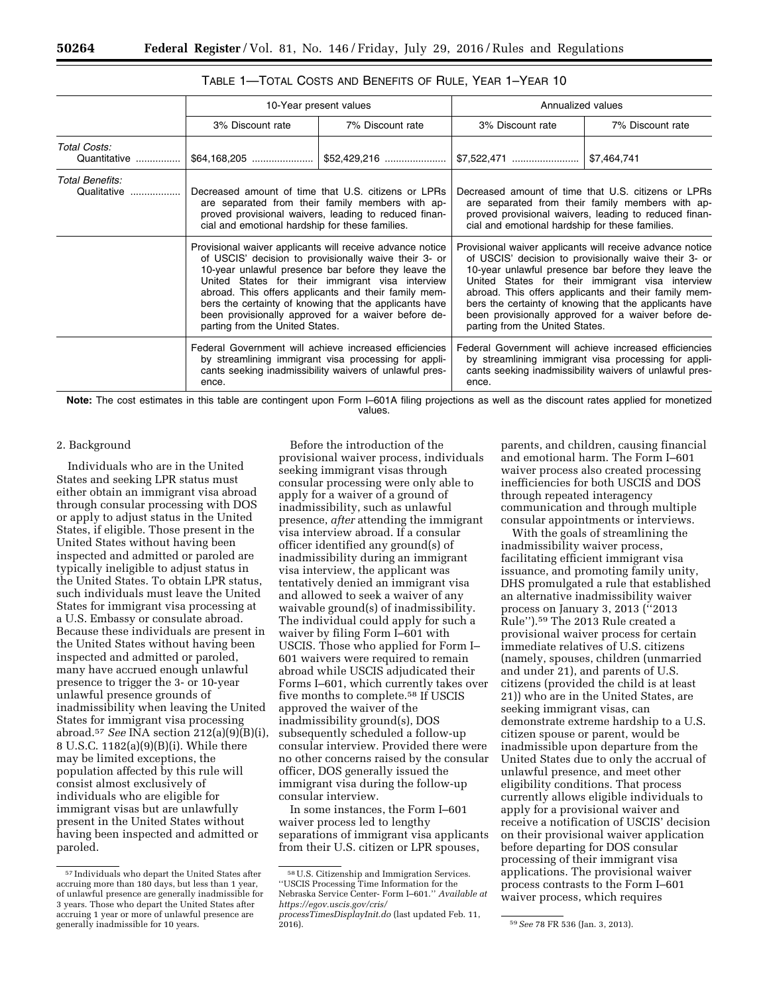|                                     | 10-Year present values                                                                                                                                                                                                                                                                                                                                                                                                                                                                                                                                                                                                                                          |                                                                                                                                                                           | Annualized values                                                                                                                                                                                                                                                                                                                                                                                                                         |                  |
|-------------------------------------|-----------------------------------------------------------------------------------------------------------------------------------------------------------------------------------------------------------------------------------------------------------------------------------------------------------------------------------------------------------------------------------------------------------------------------------------------------------------------------------------------------------------------------------------------------------------------------------------------------------------------------------------------------------------|---------------------------------------------------------------------------------------------------------------------------------------------------------------------------|-------------------------------------------------------------------------------------------------------------------------------------------------------------------------------------------------------------------------------------------------------------------------------------------------------------------------------------------------------------------------------------------------------------------------------------------|------------------|
|                                     | 3% Discount rate                                                                                                                                                                                                                                                                                                                                                                                                                                                                                                                                                                                                                                                | 7% Discount rate                                                                                                                                                          | 3% Discount rate                                                                                                                                                                                                                                                                                                                                                                                                                          | 7% Discount rate |
| Total Costs:<br>Quantitative        |                                                                                                                                                                                                                                                                                                                                                                                                                                                                                                                                                                                                                                                                 |                                                                                                                                                                           | \$7,464,741                                                                                                                                                                                                                                                                                                                                                                                                                               |                  |
| Total Benefits:<br>Qualitative<br>. | Decreased amount of time that U.S. citizens or LPRs<br>are separated from their family members with ap-<br>proved provisional waivers, leading to reduced finan-<br>cial and emotional hardship for these families.<br>Provisional waiver applicants will receive advance notice<br>of USCIS' decision to provisionally waive their 3 or<br>10-year unlawful presence bar before they leave the<br>United States for their immigrant visa interview<br>abroad. This offers applicants and their family mem-<br>bers the certainty of knowing that the applicants have<br>been provisionally approved for a waiver before de-<br>parting from the United States. |                                                                                                                                                                           | Decreased amount of time that U.S. citizens or LPRs<br>are separated from their family members with ap-<br>proved provisional waivers, leading to reduced finan-<br>cial and emotional hardship for these families.                                                                                                                                                                                                                       |                  |
|                                     |                                                                                                                                                                                                                                                                                                                                                                                                                                                                                                                                                                                                                                                                 |                                                                                                                                                                           | Provisional waiver applicants will receive advance notice<br>of USCIS' decision to provisionally waive their 3- or<br>10-year unlawful presence bar before they leave the<br>United States for their immigrant visa interview<br>abroad. This offers applicants and their family mem-<br>bers the certainty of knowing that the applicants have<br>been provisionally approved for a waiver before de-<br>parting from the United States. |                  |
|                                     | ence.                                                                                                                                                                                                                                                                                                                                                                                                                                                                                                                                                                                                                                                           | Federal Government will achieve increased efficiencies<br>by streamlining immigrant visa processing for appli-<br>cants seeking inadmissibility waivers of unlawful pres- | Federal Government will achieve increased efficiencies<br>by streamlining immigrant visa processing for appli-<br>cants seeking inadmissibility waivers of unlawful pres-<br>ence.                                                                                                                                                                                                                                                        |                  |

# TABLE 1—TOTAL COSTS AND BENEFITS OF RULE, YEAR 1–YEAR 10

**Note:** The cost estimates in this table are contingent upon Form I–601A filing projections as well as the discount rates applied for monetized values.

### 2. Background

Individuals who are in the United States and seeking LPR status must either obtain an immigrant visa abroad through consular processing with DOS or apply to adjust status in the United States, if eligible. Those present in the United States without having been inspected and admitted or paroled are typically ineligible to adjust status in the United States. To obtain LPR status, such individuals must leave the United States for immigrant visa processing at a U.S. Embassy or consulate abroad. Because these individuals are present in the United States without having been inspected and admitted or paroled, many have accrued enough unlawful presence to trigger the 3- or 10-year unlawful presence grounds of inadmissibility when leaving the United States for immigrant visa processing abroad.57 *See* INA section 212(a)(9)(B)(i), 8 U.S.C. 1182(a)(9)(B)(i). While there may be limited exceptions, the population affected by this rule will consist almost exclusively of individuals who are eligible for immigrant visas but are unlawfully present in the United States without having been inspected and admitted or paroled.

Before the introduction of the provisional waiver process, individuals seeking immigrant visas through consular processing were only able to apply for a waiver of a ground of inadmissibility, such as unlawful presence, *after* attending the immigrant visa interview abroad. If a consular officer identified any ground(s) of inadmissibility during an immigrant visa interview, the applicant was tentatively denied an immigrant visa and allowed to seek a waiver of any waivable ground(s) of inadmissibility. The individual could apply for such a waiver by filing Form I–601 with USCIS. Those who applied for Form I– 601 waivers were required to remain abroad while USCIS adjudicated their Forms I–601, which currently takes over five months to complete.58 If USCIS approved the waiver of the inadmissibility ground(s), DOS subsequently scheduled a follow-up consular interview. Provided there were no other concerns raised by the consular officer, DOS generally issued the immigrant visa during the follow-up consular interview.

In some instances, the Form I–601 waiver process led to lengthy separations of immigrant visa applicants from their U.S. citizen or LPR spouses,

parents, and children, causing financial and emotional harm. The Form I–601 waiver process also created processing inefficiencies for both USCIS and DOS through repeated interagency communication and through multiple consular appointments or interviews.

With the goals of streamlining the inadmissibility waiver process, facilitating efficient immigrant visa issuance, and promoting family unity, DHS promulgated a rule that established an alternative inadmissibility waiver process on January 3, 2013 (''2013 Rule'').59 The 2013 Rule created a provisional waiver process for certain immediate relatives of U.S. citizens (namely, spouses, children (unmarried and under 21), and parents of U.S. citizens (provided the child is at least 21)) who are in the United States, are seeking immigrant visas, can demonstrate extreme hardship to a U.S. citizen spouse or parent, would be inadmissible upon departure from the United States due to only the accrual of unlawful presence, and meet other eligibility conditions. That process currently allows eligible individuals to apply for a provisional waiver and receive a notification of USCIS' decision on their provisional waiver application before departing for DOS consular processing of their immigrant visa applications. The provisional waiver process contrasts to the Form I–601 waiver process, which requires

<sup>57</sup> Individuals who depart the United States after accruing more than 180 days, but less than 1 year, of unlawful presence are generally inadmissible for 3 years. Those who depart the United States after accruing 1 year or more of unlawful presence are generally inadmissible for 10 years.

<sup>58</sup>U.S. Citizenship and Immigration Services. ''USCIS Processing Time Information for the Nebraska Service Center- Form I–601.'' *Available at [https://egov.uscis.gov/cris/](https://egov.uscis.gov/cris/processTimesDisplayInit.do)* 

*[processTimesDisplayInit.do](https://egov.uscis.gov/cris/processTimesDisplayInit.do)* (last updated Feb. 11,

<sup>2016). 59</sup>*See* 78 FR 536 (Jan. 3, 2013).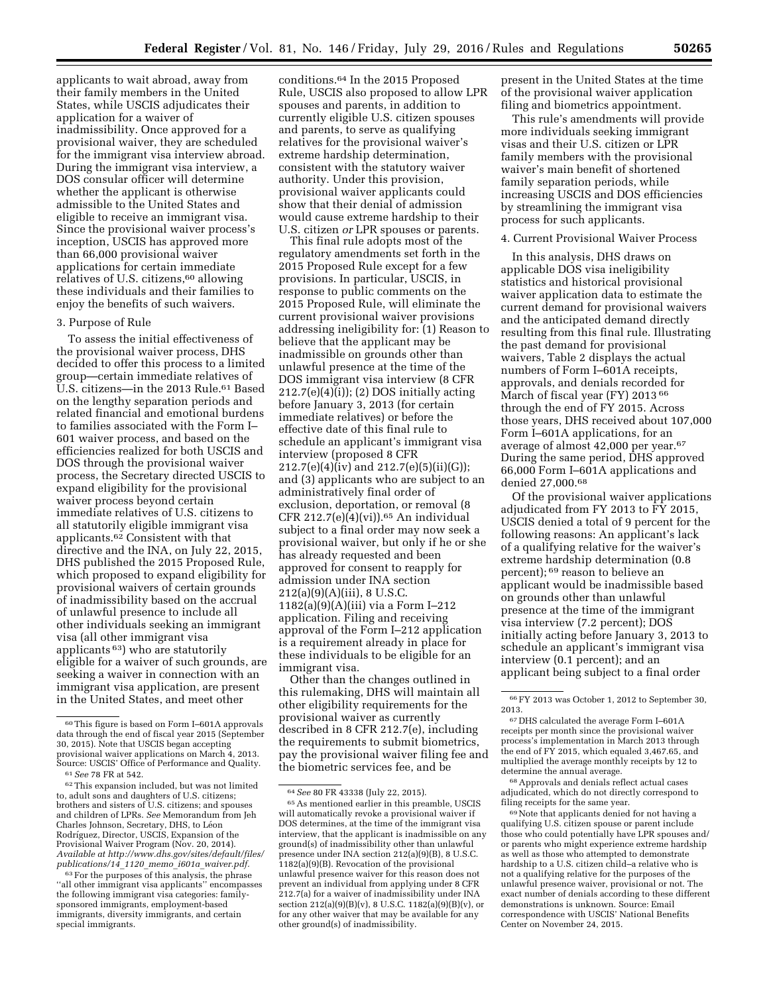applicants to wait abroad, away from their family members in the United States, while USCIS adjudicates their application for a waiver of inadmissibility. Once approved for a provisional waiver, they are scheduled for the immigrant visa interview abroad. During the immigrant visa interview, a DOS consular officer will determine whether the applicant is otherwise admissible to the United States and eligible to receive an immigrant visa. Since the provisional waiver process's inception, USCIS has approved more than 66,000 provisional waiver applications for certain immediate relatives of U.S. citizens,<sup>60</sup> allowing these individuals and their families to enjoy the benefits of such waivers.

#### 3. Purpose of Rule

To assess the initial effectiveness of the provisional waiver process, DHS decided to offer this process to a limited group—certain immediate relatives of U.S. citizens—in the 2013 Rule.61 Based on the lengthy separation periods and related financial and emotional burdens to families associated with the Form I– 601 waiver process, and based on the efficiencies realized for both USCIS and DOS through the provisional waiver process, the Secretary directed USCIS to expand eligibility for the provisional waiver process beyond certain immediate relatives of U.S. citizens to all statutorily eligible immigrant visa applicants.<sup>62</sup> Consistent with that directive and the INA, on July 22, 2015, DHS published the 2015 Proposed Rule, which proposed to expand eligibility for provisional waivers of certain grounds of inadmissibility based on the accrual of unlawful presence to include all other individuals seeking an immigrant visa (all other immigrant visa applicants 63) who are statutorily eligible for a waiver of such grounds, are seeking a waiver in connection with an immigrant visa application, are present in the United States, and meet other

<sup>61</sup> See 78 FR at 542.<br><sup>62</sup> This expansion included, but was not limited to, adult sons and daughters of U.S. citizens; brothers and sisters of U.S. citizens; and spouses and children of LPRs. *See* Memorandum from Jeh Charles Johnson, Secretary, DHS, to Léon Rodríguez, Director, USCIS, Expansion of the Provisional Waiver Program (Nov. 20, 2014). *Available at [http://www.dhs.gov/sites/default/files/](http://www.dhs.gov/sites/default/files/publications/14_1120_memo_i601a_waiver.pdf) [publications/14](http://www.dhs.gov/sites/default/files/publications/14_1120_memo_i601a_waiver.pdf)*\_*1120*\_*memo*\_*i601a*\_*waiver.pdf.* 

<sup>63</sup> For the purposes of this analysis, the phrase ''all other immigrant visa applicants'' encompasses the following immigrant visa categories: familysponsored immigrants, employment-based immigrants, diversity immigrants, and certain special immigrants.

conditions.64 In the 2015 Proposed Rule, USCIS also proposed to allow LPR spouses and parents, in addition to currently eligible U.S. citizen spouses and parents, to serve as qualifying relatives for the provisional waiver's extreme hardship determination, consistent with the statutory waiver authority. Under this provision, provisional waiver applicants could show that their denial of admission would cause extreme hardship to their U.S. citizen *or* LPR spouses or parents.

This final rule adopts most of the regulatory amendments set forth in the 2015 Proposed Rule except for a few provisions. In particular, USCIS, in response to public comments on the 2015 Proposed Rule, will eliminate the current provisional waiver provisions addressing ineligibility for: (1) Reason to believe that the applicant may be inadmissible on grounds other than unlawful presence at the time of the DOS immigrant visa interview (8 CFR 212.7(e)(4)(i)); (2) DOS initially acting before January 3, 2013 (for certain immediate relatives) or before the effective date of this final rule to schedule an applicant's immigrant visa interview (proposed 8 CFR 212.7(e)(4)(iv) and 212.7(e)(5)(ii)(G)); and (3) applicants who are subject to an administratively final order of exclusion, deportation, or removal (8 CFR 212.7(e) $\left(4\right)$ (vi)).<sup>65</sup> An individual subject to a final order may now seek a provisional waiver, but only if he or she has already requested and been approved for consent to reapply for admission under INA section 212(a)(9)(A)(iii), 8 U.S.C. 1182(a)(9)(A)(iii) via a Form I–212 application. Filing and receiving approval of the Form I–212 application is a requirement already in place for these individuals to be eligible for an immigrant visa.

Other than the changes outlined in this rulemaking, DHS will maintain all other eligibility requirements for the provisional waiver as currently described in 8 CFR 212.7(e), including the requirements to submit biometrics, pay the provisional waiver filing fee and the biometric services fee, and be

present in the United States at the time of the provisional waiver application filing and biometrics appointment.

This rule's amendments will provide more individuals seeking immigrant visas and their U.S. citizen or LPR family members with the provisional waiver's main benefit of shortened family separation periods, while increasing USCIS and DOS efficiencies by streamlining the immigrant visa process for such applicants.

#### 4. Current Provisional Waiver Process

In this analysis, DHS draws on applicable DOS visa ineligibility statistics and historical provisional waiver application data to estimate the current demand for provisional waivers and the anticipated demand directly resulting from this final rule. Illustrating the past demand for provisional waivers, Table 2 displays the actual numbers of Form I–601A receipts, approvals, and denials recorded for March of fiscal year (FY) 2013<sup>66</sup> through the end of FY 2015. Across those years, DHS received about 107,000 Form I–601A applications, for an average of almost 42,000 per year.67 During the same period, DHS approved 66,000 Form I–601A applications and denied 27,000.68

Of the provisional waiver applications adjudicated from FY 2013 to FY 2015, USCIS denied a total of 9 percent for the following reasons: An applicant's lack of a qualifying relative for the waiver's extreme hardship determination (0.8 percent); 69 reason to believe an applicant would be inadmissible based on grounds other than unlawful presence at the time of the immigrant visa interview (7.2 percent); DOS initially acting before January 3, 2013 to schedule an applicant's immigrant visa interview (0.1 percent); and an applicant being subject to a final order

68Approvals and denials reflect actual cases adjudicated, which do not directly correspond to filing receipts for the same year.

69Note that applicants denied for not having a qualifying U.S. citizen spouse or parent include those who could potentially have LPR spouses and/ or parents who might experience extreme hardship as well as those who attempted to demonstrate hardship to a U.S. citizen child–a relative who is not a qualifying relative for the purposes of the unlawful presence waiver, provisional or not. The exact number of denials according to these different demonstrations is unknown. Source: Email correspondence with USCIS' National Benefits Center on November 24, 2015.

<sup>60</sup>This figure is based on Form I–601A approvals data through the end of fiscal year 2015 (September 30, 2015). Note that USCIS began accepting provisional waiver applications on March 4, 2013.

<sup>64</sup>*See* 80 FR 43338 (July 22, 2015).

<sup>65</sup>As mentioned earlier in this preamble, USCIS will automatically revoke a provisional waiver if DOS determines, at the time of the immigrant visa interview, that the applicant is inadmissible on any ground(s) of inadmissibility other than unlawful presence under INA section 212(a)(9)(B), 8 U.S.C. 1182(a)(9)(B). Revocation of the provisional unlawful presence waiver for this reason does not prevent an individual from applying under 8 CFR 212.7(a) for a waiver of inadmissibility under INA section 212(a)(9)(B)(v), 8 U.S.C. 1182(a)(9)(B)(v), or for any other waiver that may be available for any other ground(s) of inadmissibility.

<sup>66</sup>FY 2013 was October 1, 2012 to September 30, 2013.

<sup>67</sup> DHS calculated the average Form I–601A receipts per month since the provisional waiver process's implementation in March 2013 through the end of  $\overline{FY}$  2015, which equaled 3,467.65, and multiplied the average monthly receipts by 12 to determine the annual average.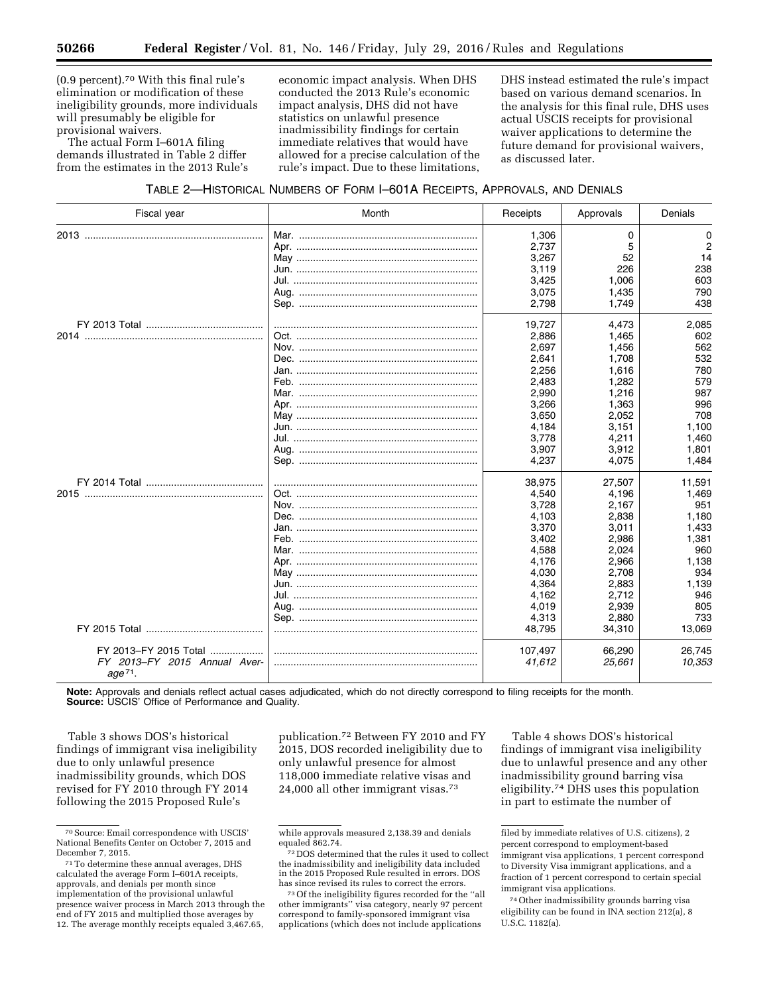(0.9 percent).70 With this final rule's elimination or modification of these ineligibility grounds, more individuals will presumably be eligible for provisional waivers.

The actual Form I–601A filing demands illustrated in Table 2 differ from the estimates in the 2013 Rule's

economic impact analysis. When DHS conducted the 2013 Rule's economic impact analysis, DHS did not have statistics on unlawful presence inadmissibility findings for certain immediate relatives that would have allowed for a precise calculation of the rule's impact. Due to these limitations,

DHS instead estimated the rule's impact based on various demand scenarios. In the analysis for this final rule, DHS uses actual USCIS receipts for provisional waiver applications to determine the future demand for provisional waivers, as discussed later.

| Table 2—Historical Numbers of Form I—601A Receipts, Approvals, and Denials |  |
|----------------------------------------------------------------------------|--|
|----------------------------------------------------------------------------|--|

| Fiscal year                  | Month | Receipts | Approvals | Denials |
|------------------------------|-------|----------|-----------|---------|
|                              |       | 1,306    | 0         | 0       |
|                              |       | 2,737    | 5         | 2       |
|                              |       | 3,267    | 52        | 14      |
|                              |       | 3,119    | 226       | 238     |
|                              |       | 3,425    | 1,006     | 603     |
|                              |       | 3,075    | 1,435     | 790     |
|                              |       | 2,798    | 1,749     | 438     |
|                              |       | 19,727   | 4,473     | 2,085   |
|                              |       | 2,886    | 1.465     | 602     |
|                              |       | 2,697    | 1,456     | 562     |
|                              |       | 2,641    | 1.708     | 532     |
|                              |       | 2,256    | 1,616     | 780     |
|                              |       | 2,483    | 1,282     | 579     |
|                              |       | 2,990    | 1.216     | 987     |
|                              |       | 3,266    | 1,363     | 996     |
|                              |       | 3,650    | 2,052     | 708     |
|                              |       |          |           |         |
|                              |       | 4,184    | 3,151     | 1,100   |
|                              |       | 3.778    | 4.211     | 1,460   |
|                              |       | 3,907    | 3,912     | 1,801   |
|                              |       | 4,237    | 4,075     | 1,484   |
|                              |       | 38,975   | 27,507    | 11,591  |
|                              |       | 4,540    | 4,196     | 1,469   |
|                              |       | 3,728    | 2,167     | 951     |
|                              |       | 4.103    | 2,838     | 1,180   |
|                              |       | 3,370    | 3,011     | 1,433   |
|                              |       | 3,402    | 2,986     | 1,381   |
|                              |       | 4,588    | 2.024     | 960     |
|                              |       | 4.176    | 2,966     | 1,138   |
|                              |       | 4,030    | 2,708     | 934     |
|                              |       | 4,364    | 2,883     | 1,139   |
|                              |       | 4,162    | 2.712     | 946     |
|                              |       | 4,019    | 2,939     | 805     |
|                              |       | 4,313    |           | 733     |
|                              |       |          | 2,880     |         |
|                              |       | 48,795   | 34,310    | 13,069  |
| FY 2013-FY 2015 Total        |       | 107,497  | 66,290    | 26,745  |
| FY 2013-FY 2015 Annual Aver- |       | 41,612   | 25,661    | 10,353  |
| $age71$ .                    |       |          |           |         |

**Note:** Approvals and denials reflect actual cases adjudicated, which do not directly correspond to filing receipts for the month. **Source:** USCIS' Office of Performance and Quality.

Table 3 shows DOS's historical findings of immigrant visa ineligibility due to only unlawful presence inadmissibility grounds, which DOS revised for FY 2010 through FY 2014 following the 2015 Proposed Rule's

publication.72 Between FY 2010 and FY 2015, DOS recorded ineligibility due to only unlawful presence for almost 118,000 immediate relative visas and 24,000 all other immigrant visas.73

Table 4 shows DOS's historical findings of immigrant visa ineligibility due to unlawful presence and any other inadmissibility ground barring visa eligibility.74 DHS uses this population in part to estimate the number of

<sup>70</sup>Source: Email correspondence with USCIS' National Benefits Center on October 7, 2015 and December 7, 2015.

<sup>71</sup>To determine these annual averages, DHS calculated the average Form I–601A receipts, approvals, and denials per month since implementation of the provisional unlawful presence waiver process in March 2013 through the end of FY 2015 and multiplied those averages by 12. The average monthly receipts equaled 3,467.65,

while approvals measured 2,138.39 and denials

equaled 862.74. 72 DOS determined that the rules it used to collect the inadmissibility and ineligibility data included in the 2015 Proposed Rule resulted in errors. DOS has since revised its rules to correct the errors.

<sup>73</sup>Of the ineligibility figures recorded for the ''all other immigrants'' visa category, nearly 97 percent correspond to family-sponsored immigrant visa applications (which does not include applications

filed by immediate relatives of U.S. citizens), 2 percent correspond to employment-based immigrant visa applications, 1 percent correspond to Diversity Visa immigrant applications, and a fraction of 1 percent correspond to certain special immigrant visa applications.

<sup>74</sup>Other inadmissibility grounds barring visa eligibility can be found in INA section 212(a), 8 U.S.C. 1182(a).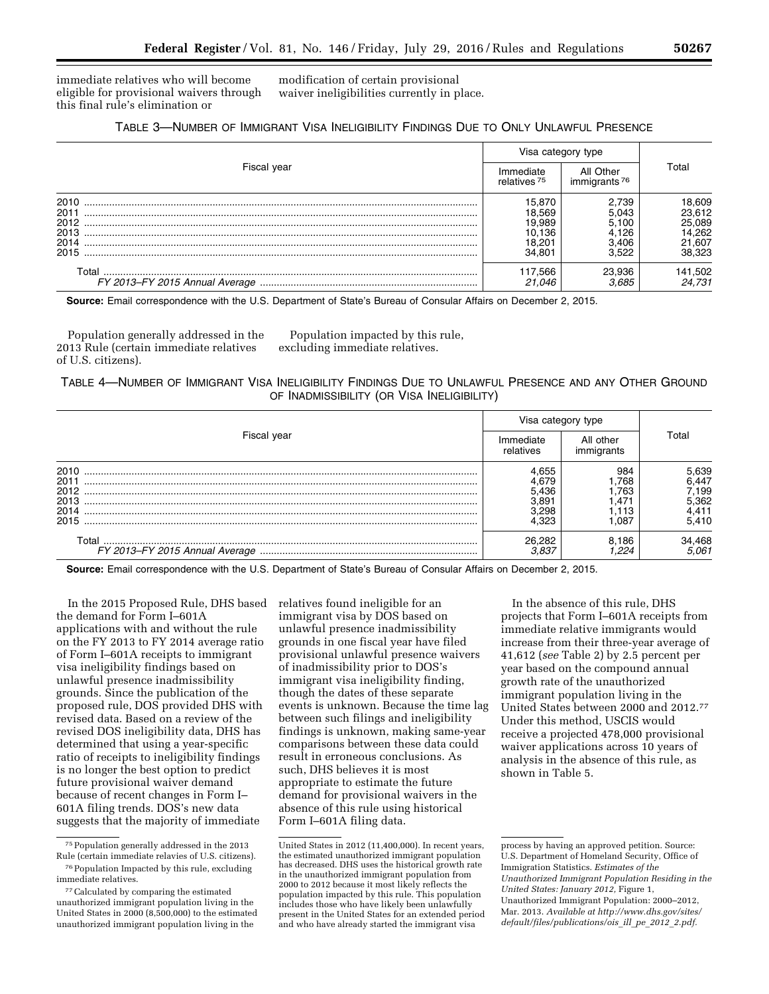immediate relatives who will become eligible for provisional waivers through this final rule's elimination or

modification of certain provisional waiver ineligibilities currently in place.

# TABLE 3—NUMBER OF IMMIGRANT VISA INELIGIBILITY FINDINGS DUE TO ONLY UNLAWFUL PRESENCE

| Fiscal year                                  | Visa category type                                       |                                                    |                                                          |
|----------------------------------------------|----------------------------------------------------------|----------------------------------------------------|----------------------------------------------------------|
|                                              | Immediate<br>relatives <sup>75</sup>                     | All Other<br>immigrants <sup>76</sup>              | Гotal                                                    |
| 2010<br>2011<br>2012<br>2013<br>2014<br>2015 | 15.870<br>18.569<br>19.989<br>10.136<br>18.201<br>34.801 | 2.739<br>5.043<br>5.100<br>4.126<br>3.406<br>3.522 | 18,609<br>23.612<br>25,089<br>14.262<br>21,607<br>38.323 |
| ⊺otal                                        | 17.566<br>በ46                                            | 23.936                                             | 141,502<br>24.731                                        |

**Source:** Email correspondence with the U.S. Department of State's Bureau of Consular Affairs on December 2, 2015.

Population generally addressed in the 2013 Rule (certain immediate relatives of U.S. citizens).

Population impacted by this rule, excluding immediate relatives.

# TABLE 4—NUMBER OF IMMIGRANT VISA INELIGIBILITY FINDINGS DUE TO UNLAWFUL PRESENCE AND ANY OTHER GROUND OF INADMISSIBILITY (OR VISA INELIGIBILITY)

|                                              | Visa category type                       |                                               |                                                    |  |
|----------------------------------------------|------------------------------------------|-----------------------------------------------|----------------------------------------------------|--|
| Fiscal year                                  |                                          | All other<br>immigrants                       | Γotal                                              |  |
| 2010<br>2011<br>2012<br>2013<br>2014<br>2015 | .655<br>5.436<br>3.891<br>' 298<br>1.323 | 984<br>.768<br>.763<br>.471<br>⊟113<br>⊺08. ا | 5.639<br>ኔ.447<br>7,199<br>5.362<br>4.411<br>5.410 |  |
| Г∩tal                                        |                                          | 8.186<br>22                                   | 34,468<br>5.061                                    |  |

**Source:** Email correspondence with the U.S. Department of State's Bureau of Consular Affairs on December 2, 2015.

In the 2015 Proposed Rule, DHS based the demand for Form I–601A applications with and without the rule on the FY 2013 to FY 2014 average ratio of Form I–601A receipts to immigrant visa ineligibility findings based on unlawful presence inadmissibility grounds. Since the publication of the proposed rule, DOS provided DHS with revised data. Based on a review of the revised DOS ineligibility data, DHS has determined that using a year-specific ratio of receipts to ineligibility findings is no longer the best option to predict future provisional waiver demand because of recent changes in Form I– 601A filing trends. DOS's new data suggests that the majority of immediate

relatives found ineligible for an immigrant visa by DOS based on unlawful presence inadmissibility grounds in one fiscal year have filed provisional unlawful presence waivers of inadmissibility prior to DOS's immigrant visa ineligibility finding, though the dates of these separate events is unknown. Because the time lag between such filings and ineligibility findings is unknown, making same-year comparisons between these data could result in erroneous conclusions. As such, DHS believes it is most appropriate to estimate the future demand for provisional waivers in the absence of this rule using historical Form I–601A filing data.

In the absence of this rule, DHS projects that Form I–601A receipts from immediate relative immigrants would increase from their three-year average of 41,612 (*see* Table 2) by 2.5 percent per year based on the compound annual growth rate of the unauthorized immigrant population living in the United States between 2000 and 2012.77 Under this method, USCIS would receive a projected 478,000 provisional waiver applications across 10 years of analysis in the absence of this rule, as shown in Table 5.

<sup>75</sup>Population generally addressed in the 2013 Rule (certain immediate relavies of U.S. citizens). 76Population Impacted by this rule, excluding immediate relatives.

<sup>77</sup>Calculated by comparing the estimated unauthorized immigrant population living in the United States in 2000 (8,500,000) to the estimated unauthorized immigrant population living in the

United States in 2012 (11,400,000). In recent years, the estimated unauthorized immigrant population has decreased. DHS uses the historical growth rate in the unauthorized immigrant population from 2000 to 2012 because it most likely reflects the population impacted by this rule. This population includes those who have likely been unlawfully present in the United States for an extended period and who have already started the immigrant visa

process by having an approved petition. Source: U.S. Department of Homeland Security, Office of Immigration Statistics. *Estimates of the Unauthorized Immigrant Population Residing in the United States: January 2012,* Figure 1, Unauthorized Immigrant Population: 2000–2012, Mar. 2013. *Available at [http://www.dhs.gov/sites/](http://www.dhs.gov/sites/default/files/publications/ois_ill_pe_2012_2.pdf) [default/files/publications/ois](http://www.dhs.gov/sites/default/files/publications/ois_ill_pe_2012_2.pdf)*\_*ill*\_*pe*\_*2012*\_*2.pdf.*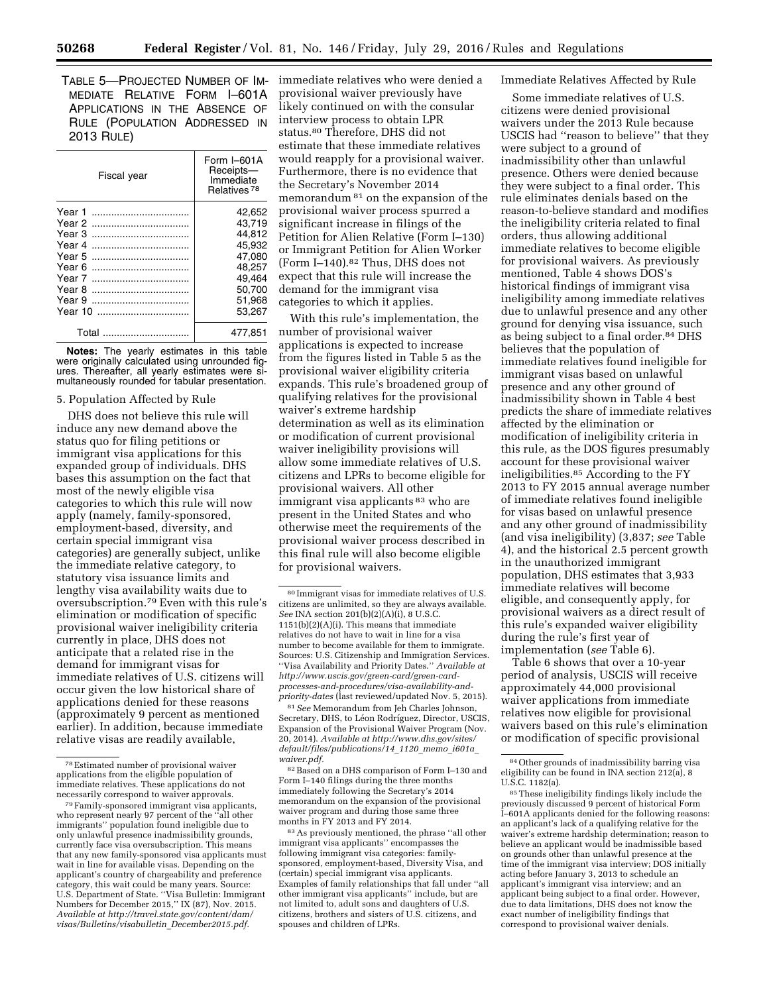TABLE 5—PROJECTED NUMBER OF IM-immediate relatives who were denied a MEDIATE RELATIVE FORM I–601A APPLICATIONS IN THE ABSENCE OF RULE (POPULATION ADDRESSED IN 2013 RULE)

| Fiscal year                | Form $I$ -601A<br>Receipts-<br>Immediate<br>Relatives <sup>78</sup> |
|----------------------------|---------------------------------------------------------------------|
| Year 1<br>Year 2<br>Year 3 | 42.652<br>43.719<br>44.812                                          |
| <br>Year 4<br>Year 5       | 45,932<br>47,080                                                    |
| Year 6<br>Year 7<br>       | 48,257<br>49.464                                                    |
| Year 8<br><br>Year 9       | 50.700<br>51.968                                                    |
| Year 10                    | 53,267                                                              |
| Total                      | 477.851                                                             |

**Notes:** The yearly estimates in this table were originally calculated using unrounded figures. Thereafter, all yearly estimates were simultaneously rounded for tabular presentation.

#### 5. Population Affected by Rule

DHS does not believe this rule will induce any new demand above the status quo for filing petitions or immigrant visa applications for this expanded group of individuals. DHS bases this assumption on the fact that most of the newly eligible visa categories to which this rule will now apply (namely, family-sponsored, employment-based, diversity, and certain special immigrant visa categories) are generally subject, unlike the immediate relative category, to statutory visa issuance limits and lengthy visa availability waits due to oversubscription.79 Even with this rule's elimination or modification of specific provisional waiver ineligibility criteria currently in place, DHS does not anticipate that a related rise in the demand for immigrant visas for immediate relatives of U.S. citizens will occur given the low historical share of applications denied for these reasons (approximately 9 percent as mentioned earlier). In addition, because immediate relative visas are readily available,

provisional waiver previously have likely continued on with the consular interview process to obtain LPR status.80 Therefore, DHS did not estimate that these immediate relatives would reapply for a provisional waiver. Furthermore, there is no evidence that the Secretary's November 2014 memorandum 81 on the expansion of the provisional waiver process spurred a significant increase in filings of the Petition for Alien Relative (Form I–130) or Immigrant Petition for Alien Worker (Form I–140).82 Thus, DHS does not expect that this rule will increase the demand for the immigrant visa categories to which it applies.

With this rule's implementation, the number of provisional waiver applications is expected to increase from the figures listed in Table 5 as the provisional waiver eligibility criteria expands. This rule's broadened group of qualifying relatives for the provisional waiver's extreme hardship determination as well as its elimination or modification of current provisional waiver ineligibility provisions will allow some immediate relatives of U.S. citizens and LPRs to become eligible for provisional waivers. All other immigrant visa applicants<sup>83</sup> who are present in the United States and who otherwise meet the requirements of the provisional waiver process described in this final rule will also become eligible for provisional waivers.

81*See* Memorandum from Jeh Charles Johnson, Secretary, DHS, to Léon Rodríguez, Director, USCIS, Expansion of the Provisional Waiver Program (Nov. 20, 2014). *Available at [http://www.dhs.gov/sites/](http://www.dhs.gov/sites/default/files/publications/14_1120_memo_i601a_waiver.pdf) [default/files/publications/14](http://www.dhs.gov/sites/default/files/publications/14_1120_memo_i601a_waiver.pdf)*\_*1120*\_*memo*\_*i601a*\_ *[waiver.pdf.](http://www.dhs.gov/sites/default/files/publications/14_1120_memo_i601a_waiver.pdf)* 

82Based on a DHS comparison of Form I–130 and Form I–140 filings during the three months immediately following the Secretary's 2014 memorandum on the expansion of the provisional waiver program and during those same three months in FY 2013 and FY 2014.

83As previously mentioned, the phrase ''all other immigrant visa applicants'' encompasses the following immigrant visa categories: familysponsored, employment-based, Diversity Visa, and (certain) special immigrant visa applicants. Examples of family relationships that fall under ''all other immigrant visa applicants'' include, but are not limited to, adult sons and daughters of U.S. citizens, brothers and sisters of U.S. citizens, and spouses and children of LPRs.

#### Immediate Relatives Affected by Rule

Some immediate relatives of U.S. citizens were denied provisional waivers under the 2013 Rule because USCIS had ''reason to believe'' that they were subject to a ground of inadmissibility other than unlawful presence. Others were denied because they were subject to a final order. This rule eliminates denials based on the reason-to-believe standard and modifies the ineligibility criteria related to final orders, thus allowing additional immediate relatives to become eligible for provisional waivers. As previously mentioned, Table 4 shows DOS's historical findings of immigrant visa ineligibility among immediate relatives due to unlawful presence and any other ground for denying visa issuance, such as being subject to a final order.<sup>84</sup> DHS believes that the population of immediate relatives found ineligible for immigrant visas based on unlawful presence and any other ground of inadmissibility shown in Table 4 best predicts the share of immediate relatives affected by the elimination or modification of ineligibility criteria in this rule, as the DOS figures presumably account for these provisional waiver ineligibilities.85 According to the FY 2013 to FY 2015 annual average number of immediate relatives found ineligible for visas based on unlawful presence and any other ground of inadmissibility (and visa ineligibility) (3,837; *see* Table 4), and the historical 2.5 percent growth in the unauthorized immigrant population, DHS estimates that 3,933 immediate relatives will become eligible, and consequently apply, for provisional waivers as a direct result of this rule's expanded waiver eligibility during the rule's first year of implementation (*see* Table 6).

Table 6 shows that over a 10-year period of analysis, USCIS will receive approximately 44,000 provisional waiver applications from immediate relatives now eligible for provisional waivers based on this rule's elimination or modification of specific provisional

<sup>78</sup>Estimated number of provisional waiver applications from the eligible population of immediate relatives. These applications do not<br>necessarily correspond to waiver approvals.

necessarily correspond to waiver approvals. 79Family-sponsored immigrant visa applicants, who represent nearly 97 percent of the ''all other immigrants'' population found ineligible due to only unlawful presence inadmissibility grounds, currently face visa oversubscription. This means that any new family-sponsored visa applicants must wait in line for available visas. Depending on the applicant's country of chargeability and preference category, this wait could be many years. Source: U.S. Department of State. ''Visa Bulletin: Immigrant Numbers for December 2015,'' IX (87), Nov. 2015. *Available at [http://travel.state.gov/content/dam/](http://travel.state.gov/content/dam/visas/Bulletins/visabulletin_December2015.pdf) [visas/Bulletins/visabulletin](http://travel.state.gov/content/dam/visas/Bulletins/visabulletin_December2015.pdf)*\_*December2015.pdf.* 

<sup>80</sup> Immigrant visas for immediate relatives of U.S. citizens are unlimited, so they are always available. *See* INA section 201(b)(2)(A)(i), 8 U.S.C. 1151(b)(2)(A)(i). This means that immediate relatives do not have to wait in line for a visa number to become available for them to immigrate. Sources: U.S. Citizenship and Immigration Services. ''Visa Availability and Priority Dates.'' *Available at [http://www.uscis.gov/green-card/green-card](http://www.uscis.gov/green-card/green-card-processes-and-procedures/visa-availability-and-priority-dates)[processes-and-procedures/visa-availability-and](http://www.uscis.gov/green-card/green-card-processes-and-procedures/visa-availability-and-priority-dates)[priority-dates](http://www.uscis.gov/green-card/green-card-processes-and-procedures/visa-availability-and-priority-dates)* (last reviewed/updated Nov. 5, 2015).

<sup>84</sup>Other grounds of inadmissibility barring visa eligibility can be found in INA section 212(a), 8 U.S.C. 1182(a).

<sup>85</sup>These ineligibility findings likely include the previously discussed 9 percent of historical Form I–601A applicants denied for the following reasons: an applicant's lack of a qualifying relative for the waiver's extreme hardship determination; reason to believe an applicant would be inadmissible based on grounds other than unlawful presence at the time of the immigrant visa interview; DOS initially acting before January 3, 2013 to schedule an applicant's immigrant visa interview; and an applicant being subject to a final order. However, due to data limitations, DHS does not know the exact number of ineligibility findings that correspond to provisional waiver denials.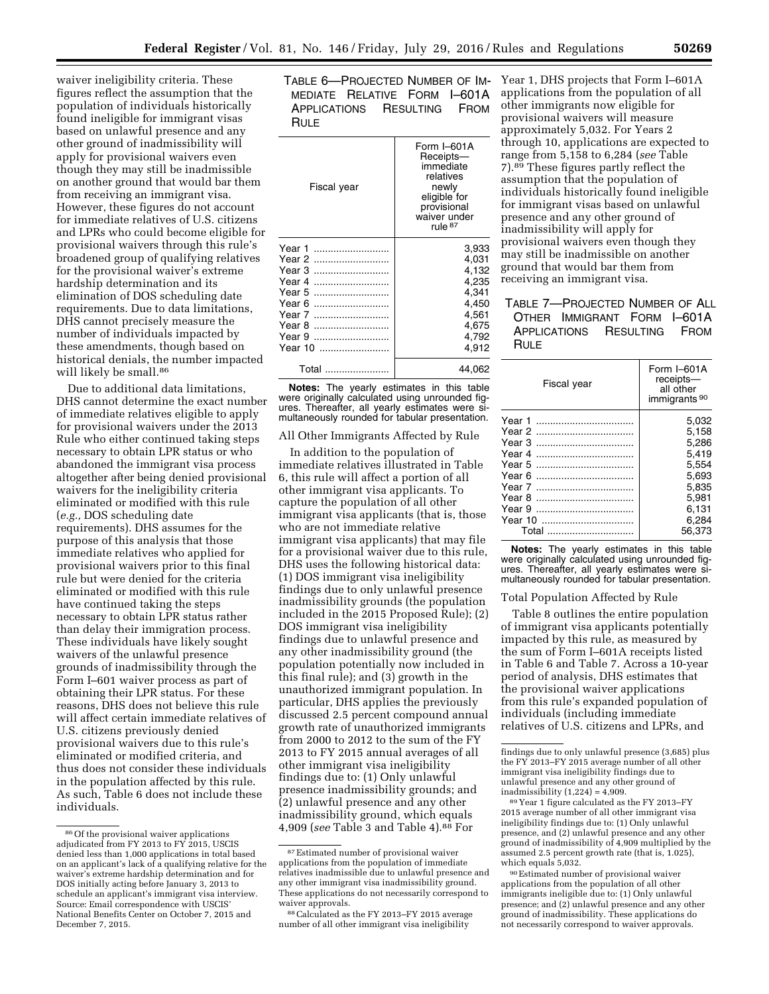waiver ineligibility criteria. These figures reflect the assumption that the population of individuals historically found ineligible for immigrant visas based on unlawful presence and any other ground of inadmissibility will apply for provisional waivers even though they may still be inadmissible on another ground that would bar them from receiving an immigrant visa. However, these figures do not account for immediate relatives of U.S. citizens and LPRs who could become eligible for provisional waivers through this rule's broadened group of qualifying relatives for the provisional waiver's extreme hardship determination and its elimination of DOS scheduling date requirements. Due to data limitations, DHS cannot precisely measure the number of individuals impacted by these amendments, though based on historical denials, the number impacted will likely be small.<sup>86</sup>

Due to additional data limitations, DHS cannot determine the exact number of immediate relatives eligible to apply for provisional waivers under the 2013 Rule who either continued taking steps necessary to obtain LPR status or who abandoned the immigrant visa process altogether after being denied provisional waivers for the ineligibility criteria eliminated or modified with this rule (*e.g.,* DOS scheduling date requirements). DHS assumes for the purpose of this analysis that those immediate relatives who applied for provisional waivers prior to this final rule but were denied for the criteria eliminated or modified with this rule have continued taking the steps necessary to obtain LPR status rather than delay their immigration process. These individuals have likely sought waivers of the unlawful presence grounds of inadmissibility through the Form I–601 waiver process as part of obtaining their LPR status. For these reasons, DHS does not believe this rule will affect certain immediate relatives of U.S. citizens previously denied provisional waivers due to this rule's eliminated or modified criteria, and thus does not consider these individuals in the population affected by this rule. As such, Table 6 does not include these individuals.

# TABLE 6—PROJECTED NUMBER OF IM-Year 1, DHS projects that Form I–601A MEDIATE RELATIVE FORM I–601A APPLICATIONS RESULTING FROM RULE

| Fiscal year                                                                                       | Form I-601A<br>Receipts-<br>immediate<br>relatives<br>newly<br>eligible for<br>provisional<br>waiver under<br>rule <sup>87</sup> |
|---------------------------------------------------------------------------------------------------|----------------------------------------------------------------------------------------------------------------------------------|
| Year 1<br>Year 2<br>Year 3<br>Year 4<br>Year 5<br>Year 6<br>Year 7<br>Year 8<br>Year 9<br>Year 10 | 3,933<br>4,031<br>4,132<br>4.235<br>4,341<br>4.450<br>4,561<br>4,675<br>4,792<br>4,912                                           |
| Total                                                                                             | 44,062                                                                                                                           |
|                                                                                                   |                                                                                                                                  |

**Notes:** The yearly estimates in this table were originally calculated using unrounded figures. Thereafter, all yearly estimates were simultaneously rounded for tabular presentation.

All Other Immigrants Affected by Rule

In addition to the population of immediate relatives illustrated in Table 6, this rule will affect a portion of all other immigrant visa applicants. To capture the population of all other immigrant visa applicants (that is, those who are not immediate relative immigrant visa applicants) that may file for a provisional waiver due to this rule, DHS uses the following historical data: (1) DOS immigrant visa ineligibility findings due to only unlawful presence inadmissibility grounds (the population included in the 2015 Proposed Rule); (2) DOS immigrant visa ineligibility findings due to unlawful presence and any other inadmissibility ground (the population potentially now included in this final rule); and (3) growth in the unauthorized immigrant population. In particular, DHS applies the previously discussed 2.5 percent compound annual growth rate of unauthorized immigrants from 2000 to 2012 to the sum of the FY 2013 to FY 2015 annual averages of all other immigrant visa ineligibility findings due to: (1) Only unlawful presence inadmissibility grounds; and (2) unlawful presence and any other inadmissibility ground, which equals 4,909 (*see* Table 3 and Table 4).88 For

applications from the population of all other immigrants now eligible for provisional waivers will measure approximately 5,032. For Years 2 through 10, applications are expected to range from 5,158 to 6,284 (*see* Table 7).89 These figures partly reflect the assumption that the population of individuals historically found ineligible for immigrant visas based on unlawful presence and any other ground of inadmissibility will apply for provisional waivers even though they may still be inadmissible on another ground that would bar them from receiving an immigrant visa.

# TABLE 7—PROJECTED NUMBER OF ALL OTHER IMMIGRANT FORM I–601A APPLICATIONS RESULTING FROM **RULE**

| Fiscal year | Form $I$ -601A<br>receipts-<br>all other<br>immigrants <sup>90</sup> |
|-------------|----------------------------------------------------------------------|
| Year 1      | 5.032                                                                |
|             | 5.158                                                                |
|             | 5.286                                                                |
| Year 4      | 5.419                                                                |
| Year 5      | 5,554                                                                |
|             | 5.693                                                                |
|             | 5,835                                                                |
| Year 8      | 5.981                                                                |
|             | 6.131                                                                |
|             | 6.284                                                                |
| Total       | 56.373                                                               |

**Notes:** The yearly estimates in this table were originally calculated using unrounded figures. Thereafter, all yearly estimates were simultaneously rounded for tabular presentation.

#### Total Population Affected by Rule

Table 8 outlines the entire population of immigrant visa applicants potentially impacted by this rule, as measured by the sum of Form I–601A receipts listed in Table 6 and Table 7. Across a 10-year period of analysis, DHS estimates that the provisional waiver applications from this rule's expanded population of individuals (including immediate relatives of U.S. citizens and LPRs, and

89 Year 1 figure calculated as the FY 2013–FY 2015 average number of all other immigrant visa ineligibility findings due to: (1) Only unlawful presence, and (2) unlawful presence and any other ground of inadmissibility of 4,909 multiplied by the assumed 2.5 percent growth rate (that is, 1.025), which equals 5,032.

90Estimated number of provisional waiver applications from the population of all other immigrants ineligible due to: (1) Only unlawful presence; and (2) unlawful presence and any other ground of inadmissibility. These applications do not necessarily correspond to waiver approvals.

<sup>86</sup>Of the provisional waiver applications adjudicated from FY 2013 to FY 2015, USCIS denied less than 1,000 applications in total based on an applicant's lack of a qualifying relative for the waiver's extreme hardship determination and for DOS initially acting before January 3, 2013 to schedule an applicant's immigrant visa interview. Source: Email correspondence with USCIS' National Benefits Center on October 7, 2015 and December 7, 2015.

<sup>87</sup>Estimated number of provisional waiver applications from the population of immediate relatives inadmissible due to unlawful presence and any other immigrant visa inadmissibility ground. These applications do not necessarily correspond to waiver approvals.

<sup>88</sup>Calculated as the FY 2013–FY 2015 average number of all other immigrant visa ineligibility

findings due to only unlawful presence (3,685) plus the FY 2013–FY 2015 average number of all other immigrant visa ineligibility findings due to unlawful presence and any other ground of inadmissibility  $(1,224) = 4,909$ .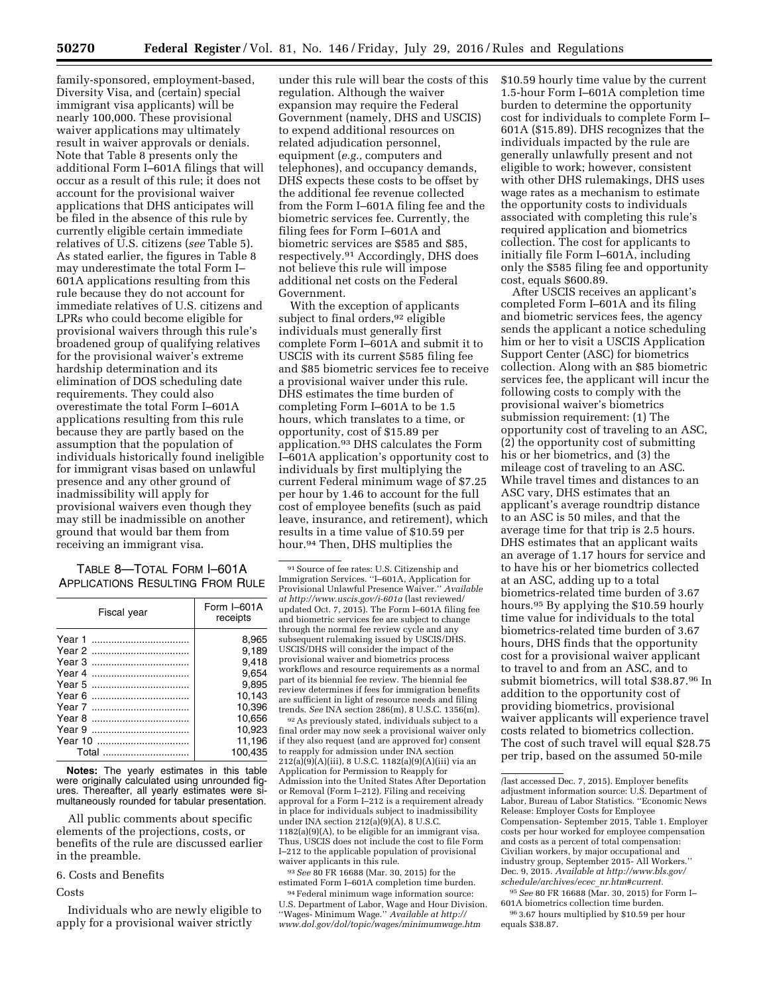family-sponsored, employment-based, Diversity Visa, and (certain) special immigrant visa applicants) will be nearly 100,000. These provisional waiver applications may ultimately result in waiver approvals or denials. Note that Table 8 presents only the additional Form I–601A filings that will occur as a result of this rule; it does not account for the provisional waiver applications that DHS anticipates will be filed in the absence of this rule by currently eligible certain immediate relatives of U.S. citizens (*see* Table 5). As stated earlier, the figures in Table 8 may underestimate the total Form I– 601A applications resulting from this rule because they do not account for immediate relatives of U.S. citizens and LPRs who could become eligible for provisional waivers through this rule's broadened group of qualifying relatives for the provisional waiver's extreme hardship determination and its elimination of DOS scheduling date requirements. They could also overestimate the total Form I–601A applications resulting from this rule because they are partly based on the assumption that the population of individuals historically found ineligible for immigrant visas based on unlawful presence and any other ground of inadmissibility will apply for provisional waivers even though they may still be inadmissible on another ground that would bar them from receiving an immigrant visa.

# TABLE 8—TOTAL FORM I–601A APPLICATIONS RESULTING FROM RULE

| Fiscal year | Form $I$ -601A<br>receipts |
|-------------|----------------------------|
|             | 8.965                      |
|             | 9.189                      |
|             | 9.418                      |
|             | 9.654                      |
|             | 9,895                      |
|             | 10.143                     |
|             | 10.396                     |
|             | 10,656                     |
|             | 10,923                     |
|             | 11.196                     |
| Total       | 100.435                    |

**Notes:** The yearly estimates in this table were originally calculated using unrounded figures. Thereafter, all yearly estimates were simultaneously rounded for tabular presentation.

All public comments about specific elements of the projections, costs, or benefits of the rule are discussed earlier in the preamble.

6. Costs and Benefits

## **Costs**

Individuals who are newly eligible to apply for a provisional waiver strictly

under this rule will bear the costs of this regulation. Although the waiver expansion may require the Federal Government (namely, DHS and USCIS) to expend additional resources on related adjudication personnel, equipment (*e.g.,* computers and telephones), and occupancy demands, DHS expects these costs to be offset by the additional fee revenue collected from the Form I–601A filing fee and the biometric services fee. Currently, the filing fees for Form I–601A and biometric services are \$585 and \$85, respectively.91 Accordingly, DHS does not believe this rule will impose additional net costs on the Federal Government.

With the exception of applicants subject to final orders, 92 eligible individuals must generally first complete Form I–601A and submit it to USCIS with its current \$585 filing fee and \$85 biometric services fee to receive a provisional waiver under this rule. DHS estimates the time burden of completing Form I–601A to be 1.5 hours, which translates to a time, or opportunity, cost of \$15.89 per application.93 DHS calculates the Form I–601A application's opportunity cost to individuals by first multiplying the current Federal minimum wage of \$7.25 per hour by 1.46 to account for the full cost of employee benefits (such as paid leave, insurance, and retirement), which results in a time value of \$10.59 per hour.94 Then, DHS multiplies the

91Source of fee rates: U.S. Citizenship and Immigration Services. ''I–601A, Application for Provisional Unlawful Presence Waiver.'' *Available at<http://www.uscis.gov/i-601a>*(last reviewed/ updated Oct. 7, 2015). The Form I–601A filing fee and biometric services fee are subject to change through the normal fee review cycle and any subsequent rulemaking issued by USCIS/DHS. USCIS/DHS will consider the impact of the provisional waiver and biometrics process workflows and resource requirements as a normal part of its biennial fee review. The biennial fee review determines if fees for immigration benefits are sufficient in light of resource needs and filing trends. *See* INA section 286(m), 8 U.S.C. 1356(m).

92As previously stated, individuals subject to a final order may now seek a provisional waiver only if they also request (and are approved for) consent to reapply for admission under INA section 212(a)(9)(A)(iii), 8 U.S.C. 1182(a)(9)(A)(iii) via an Application for Permission to Reapply for Admission into the United States After Deportation or Removal (Form I–212). Filing and receiving approval for a Form I–212 is a requirement already in place for individuals subject to inadmissibility under INA section 212(a)(9)(A), 8 U.S.C. 1182(a)(9)(A), to be eligible for an immigrant visa. Thus, USCIS does not include the cost to file Form I–212 to the applicable population of provisional waiver applicants in this rule.

93*See* 80 FR 16688 (Mar. 30, 2015) for the estimated Form I–601A completion time burden.

94Federal minimum wage information source: U.S. Department of Labor, Wage and Hour Division. ''Wages- Minimum Wage.'' *Available at [http://](http://www.dol.gov/dol/topic/wages/minimumwage.htm) [www.dol.gov/dol/topic/wages/minimumwage.htm](http://www.dol.gov/dol/topic/wages/minimumwage.htm)* 

\$10.59 hourly time value by the current 1.5-hour Form I–601A completion time burden to determine the opportunity cost for individuals to complete Form I– 601A (\$15.89). DHS recognizes that the individuals impacted by the rule are generally unlawfully present and not eligible to work; however, consistent with other DHS rulemakings, DHS uses wage rates as a mechanism to estimate the opportunity costs to individuals associated with completing this rule's required application and biometrics collection. The cost for applicants to initially file Form I–601A, including only the \$585 filing fee and opportunity cost, equals \$600.89.

After USCIS receives an applicant's completed Form I–601A and its filing and biometric services fees, the agency sends the applicant a notice scheduling him or her to visit a USCIS Application Support Center (ASC) for biometrics collection. Along with an \$85 biometric services fee, the applicant will incur the following costs to comply with the provisional waiver's biometrics submission requirement: (1) The opportunity cost of traveling to an ASC, (2) the opportunity cost of submitting his or her biometrics, and (3) the mileage cost of traveling to an ASC. While travel times and distances to an ASC vary, DHS estimates that an applicant's average roundtrip distance to an ASC is 50 miles, and that the average time for that trip is 2.5 hours. DHS estimates that an applicant waits an average of 1.17 hours for service and to have his or her biometrics collected at an ASC, adding up to a total biometrics-related time burden of 3.67 hours.95 By applying the \$10.59 hourly time value for individuals to the total biometrics-related time burden of 3.67 hours, DHS finds that the opportunity cost for a provisional waiver applicant to travel to and from an ASC, and to submit biometrics, will total \$38.87.96 In addition to the opportunity cost of providing biometrics, provisional waiver applicants will experience travel costs related to biometrics collection. The cost of such travel will equal \$28.75 per trip, based on the assumed 50-mile

95*See* 80 FR 16688 (Mar. 30, 2015) for Form I– 601A biometrics collection time burden.

96 3.67 hours multiplied by \$10.59 per hour equals \$38.87.

*<sup>(</sup>*last accessed Dec. 7, 2015). Employer benefits adjustment information source: U.S. Department of Labor, Bureau of Labor Statistics. ''Economic News Release: Employer Costs for Employee Compensation- September 2015, Table 1. Employer costs per hour worked for employee compensation and costs as a percent of total compensation: Civilian workers, by major occupational and industry group, September 2015- All Workers.'' Dec. 9, 2015. *Available at [http://www.bls.gov/](http://www.bls.gov/schedule/archives/ecec_nr.htm#current) [schedule/archives/ecec](http://www.bls.gov/schedule/archives/ecec_nr.htm#current)*\_*nr.htm#current.*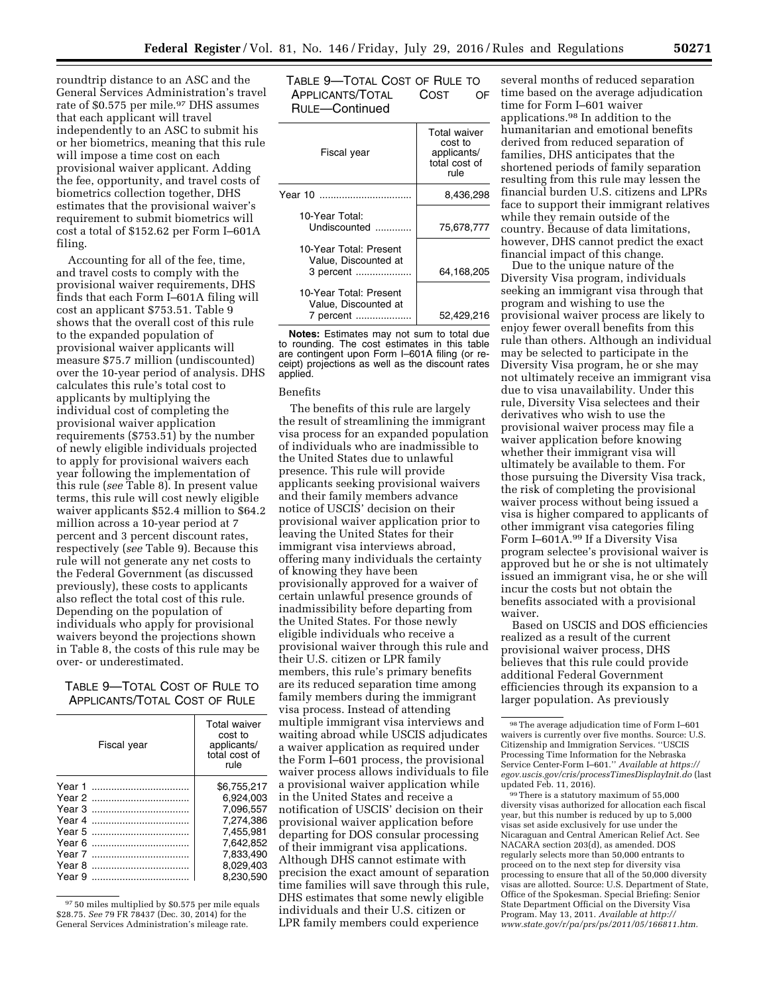roundtrip distance to an ASC and the General Services Administration's travel rate of \$0.575 per mile.<sup>97</sup> DHS assumes that each applicant will travel independently to an ASC to submit his or her biometrics, meaning that this rule will impose a time cost on each provisional waiver applicant. Adding the fee, opportunity, and travel costs of biometrics collection together, DHS estimates that the provisional waiver's requirement to submit biometrics will cost a total of \$152.62 per Form I–601A filing.

Accounting for all of the fee, time, and travel costs to comply with the provisional waiver requirements, DHS finds that each Form I–601A filing will cost an applicant \$753.51. Table 9 shows that the overall cost of this rule to the expanded population of provisional waiver applicants will measure \$75.7 million (undiscounted) over the 10-year period of analysis. DHS calculates this rule's total cost to applicants by multiplying the individual cost of completing the provisional waiver application requirements (\$753.51) by the number of newly eligible individuals projected to apply for provisional waivers each year following the implementation of this rule (*see* Table 8). In present value terms, this rule will cost newly eligible waiver applicants \$52.4 million to \$64.2 million across a 10-year period at 7 percent and 3 percent discount rates, respectively (*see* Table 9). Because this rule will not generate any net costs to the Federal Government (as discussed previously), these costs to applicants also reflect the total cost of this rule. Depending on the population of individuals who apply for provisional waivers beyond the projections shown in Table 8, the costs of this rule may be over- or underestimated.

## TABLE 9—TOTAL COST OF RULE TO APPLICANTS/TOTAL COST OF RULE

|        | Fiscal year | <b>Total waiver</b><br>cost to<br>applicants/<br>total cost of<br>rule |
|--------|-------------|------------------------------------------------------------------------|
| Year 1 |             | \$6,755,217                                                            |
| Year 2 |             | 6.924.003                                                              |
| Year 3 |             | 7.096.557                                                              |
| Year 4 |             | 7.274.386                                                              |
|        |             | 7.455.981                                                              |
| Year 6 |             | 7.642.852                                                              |
| Year 7 |             | 7.833.490                                                              |
| Year 8 |             | 8.029.403                                                              |
| Year 9 |             | 8.230.590                                                              |

<sup>97</sup> 50 miles multiplied by \$0.575 per mile equals \$28.75. *See* 79 FR 78437 (Dec. 30, 2014) for the General Services Administration's mileage rate.

| Table 9—Total Cost of Rule to |      |       |
|-------------------------------|------|-------|
| APPLICANTS/TOTAL              | COST | OF OF |
| RULE-Continued                |      |       |

| Fiscal year                                                 | <b>Total waiver</b><br>cost to<br>applicants/<br>total cost of<br>rule |
|-------------------------------------------------------------|------------------------------------------------------------------------|
| Year 10                                                     | 8,436,298                                                              |
| 10-Year Total:<br>Undiscounted                              | 75,678,777                                                             |
| 10-Year Total: Present<br>Value, Discounted at<br>3 percent | 64.168.205                                                             |
| 10-Year Total: Present<br>Value, Discounted at<br>7 percent | 52.429.216                                                             |

**Notes:** Estimates may not sum to total due to rounding. The cost estimates in this table are contingent upon Form I–601A filing (or receipt) projections as well as the discount rates applied.

#### Benefits

The benefits of this rule are largely the result of streamlining the immigrant visa process for an expanded population of individuals who are inadmissible to the United States due to unlawful presence. This rule will provide applicants seeking provisional waivers and their family members advance notice of USCIS' decision on their provisional waiver application prior to leaving the United States for their immigrant visa interviews abroad, offering many individuals the certainty of knowing they have been provisionally approved for a waiver of certain unlawful presence grounds of inadmissibility before departing from the United States. For those newly eligible individuals who receive a provisional waiver through this rule and their U.S. citizen or LPR family members, this rule's primary benefits are its reduced separation time among family members during the immigrant visa process. Instead of attending multiple immigrant visa interviews and waiting abroad while USCIS adjudicates a waiver application as required under the Form I–601 process, the provisional waiver process allows individuals to file a provisional waiver application while in the United States and receive a notification of USCIS' decision on their provisional waiver application before departing for DOS consular processing of their immigrant visa applications. Although DHS cannot estimate with precision the exact amount of separation time families will save through this rule, DHS estimates that some newly eligible individuals and their U.S. citizen or LPR family members could experience

several months of reduced separation time based on the average adjudication time for Form I–601 waiver applications.98 In addition to the humanitarian and emotional benefits derived from reduced separation of families, DHS anticipates that the shortened periods of family separation resulting from this rule may lessen the financial burden U.S. citizens and LPRs face to support their immigrant relatives while they remain outside of the country. Because of data limitations, however, DHS cannot predict the exact financial impact of this change.

Due to the unique nature of the Diversity Visa program, individuals seeking an immigrant visa through that program and wishing to use the provisional waiver process are likely to enjoy fewer overall benefits from this rule than others. Although an individual may be selected to participate in the Diversity Visa program, he or she may not ultimately receive an immigrant visa due to visa unavailability. Under this rule, Diversity Visa selectees and their derivatives who wish to use the provisional waiver process may file a waiver application before knowing whether their immigrant visa will ultimately be available to them. For those pursuing the Diversity Visa track, the risk of completing the provisional waiver process without being issued a visa is higher compared to applicants of other immigrant visa categories filing Form I–601A.99 If a Diversity Visa program selectee's provisional waiver is approved but he or she is not ultimately issued an immigrant visa, he or she will incur the costs but not obtain the benefits associated with a provisional waiver.

Based on USCIS and DOS efficiencies realized as a result of the current provisional waiver process, DHS believes that this rule could provide additional Federal Government efficiencies through its expansion to a larger population. As previously

99There is a statutory maximum of 55,000 diversity visas authorized for allocation each fiscal year, but this number is reduced by up to 5,000 visas set aside exclusively for use under the Nicaraguan and Central American Relief Act. See NACARA section 203(d), as amended. DOS regularly selects more than 50,000 entrants to proceed on to the next step for diversity visa processing to ensure that all of the 50,000 diversity visas are allotted. Source: U.S. Department of State, Office of the Spokesman. Special Briefing: Senior State Department Official on the Diversity Visa Program. May 13, 2011. *Available at [http://](http://www.state.gov/r/pa/prs/ps/2011/05/166811.htm) [www.state.gov/r/pa/prs/ps/2011/05/166811.htm.](http://www.state.gov/r/pa/prs/ps/2011/05/166811.htm)* 

<sup>98</sup>The average adjudication time of Form I–601 waivers is currently over five months. Source: U.S. Citizenship and Immigration Services. ''USCIS Processing Time Information for the Nebraska Service Center-Form I–601.'' *Available at [https://](https://egov.uscis.gov/cris/processTimesDisplayInit.do) [egov.uscis.gov/cris/processTimesDisplayInit.do](https://egov.uscis.gov/cris/processTimesDisplayInit.do)* (last updated Feb. 11, 2016).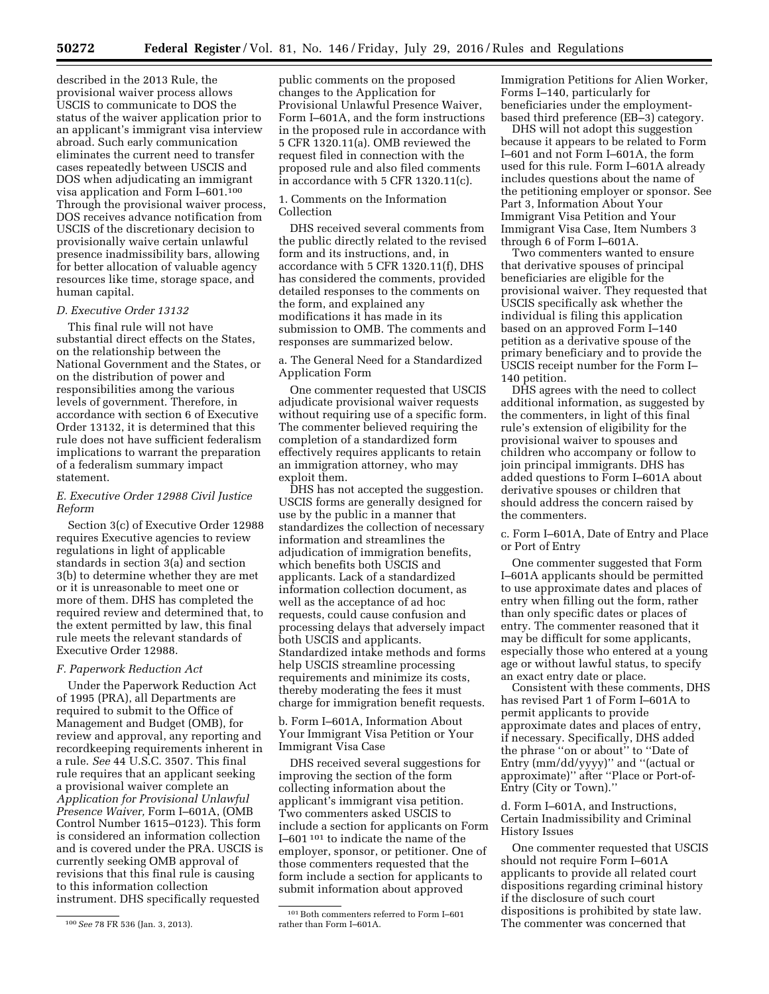described in the 2013 Rule, the provisional waiver process allows USCIS to communicate to DOS the status of the waiver application prior to an applicant's immigrant visa interview abroad. Such early communication eliminates the current need to transfer cases repeatedly between USCIS and DOS when adjudicating an immigrant visa application and Form I–601.100 Through the provisional waiver process, DOS receives advance notification from USCIS of the discretionary decision to provisionally waive certain unlawful presence inadmissibility bars, allowing for better allocation of valuable agency resources like time, storage space, and human capital.

# *D. Executive Order 13132*

This final rule will not have substantial direct effects on the States, on the relationship between the National Government and the States, or on the distribution of power and responsibilities among the various levels of government. Therefore, in accordance with section 6 of Executive Order 13132, it is determined that this rule does not have sufficient federalism implications to warrant the preparation of a federalism summary impact statement.

# *E. Executive Order 12988 Civil Justice Reform*

Section 3(c) of Executive Order 12988 requires Executive agencies to review regulations in light of applicable standards in section 3(a) and section 3(b) to determine whether they are met or it is unreasonable to meet one or more of them. DHS has completed the required review and determined that, to the extent permitted by law, this final rule meets the relevant standards of Executive Order 12988.

#### *F. Paperwork Reduction Act*

Under the Paperwork Reduction Act of 1995 (PRA), all Departments are required to submit to the Office of Management and Budget (OMB), for review and approval, any reporting and recordkeeping requirements inherent in a rule. *See* 44 U.S.C. 3507. This final rule requires that an applicant seeking a provisional waiver complete an *Application for Provisional Unlawful Presence Waiver,* Form I–601A, (OMB Control Number 1615–0123). This form is considered an information collection and is covered under the PRA. USCIS is currently seeking OMB approval of revisions that this final rule is causing to this information collection instrument. DHS specifically requested

public comments on the proposed changes to the Application for Provisional Unlawful Presence Waiver, Form I–601A, and the form instructions in the proposed rule in accordance with 5 CFR 1320.11(a). OMB reviewed the request filed in connection with the proposed rule and also filed comments in accordance with 5 CFR 1320.11(c).

# 1. Comments on the Information Collection

DHS received several comments from the public directly related to the revised form and its instructions, and, in accordance with 5 CFR 1320.11(f), DHS has considered the comments, provided detailed responses to the comments on the form, and explained any modifications it has made in its submission to OMB. The comments and responses are summarized below.

# a. The General Need for a Standardized Application Form

One commenter requested that USCIS adjudicate provisional waiver requests without requiring use of a specific form. The commenter believed requiring the completion of a standardized form effectively requires applicants to retain an immigration attorney, who may exploit them.

DHS has not accepted the suggestion. USCIS forms are generally designed for use by the public in a manner that standardizes the collection of necessary information and streamlines the adjudication of immigration benefits, which benefits both USCIS and applicants. Lack of a standardized information collection document, as well as the acceptance of ad hoc requests, could cause confusion and processing delays that adversely impact both USCIS and applicants. Standardized intake methods and forms help USCIS streamline processing requirements and minimize its costs, thereby moderating the fees it must charge for immigration benefit requests.

b. Form I–601A, Information About Your Immigrant Visa Petition or Your Immigrant Visa Case

DHS received several suggestions for improving the section of the form collecting information about the applicant's immigrant visa petition. Two commenters asked USCIS to include a section for applicants on Form I–601 101 to indicate the name of the employer, sponsor, or petitioner. One of those commenters requested that the form include a section for applicants to submit information about approved

Immigration Petitions for Alien Worker, Forms I–140, particularly for beneficiaries under the employmentbased third preference (EB–3) category.

DHS will not adopt this suggestion because it appears to be related to Form I–601 and not Form I–601A, the form used for this rule. Form I–601A already includes questions about the name of the petitioning employer or sponsor. See Part 3, Information About Your Immigrant Visa Petition and Your Immigrant Visa Case, Item Numbers 3 through 6 of Form I–601A.

Two commenters wanted to ensure that derivative spouses of principal beneficiaries are eligible for the provisional waiver. They requested that USCIS specifically ask whether the individual is filing this application based on an approved Form I–140 petition as a derivative spouse of the primary beneficiary and to provide the USCIS receipt number for the Form I– 140 petition.

DHS agrees with the need to collect additional information, as suggested by the commenters, in light of this final rule's extension of eligibility for the provisional waiver to spouses and children who accompany or follow to join principal immigrants. DHS has added questions to Form I–601A about derivative spouses or children that should address the concern raised by the commenters.

c. Form I–601A, Date of Entry and Place or Port of Entry

One commenter suggested that Form I–601A applicants should be permitted to use approximate dates and places of entry when filling out the form, rather than only specific dates or places of entry. The commenter reasoned that it may be difficult for some applicants, especially those who entered at a young age or without lawful status, to specify an exact entry date or place.

Consistent with these comments, DHS has revised Part 1 of Form I–601A to permit applicants to provide approximate dates and places of entry, if necessary. Specifically, DHS added the phrase ''on or about'' to ''Date of Entry (mm/dd/yyyy)'' and ''(actual or approximate)'' after ''Place or Port-of-Entry (City or Town).''

d. Form I–601A, and Instructions, Certain Inadmissibility and Criminal History Issues

One commenter requested that USCIS should not require Form I–601A applicants to provide all related court dispositions regarding criminal history if the disclosure of such court dispositions is prohibited by state law. The commenter was concerned that

<sup>100</sup>*See* 78 FR 536 (Jan. 3, 2013).

<sup>101</sup>Both commenters referred to Form I–601 rather than Form I–601A.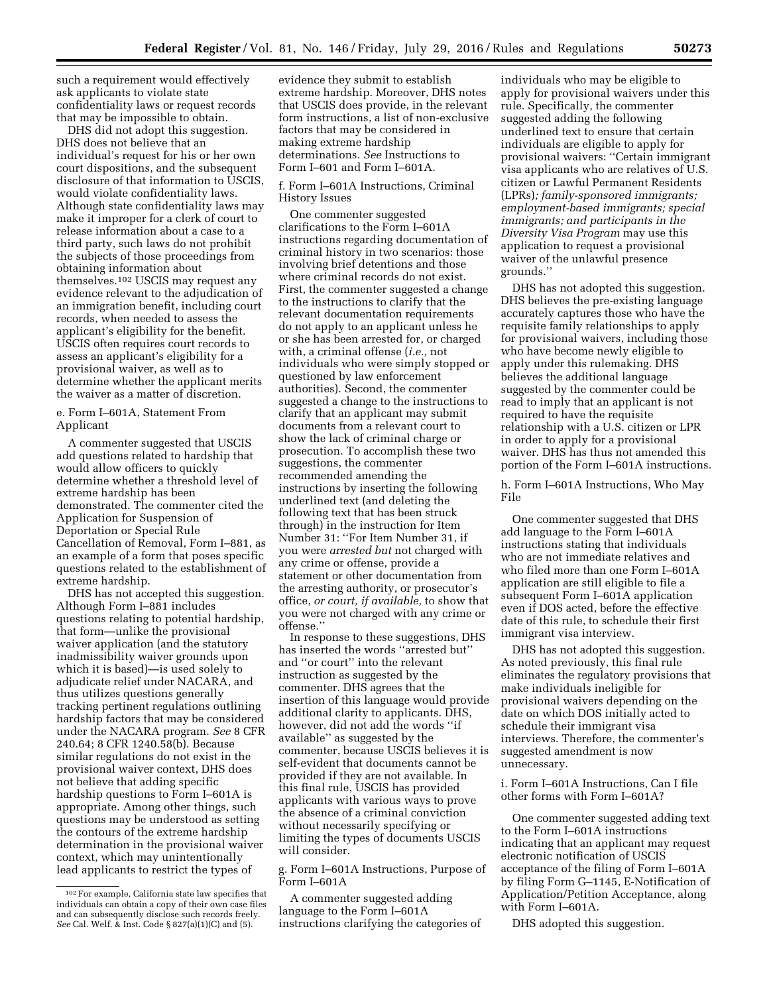such a requirement would effectively ask applicants to violate state confidentiality laws or request records that may be impossible to obtain.

DHS did not adopt this suggestion. DHS does not believe that an individual's request for his or her own court dispositions, and the subsequent disclosure of that information to USCIS, would violate confidentiality laws. Although state confidentiality laws may make it improper for a clerk of court to release information about a case to a third party, such laws do not prohibit the subjects of those proceedings from obtaining information about themselves.102 USCIS may request any evidence relevant to the adjudication of an immigration benefit, including court records, when needed to assess the applicant's eligibility for the benefit. USCIS often requires court records to assess an applicant's eligibility for a provisional waiver, as well as to determine whether the applicant merits the waiver as a matter of discretion.

e. Form I–601A, Statement From Applicant

A commenter suggested that USCIS add questions related to hardship that would allow officers to quickly determine whether a threshold level of extreme hardship has been demonstrated. The commenter cited the Application for Suspension of Deportation or Special Rule Cancellation of Removal, Form I–881, as an example of a form that poses specific questions related to the establishment of extreme hardship.

DHS has not accepted this suggestion. Although Form I–881 includes questions relating to potential hardship, that form—unlike the provisional waiver application (and the statutory inadmissibility waiver grounds upon which it is based)—is used solely to adjudicate relief under NACARA, and thus utilizes questions generally tracking pertinent regulations outlining hardship factors that may be considered under the NACARA program. *See* 8 CFR 240.64; 8 CFR 1240.58(b). Because similar regulations do not exist in the provisional waiver context, DHS does not believe that adding specific hardship questions to Form I–601A is appropriate. Among other things, such questions may be understood as setting the contours of the extreme hardship determination in the provisional waiver context, which may unintentionally lead applicants to restrict the types of

evidence they submit to establish extreme hardship. Moreover, DHS notes that USCIS does provide, in the relevant form instructions, a list of non-exclusive factors that may be considered in making extreme hardship determinations. *See* Instructions to Form I–601 and Form I–601A.

f. Form I–601A Instructions, Criminal History Issues

One commenter suggested clarifications to the Form I–601A instructions regarding documentation of criminal history in two scenarios: those involving brief detentions and those where criminal records do not exist. First, the commenter suggested a change to the instructions to clarify that the relevant documentation requirements do not apply to an applicant unless he or she has been arrested for, or charged with, a criminal offense (*i.e.,* not individuals who were simply stopped or questioned by law enforcement authorities). Second, the commenter suggested a change to the instructions to clarify that an applicant may submit documents from a relevant court to show the lack of criminal charge or prosecution. To accomplish these two suggestions, the commenter recommended amending the instructions by inserting the following underlined text (and deleting the following text that has been struck through) in the instruction for Item Number 31: ''For Item Number 31, if you were *arrested but* not charged with any crime or offense, provide a statement or other documentation from the arresting authority, or prosecutor's office, *or court, if available,* to show that you were not charged with any crime or offense.''

In response to these suggestions, DHS has inserted the words ''arrested but'' and ''or court'' into the relevant instruction as suggested by the commenter. DHS agrees that the insertion of this language would provide additional clarity to applicants. DHS, however, did not add the words ''if available'' as suggested by the commenter, because USCIS believes it is self-evident that documents cannot be provided if they are not available. In this final rule, USCIS has provided applicants with various ways to prove the absence of a criminal conviction without necessarily specifying or limiting the types of documents USCIS will consider.

g. Form I–601A Instructions, Purpose of Form I–601A

A commenter suggested adding language to the Form I–601A instructions clarifying the categories of individuals who may be eligible to apply for provisional waivers under this rule. Specifically, the commenter suggested adding the following underlined text to ensure that certain individuals are eligible to apply for provisional waivers: ''Certain immigrant visa applicants who are relatives of U.S. citizen or Lawful Permanent Residents (LPRs)*; family-sponsored immigrants; employment-based immigrants; special immigrants; and participants in the Diversity Visa Program* may use this application to request a provisional waiver of the unlawful presence grounds.''

DHS has not adopted this suggestion. DHS believes the pre-existing language accurately captures those who have the requisite family relationships to apply for provisional waivers, including those who have become newly eligible to apply under this rulemaking. DHS believes the additional language suggested by the commenter could be read to imply that an applicant is not required to have the requisite relationship with a U.S. citizen or LPR in order to apply for a provisional waiver. DHS has thus not amended this portion of the Form I–601A instructions.

h. Form I–601A Instructions, Who May File

One commenter suggested that DHS add language to the Form I–601A instructions stating that individuals who are not immediate relatives and who filed more than one Form I–601A application are still eligible to file a subsequent Form I–601A application even if DOS acted, before the effective date of this rule, to schedule their first immigrant visa interview.

DHS has not adopted this suggestion. As noted previously, this final rule eliminates the regulatory provisions that make individuals ineligible for provisional waivers depending on the date on which DOS initially acted to schedule their immigrant visa interviews. Therefore, the commenter's suggested amendment is now unnecessary.

i. Form I–601A Instructions, Can I file other forms with Form I–601A?

One commenter suggested adding text to the Form I–601A instructions indicating that an applicant may request electronic notification of USCIS acceptance of the filing of Form I–601A by filing Form G–1145, E-Notification of Application/Petition Acceptance, along with Form I–601A.

DHS adopted this suggestion.

<sup>102</sup>For example, California state law specifies that individuals can obtain a copy of their own case files and can subsequently disclose such records freely. *See* Cal. Welf. & Inst. Code § 827(a)(1)(C) and (5).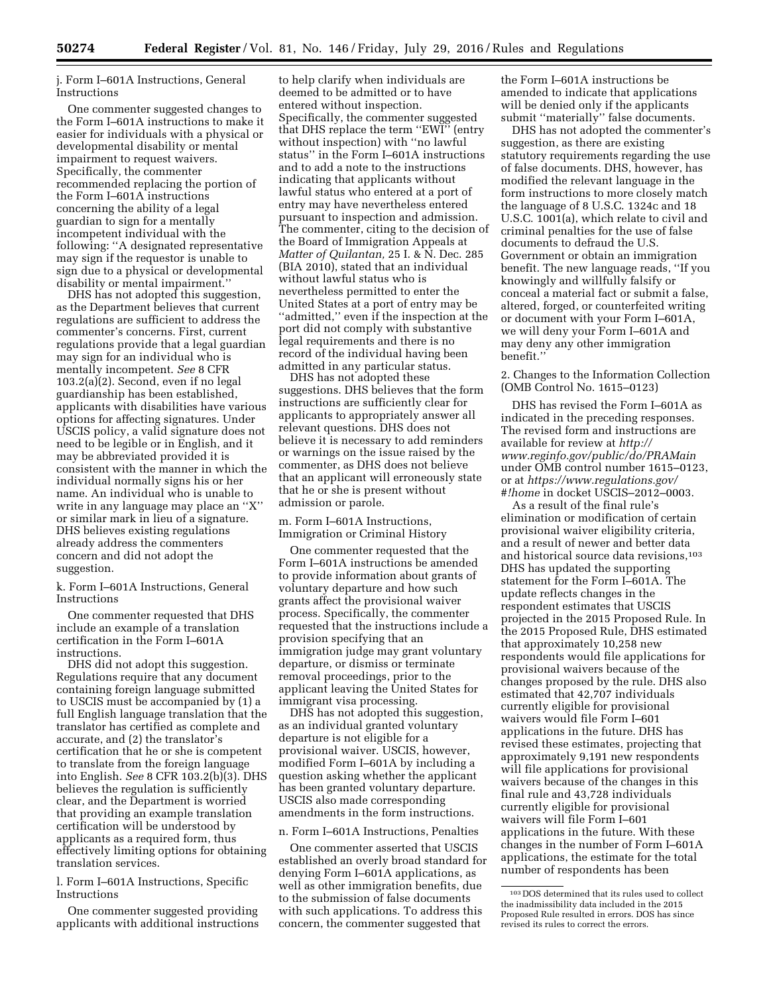j. Form I–601A Instructions, General Instructions

One commenter suggested changes to the Form I–601A instructions to make it easier for individuals with a physical or developmental disability or mental impairment to request waivers. Specifically, the commenter recommended replacing the portion of the Form I–601A instructions concerning the ability of a legal guardian to sign for a mentally incompetent individual with the following: ''A designated representative may sign if the requestor is unable to sign due to a physical or developmental disability or mental impairment.''

DHS has not adopted this suggestion, as the Department believes that current regulations are sufficient to address the commenter's concerns. First, current regulations provide that a legal guardian may sign for an individual who is mentally incompetent. *See* 8 CFR 103.2(a)(2). Second, even if no legal guardianship has been established, applicants with disabilities have various options for affecting signatures. Under USCIS policy, a valid signature does not need to be legible or in English, and it may be abbreviated provided it is consistent with the manner in which the individual normally signs his or her name. An individual who is unable to write in any language may place an "X" or similar mark in lieu of a signature. DHS believes existing regulations already address the commenters concern and did not adopt the suggestion.

k. Form I–601A Instructions, General Instructions

One commenter requested that DHS include an example of a translation certification in the Form I–601A instructions.

DHS did not adopt this suggestion. Regulations require that any document containing foreign language submitted to USCIS must be accompanied by (1) a full English language translation that the translator has certified as complete and accurate, and (2) the translator's certification that he or she is competent to translate from the foreign language into English. *See* 8 CFR 103.2(b)(3). DHS believes the regulation is sufficiently clear, and the Department is worried that providing an example translation certification will be understood by applicants as a required form, thus effectively limiting options for obtaining translation services.

l. Form I–601A Instructions, Specific Instructions

One commenter suggested providing applicants with additional instructions

to help clarify when individuals are deemed to be admitted or to have entered without inspection. Specifically, the commenter suggested that DHS replace the term "EWI" (entry without inspection) with ''no lawful status'' in the Form I–601A instructions and to add a note to the instructions indicating that applicants without lawful status who entered at a port of entry may have nevertheless entered pursuant to inspection and admission. The commenter, citing to the decision of the Board of Immigration Appeals at *Matter of Quilantan,* 25 I. & N. Dec. 285 (BIA 2010), stated that an individual without lawful status who is nevertheless permitted to enter the United States at a port of entry may be ''admitted,'' even if the inspection at the port did not comply with substantive legal requirements and there is no record of the individual having been admitted in any particular status.

DHS has not adopted these suggestions. DHS believes that the form instructions are sufficiently clear for applicants to appropriately answer all relevant questions. DHS does not believe it is necessary to add reminders or warnings on the issue raised by the commenter, as DHS does not believe that an applicant will erroneously state that he or she is present without admission or parole.

m. Form I–601A Instructions, Immigration or Criminal History

One commenter requested that the Form I–601A instructions be amended to provide information about grants of voluntary departure and how such grants affect the provisional waiver process. Specifically, the commenter requested that the instructions include a provision specifying that an immigration judge may grant voluntary departure, or dismiss or terminate removal proceedings, prior to the applicant leaving the United States for immigrant visa processing.

DHS has not adopted this suggestion, as an individual granted voluntary departure is not eligible for a provisional waiver. USCIS, however, modified Form I–601A by including a question asking whether the applicant has been granted voluntary departure. USCIS also made corresponding amendments in the form instructions.

# n. Form I–601A Instructions, Penalties

One commenter asserted that USCIS established an overly broad standard for denying Form I–601A applications, as well as other immigration benefits, due to the submission of false documents with such applications. To address this concern, the commenter suggested that

the Form I–601A instructions be amended to indicate that applications will be denied only if the applicants submit ''materially'' false documents.

DHS has not adopted the commenter's suggestion, as there are existing statutory requirements regarding the use of false documents. DHS, however, has modified the relevant language in the form instructions to more closely match the language of 8 U.S.C. 1324c and 18 U.S.C. 1001(a), which relate to civil and criminal penalties for the use of false documents to defraud the U.S. Government or obtain an immigration benefit. The new language reads, ''If you knowingly and willfully falsify or conceal a material fact or submit a false, altered, forged, or counterfeited writing or document with your Form I–601A, we will deny your Form I–601A and may deny any other immigration benefit.''

2. Changes to the Information Collection (OMB Control No. 1615–0123)

DHS has revised the Form I–601A as indicated in the preceding responses. The revised form and instructions are available for review at *[http://](http://www.reginfo.gov/public/do/PRAMain) [www.reginfo.gov/public/do/PRAMain](http://www.reginfo.gov/public/do/PRAMain)*  under OMB control number 1615–0123, or at *[https://www.regulations.gov/](https://www.regulations.gov/#!home) [#!home](https://www.regulations.gov/#!home)* in docket USCIS–2012–0003.

As a result of the final rule's elimination or modification of certain provisional waiver eligibility criteria, and a result of newer and better data and historical source data revisions,103 DHS has updated the supporting statement for the Form I–601A. The update reflects changes in the respondent estimates that USCIS projected in the 2015 Proposed Rule. In the 2015 Proposed Rule, DHS estimated that approximately 10,258 new respondents would file applications for provisional waivers because of the changes proposed by the rule. DHS also estimated that 42,707 individuals currently eligible for provisional waivers would file Form I–601 applications in the future. DHS has revised these estimates, projecting that approximately 9,191 new respondents will file applications for provisional waivers because of the changes in this final rule and 43,728 individuals currently eligible for provisional waivers will file Form I–601 applications in the future. With these changes in the number of Form I–601A applications, the estimate for the total number of respondents has been

<sup>103</sup> DOS determined that its rules used to collect the inadmissibility data included in the 2015 Proposed Rule resulted in errors. DOS has since revised its rules to correct the errors.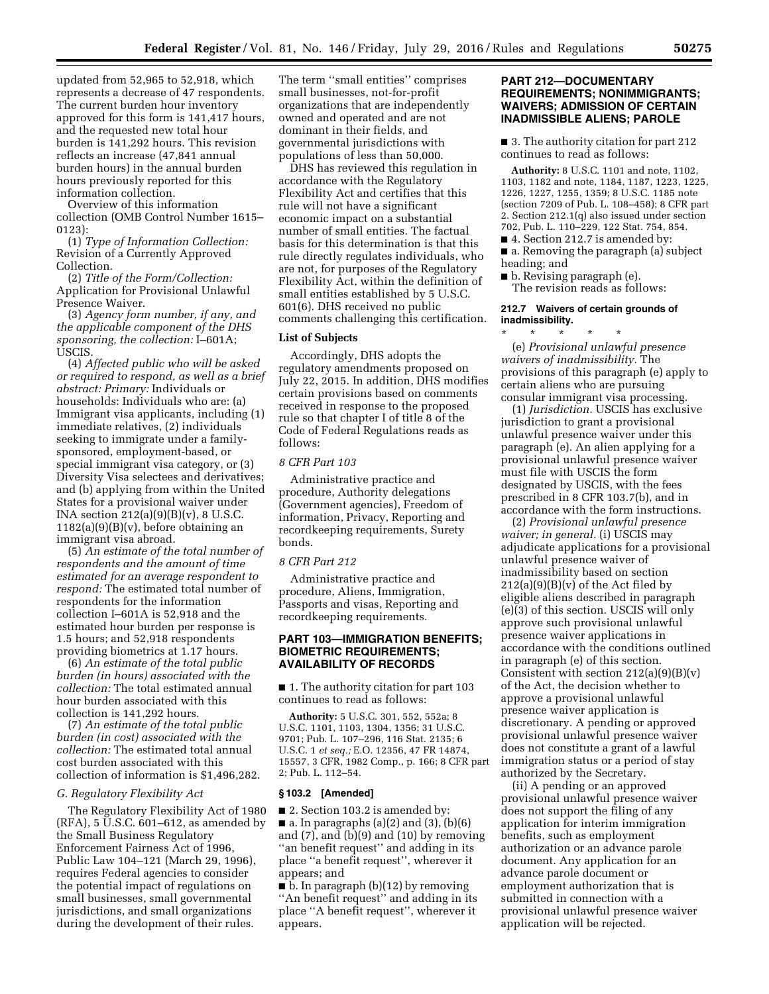updated from 52,965 to 52,918, which represents a decrease of 47 respondents. The current burden hour inventory approved for this form is 141,417 hours, and the requested new total hour burden is 141,292 hours. This revision reflects an increase (47,841 annual burden hours) in the annual burden hours previously reported for this information collection.

Overview of this information collection (OMB Control Number 1615– 0123):

(1) *Type of Information Collection:*  Revision of a Currently Approved Collection.

(2) *Title of the Form/Collection:*  Application for Provisional Unlawful Presence Waiver.

(3) *Agency form number, if any, and the applicable component of the DHS sponsoring, the collection:* I–601A; USCIS.

(4) *Affected public who will be asked or required to respond, as well as a brief abstract: Primary:* Individuals or households: Individuals who are: (a) Immigrant visa applicants, including (1) immediate relatives, (2) individuals seeking to immigrate under a familysponsored, employment-based, or special immigrant visa category, or (3) Diversity Visa selectees and derivatives; and (b) applying from within the United States for a provisional waiver under INA section  $212(a)(9)(B)(v)$ , 8 U.S.C.  $1182(a)(9)(B)(v)$ , before obtaining an immigrant visa abroad.

(5) *An estimate of the total number of respondents and the amount of time estimated for an average respondent to respond:* The estimated total number of respondents for the information collection I–601A is 52,918 and the estimated hour burden per response is 1.5 hours; and 52,918 respondents providing biometrics at 1.17 hours.

(6) *An estimate of the total public burden (in hours) associated with the collection:* The total estimated annual hour burden associated with this collection is 141,292 hours.

(7) *An estimate of the total public burden (in cost) associated with the collection:* The estimated total annual cost burden associated with this collection of information is \$1,496,282.

#### *G. Regulatory Flexibility Act*

The Regulatory Flexibility Act of 1980 (RFA), 5 U.S.C. 601–612, as amended by the Small Business Regulatory Enforcement Fairness Act of 1996, Public Law 104–121 (March 29, 1996), requires Federal agencies to consider the potential impact of regulations on small businesses, small governmental jurisdictions, and small organizations during the development of their rules.

The term ''small entities'' comprises small businesses, not-for-profit organizations that are independently owned and operated and are not dominant in their fields, and governmental jurisdictions with populations of less than 50,000.

DHS has reviewed this regulation in accordance with the Regulatory Flexibility Act and certifies that this rule will not have a significant economic impact on a substantial number of small entities. The factual basis for this determination is that this rule directly regulates individuals, who are not, for purposes of the Regulatory Flexibility Act, within the definition of small entities established by 5 U.S.C. 601(6). DHS received no public comments challenging this certification.

## **List of Subjects**

Accordingly, DHS adopts the regulatory amendments proposed on July 22, 2015. In addition, DHS modifies certain provisions based on comments received in response to the proposed rule so that chapter I of title 8 of the Code of Federal Regulations reads as follows:

# *8 CFR Part 103*

Administrative practice and procedure, Authority delegations (Government agencies), Freedom of information, Privacy, Reporting and recordkeeping requirements, Surety bonds.

#### *8 CFR Part 212*

Administrative practice and procedure, Aliens, Immigration, Passports and visas, Reporting and recordkeeping requirements.

# **PART 103—IMMIGRATION BENEFITS; BIOMETRIC REQUIREMENTS; AVAILABILITY OF RECORDS**

■ 1. The authority citation for part 103 continues to read as follows:

**Authority:** 5 U.S.C. 301, 552, 552a; 8 U.S.C. 1101, 1103, 1304, 1356; 31 U.S.C. 9701; Pub. L. 107–296, 116 Stat. 2135; 6 U.S.C. 1 *et seq.;* E.O. 12356, 47 FR 14874, 15557, 3 CFR, 1982 Comp., p. 166; 8 CFR part 2; Pub. L. 112–54.

#### **§ 103.2 [Amended]**

■ 2. Section 103.2 is amended by:  $\blacksquare$  a. In paragraphs (a)(2) and (3), (b)(6) and  $(7)$ , and  $(b)(9)$  and  $(10)$  by removing ''an benefit request'' and adding in its place ''a benefit request'', wherever it appears; and

■ b. In paragraph (b)(12) by removing ''An benefit request'' and adding in its place ''A benefit request'', wherever it appears.

## **PART 212—DOCUMENTARY REQUIREMENTS; NONIMMIGRANTS; WAIVERS; ADMISSION OF CERTAIN INADMISSIBLE ALIENS; PAROLE**

■ 3. The authority citation for part 212 continues to read as follows:

**Authority:** 8 U.S.C. 1101 and note, 1102, 1103, 1182 and note, 1184, 1187, 1223, 1225, 1226, 1227, 1255, 1359; 8 U.S.C. 1185 note (section 7209 of Pub. L. 108–458); 8 CFR part 2. Section 212.1(q) also issued under section 702, Pub. L. 110–229, 122 Stat. 754, 854.

- 4. Section 212.7 is amended by:
- a. Removing the paragraph (a) subject heading; and
- b. Revising paragraph (e). The revision reads as follows:

# **212.7 Waivers of certain grounds of inadmissibility.**

\* \* \* \* \* (e) *Provisional unlawful presence waivers of inadmissibility.* The provisions of this paragraph (e) apply to certain aliens who are pursuing consular immigrant visa processing.

(1) *Jurisdiction.* USCIS has exclusive jurisdiction to grant a provisional unlawful presence waiver under this paragraph (e). An alien applying for a provisional unlawful presence waiver must file with USCIS the form designated by USCIS, with the fees prescribed in 8 CFR 103.7(b), and in accordance with the form instructions.

(2) *Provisional unlawful presence waiver; in general.* (i) USCIS may adjudicate applications for a provisional unlawful presence waiver of inadmissibility based on section  $212(a)(9)(B)(v)$  of the Act filed by eligible aliens described in paragraph (e)(3) of this section. USCIS will only approve such provisional unlawful presence waiver applications in accordance with the conditions outlined in paragraph (e) of this section. Consistent with section  $212(a)(9)(B)(v)$ of the Act, the decision whether to approve a provisional unlawful presence waiver application is discretionary. A pending or approved provisional unlawful presence waiver does not constitute a grant of a lawful immigration status or a period of stay authorized by the Secretary.

(ii) A pending or an approved provisional unlawful presence waiver does not support the filing of any application for interim immigration benefits, such as employment authorization or an advance parole document. Any application for an advance parole document or employment authorization that is submitted in connection with a provisional unlawful presence waiver application will be rejected.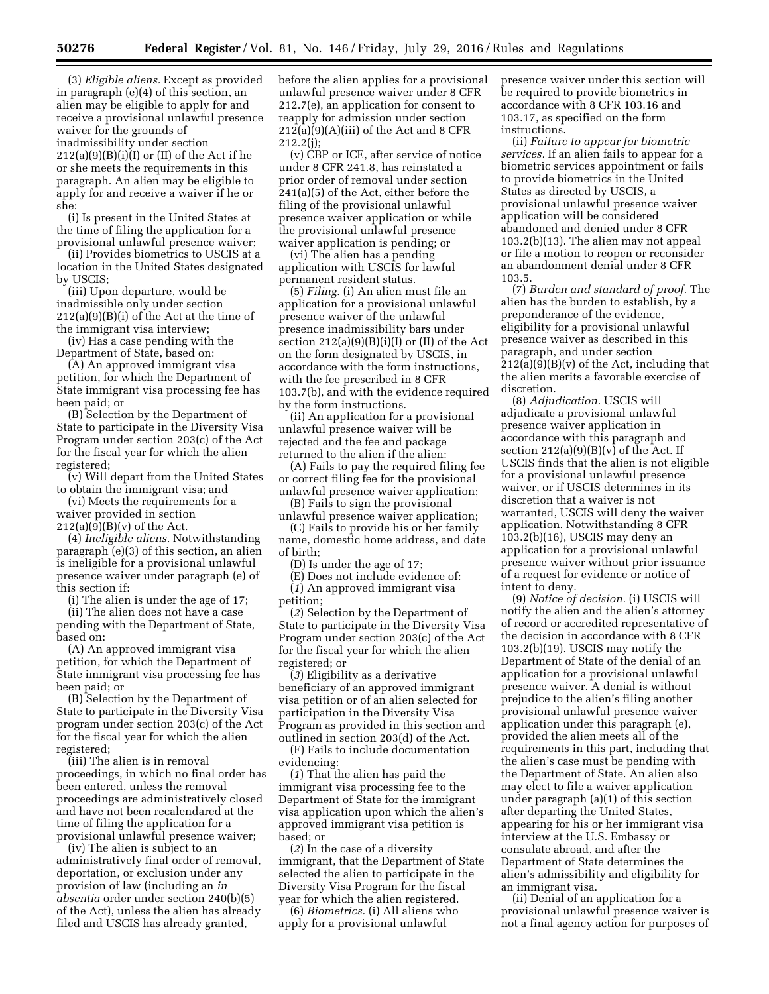(3) *Eligible aliens.* Except as provided in paragraph (e)(4) of this section, an alien may be eligible to apply for and receive a provisional unlawful presence waiver for the grounds of inadmissibility under section  $212(a)(9)(B)(i)(I)$  or  $(II)$  of the Act if he or she meets the requirements in this paragraph. An alien may be eligible to apply for and receive a waiver if he or she:

(i) Is present in the United States at the time of filing the application for a provisional unlawful presence waiver;

(ii) Provides biometrics to USCIS at a location in the United States designated by USCIS;

(iii) Upon departure, would be inadmissible only under section 212(a)(9)(B)(i) of the Act at the time of the immigrant visa interview;

(iv) Has a case pending with the Department of State, based on:

(A) An approved immigrant visa petition, for which the Department of State immigrant visa processing fee has been paid; or

(B) Selection by the Department of State to participate in the Diversity Visa Program under section 203(c) of the Act for the fiscal year for which the alien registered;

(v) Will depart from the United States to obtain the immigrant visa; and

(vi) Meets the requirements for a waiver provided in section  $212(a)(9)(B)(v)$  of the Act.

(4) *Ineligible aliens.* Notwithstanding paragraph (e)(3) of this section, an alien is ineligible for a provisional unlawful presence waiver under paragraph (e) of this section if:

(i) The alien is under the age of 17;

(ii) The alien does not have a case pending with the Department of State, based on:

(A) An approved immigrant visa petition, for which the Department of State immigrant visa processing fee has been paid; or

(B) Selection by the Department of State to participate in the Diversity Visa program under section 203(c) of the Act for the fiscal year for which the alien registered;

(iii) The alien is in removal proceedings, in which no final order has been entered, unless the removal proceedings are administratively closed and have not been recalendared at the time of filing the application for a provisional unlawful presence waiver;

(iv) The alien is subject to an administratively final order of removal, deportation, or exclusion under any provision of law (including an *in absentia* order under section 240(b)(5) of the Act), unless the alien has already filed and USCIS has already granted,

before the alien applies for a provisional unlawful presence waiver under 8 CFR 212.7(e), an application for consent to reapply for admission under section 212(a)(9)(A)(iii) of the Act and 8 CFR 212.2(j);

(v) CBP or ICE, after service of notice under 8 CFR 241.8, has reinstated a prior order of removal under section 241(a)(5) of the Act, either before the filing of the provisional unlawful presence waiver application or while the provisional unlawful presence waiver application is pending; or

(vi) The alien has a pending application with USCIS for lawful permanent resident status.

(5) *Filing.* (i) An alien must file an application for a provisional unlawful presence waiver of the unlawful presence inadmissibility bars under section  $212(a)(9)(B)(i)(I)$  or  $(II)$  of the Act on the form designated by USCIS, in accordance with the form instructions, with the fee prescribed in 8 CFR 103.7(b), and with the evidence required by the form instructions.

(ii) An application for a provisional unlawful presence waiver will be rejected and the fee and package returned to the alien if the alien:

(A) Fails to pay the required filing fee or correct filing fee for the provisional unlawful presence waiver application;

(B) Fails to sign the provisional unlawful presence waiver application;

(C) Fails to provide his or her family name, domestic home address, and date

of birth;

(D) Is under the age of 17;

(E) Does not include evidence of: (*1*) An approved immigrant visa petition;

(*2*) Selection by the Department of State to participate in the Diversity Visa Program under section 203(c) of the Act for the fiscal year for which the alien registered; or

(*3*) Eligibility as a derivative beneficiary of an approved immigrant visa petition or of an alien selected for participation in the Diversity Visa Program as provided in this section and outlined in section 203(d) of the Act.

(F) Fails to include documentation evidencing:

(*1*) That the alien has paid the immigrant visa processing fee to the Department of State for the immigrant visa application upon which the alien's approved immigrant visa petition is based; or

(*2*) In the case of a diversity immigrant, that the Department of State selected the alien to participate in the Diversity Visa Program for the fiscal year for which the alien registered.

(6) *Biometrics.* (i) All aliens who apply for a provisional unlawful

presence waiver under this section will be required to provide biometrics in accordance with 8 CFR 103.16 and 103.17, as specified on the form instructions.

(ii) *Failure to appear for biometric services.* If an alien fails to appear for a biometric services appointment or fails to provide biometrics in the United States as directed by USCIS, a provisional unlawful presence waiver application will be considered abandoned and denied under 8 CFR 103.2(b)(13). The alien may not appeal or file a motion to reopen or reconsider an abandonment denial under 8 CFR 103.5.

(7) *Burden and standard of proof.* The alien has the burden to establish, by a preponderance of the evidence, eligibility for a provisional unlawful presence waiver as described in this paragraph, and under section  $212(a)(9)(B)(v)$  of the Act, including that the alien merits a favorable exercise of discretion.

(8) *Adjudication.* USCIS will adjudicate a provisional unlawful presence waiver application in accordance with this paragraph and section  $212(a)(9)(B)(v)$  of the Act. If USCIS finds that the alien is not eligible for a provisional unlawful presence waiver, or if USCIS determines in its discretion that a waiver is not warranted, USCIS will deny the waiver application. Notwithstanding 8 CFR 103.2(b)(16), USCIS may deny an application for a provisional unlawful presence waiver without prior issuance of a request for evidence or notice of intent to deny.

(9) *Notice of decision.* (i) USCIS will notify the alien and the alien's attorney of record or accredited representative of the decision in accordance with 8 CFR 103.2(b)(19). USCIS may notify the Department of State of the denial of an application for a provisional unlawful presence waiver. A denial is without prejudice to the alien's filing another provisional unlawful presence waiver application under this paragraph (e), provided the alien meets all of the requirements in this part, including that the alien's case must be pending with the Department of State. An alien also may elect to file a waiver application under paragraph (a)(1) of this section after departing the United States, appearing for his or her immigrant visa interview at the U.S. Embassy or consulate abroad, and after the Department of State determines the alien's admissibility and eligibility for an immigrant visa.

(ii) Denial of an application for a provisional unlawful presence waiver is not a final agency action for purposes of